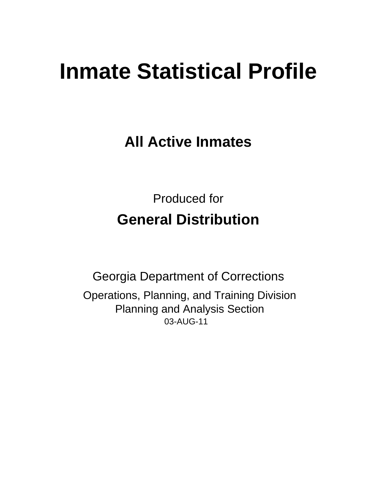# **Inmate Statistical Profile**

**All Active Inmates** 

**Produced for General Distribution** 

**Georgia Department of Corrections** Operations, Planning, and Training Division **Planning and Analysis Section** 03-AUG-11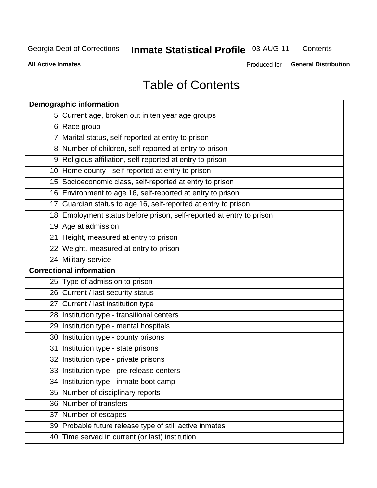#### **Inmate Statistical Profile 03-AUG-11** Contents

**All Active Inmates** 

Produced for General Distribution

## **Table of Contents**

| <b>Demographic information</b>                                       |
|----------------------------------------------------------------------|
| 5 Current age, broken out in ten year age groups                     |
| 6 Race group                                                         |
| 7 Marital status, self-reported at entry to prison                   |
| 8 Number of children, self-reported at entry to prison               |
| 9 Religious affiliation, self-reported at entry to prison            |
| 10 Home county - self-reported at entry to prison                    |
| 15 Socioeconomic class, self-reported at entry to prison             |
| 16 Environment to age 16, self-reported at entry to prison           |
| 17 Guardian status to age 16, self-reported at entry to prison       |
| 18 Employment status before prison, self-reported at entry to prison |
| 19 Age at admission                                                  |
| 21 Height, measured at entry to prison                               |
| 22 Weight, measured at entry to prison                               |
| 24 Military service                                                  |
| <b>Correctional information</b>                                      |
| 25 Type of admission to prison                                       |
| 26 Current / last security status                                    |
| 27 Current / last institution type                                   |
| 28 Institution type - transitional centers                           |
| 29 Institution type - mental hospitals                               |
| 30 Institution type - county prisons                                 |
| 31 Institution type - state prisons                                  |
| 32 Institution type - private prisons                                |
| 33 Institution type - pre-release centers                            |
| 34 Institution type - inmate boot camp                               |
| 35 Number of disciplinary reports                                    |
| 36 Number of transfers                                               |
| 37 Number of escapes                                                 |
| 39 Probable future release type of still active inmates              |
| 40 Time served in current (or last) institution                      |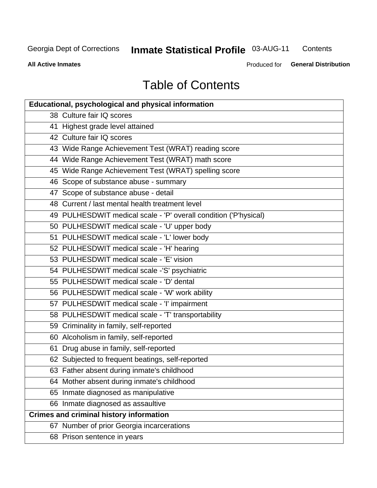## **Inmate Statistical Profile 03-AUG-11**

Contents

**All Active Inmates** 

Produced for General Distribution

## **Table of Contents**

| <b>Educational, psychological and physical information</b>       |
|------------------------------------------------------------------|
| 38 Culture fair IQ scores                                        |
| 41 Highest grade level attained                                  |
| 42 Culture fair IQ scores                                        |
| 43 Wide Range Achievement Test (WRAT) reading score              |
| 44 Wide Range Achievement Test (WRAT) math score                 |
| 45 Wide Range Achievement Test (WRAT) spelling score             |
| 46 Scope of substance abuse - summary                            |
| 47 Scope of substance abuse - detail                             |
| 48 Current / last mental health treatment level                  |
| 49 PULHESDWIT medical scale - 'P' overall condition ('P'hysical) |
| 50 PULHESDWIT medical scale - 'U' upper body                     |
| 51 PULHESDWIT medical scale - 'L' lower body                     |
| 52 PULHESDWIT medical scale - 'H' hearing                        |
| 53 PULHESDWIT medical scale - 'E' vision                         |
| 54 PULHESDWIT medical scale -'S' psychiatric                     |
| 55 PULHESDWIT medical scale - 'D' dental                         |
| 56 PULHESDWIT medical scale - 'W' work ability                   |
| 57 PULHESDWIT medical scale - 'I' impairment                     |
| 58 PULHESDWIT medical scale - 'T' transportability               |
| 59 Criminality in family, self-reported                          |
| 60 Alcoholism in family, self-reported                           |
| 61 Drug abuse in family, self-reported                           |
| 62 Subjected to frequent beatings, self-reported                 |
| 63 Father absent during inmate's childhood                       |
| 64 Mother absent during inmate's childhood                       |
| 65 Inmate diagnosed as manipulative                              |
| 66 Inmate diagnosed as assaultive                                |
| <b>Crimes and criminal history information</b>                   |
| 67 Number of prior Georgia incarcerations                        |
| 68 Prison sentence in years                                      |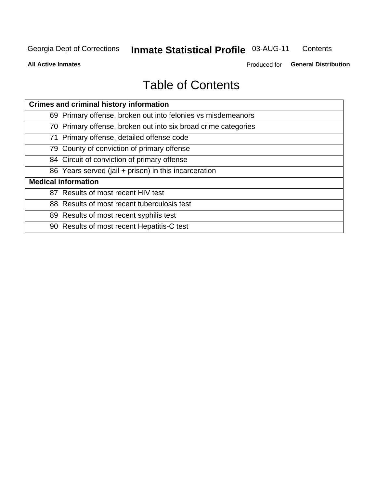#### **Inmate Statistical Profile 03-AUG-11** Contents

**All Active Inmates** 

Produced for General Distribution

## **Table of Contents**

| <b>Crimes and criminal history information</b>                 |
|----------------------------------------------------------------|
| 69 Primary offense, broken out into felonies vs misdemeanors   |
| 70 Primary offense, broken out into six broad crime categories |
| 71 Primary offense, detailed offense code                      |
| 79 County of conviction of primary offense                     |
| 84 Circuit of conviction of primary offense                    |
| 86 Years served (jail + prison) in this incarceration          |
| <b>Medical information</b>                                     |
| 87 Results of most recent HIV test                             |
| 88 Results of most recent tuberculosis test                    |
| 89 Results of most recent syphilis test                        |
| 90 Results of most recent Hepatitis-C test                     |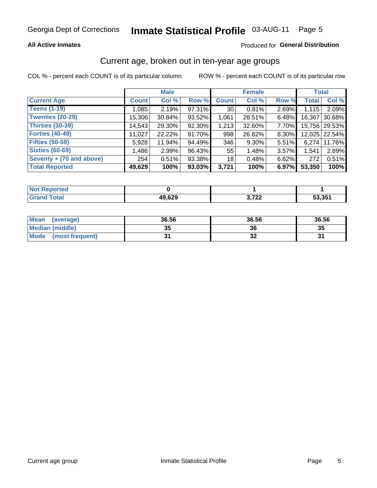### **All Active Inmates**

### Produced for General Distribution

### Current age, broken out in ten-year age groups

COL % - percent each COUNT is of its particular column

|                          |              | <b>Male</b> |        |                 | <b>Female</b> |       | <b>Total</b> |               |
|--------------------------|--------------|-------------|--------|-----------------|---------------|-------|--------------|---------------|
| <b>Current Age</b>       | <b>Count</b> | Col %       | Row %  | <b>Count</b>    | Col %         | Row % | <b>Total</b> | Col %         |
| <b>Teens (1-19)</b>      | 1,085        | 2.19%       | 97.31% | 30 <sub>1</sub> | 0.81%         | 2.69% | 1,115        | 2.09%         |
| <b>Twenties (20-29)</b>  | 15,306       | 30.84%      | 93.52% | 1,061           | 28.51%        | 6.48% | 16,367       | 30.68%        |
| <b>Thirties (30-39)</b>  | 14,543       | 29.30%      | 92.30% | 1,213           | 32.60%        | 7.70% |              | 15,756 29.53% |
| <b>Forties (40-49)</b>   | 11,027       | 22.22%      | 91.70% | 998             | 26.82%        | 8.30% |              | 12,025 22.54% |
| <b>Fifties (50-59)</b>   | 5,928        | 11.94%      | 94.49% | 346             | 9.30%         | 5.51% | 6.274        | 11.76%        |
| <b>Sixties (60-69)</b>   | 1,486        | 2.99%       | 96.43% | 55              | 1.48%         | 3.57% | 1,541        | 2.89%         |
| Seventy + (70 and above) | 254          | 0.51%       | 93.38% | 18              | 0.48%         | 6.62% | 272          | 0.51%         |
| <b>Total Reported</b>    | 49,629       | 100%        | 93.03% | 3,721           | 100%          | 6.97% | 53,350       | 100%          |

| <b>Not Reported</b> |        |                  |        |
|---------------------|--------|------------------|--------|
| Total               | 49,629 | 2.700<br>J, I ZZ | 53.35' |

| <b>Mean</b><br>(average)       | 36.56    | 36.56 | 36.56 |
|--------------------------------|----------|-------|-------|
| Median (middle)                | つん<br>vu | 36    | 35    |
| <b>Mode</b><br>(most frequent) |          | ◡▵    |       |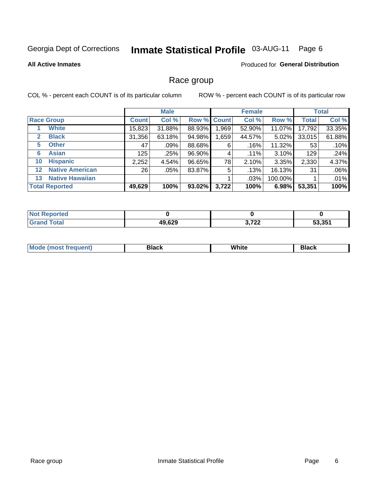#### **Inmate Statistical Profile 03-AUG-11** Page 6

#### **All Active Inmates**

### **Produced for General Distribution**

### Race group

COL % - percent each COUNT is of its particular column

|              |                        |              | <b>Male</b> |        |             | <b>Female</b> |          |              | <b>Total</b> |
|--------------|------------------------|--------------|-------------|--------|-------------|---------------|----------|--------------|--------------|
|              | <b>Race Group</b>      | <b>Count</b> | Col %       |        | Row % Count | Col %         | Row %    | <b>Total</b> | Col %        |
|              | <b>White</b>           | 15,823       | 31.88%      | 88.93% | ,969        | 52.90%        | 11.07%   | 17,792       | 33.35%       |
| $\mathbf{2}$ | <b>Black</b>           | 31,356       | 63.18%      | 94.98% | .659        | 44.57%        | $5.02\%$ | 33,015       | 61.88%       |
| 5            | <b>Other</b>           | 47           | .09%        | 88.68% | 6           | .16%          | 11.32%   | 53           | .10%         |
| 6            | <b>Asian</b>           | 125          | .25%        | 96.90% | 4           | .11%          | 3.10%    | 129          | .24%         |
| 10           | <b>Hispanic</b>        | 2,252        | 4.54%       | 96.65% | 78          | 2.10%         | 3.35%    | 2,330        | 4.37%        |
| $12 \,$      | <b>Native American</b> | 26           | .05%        | 83.87% | 5           | .13%          | 16.13%   | 31           | .06%         |
| 13           | <b>Native Hawaiian</b> |              |             |        |             | $.03\%$       | 100.00%  |              | .01%         |
|              | <b>Total Reported</b>  | 49,629       | 100%        | 93.02% | 3,722       | 100%          | 6.98%    | 53,351       | 100%         |

| Reported<br><b>NOT</b> |        |                             |        |
|------------------------|--------|-----------------------------|--------|
| Total<br>"Grand        | 49,629 | 2.700<br>, , , , <u>, ,</u> | 53.351 |

| M.<br>____ | . | ------- |
|------------|---|---------|
|            |   |         |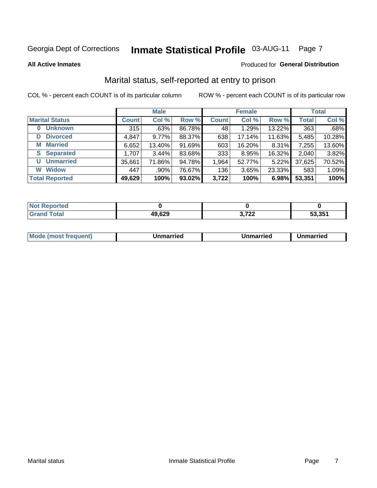## Inmate Statistical Profile 03-AUG-11 Page 7

**All Active Inmates** 

#### Produced for General Distribution

### Marital status, self-reported at entry to prison

COL % - percent each COUNT is of its particular column

|                            |              | <b>Male</b> |        |              | <b>Female</b> |        |              | <b>Total</b> |
|----------------------------|--------------|-------------|--------|--------------|---------------|--------|--------------|--------------|
| <b>Marital Status</b>      | <b>Count</b> | Col %       | Row %  | <b>Count</b> | Col %         | Row %  | <b>Total</b> | Col %        |
| <b>Unknown</b><br>$\bf{0}$ | 315          | .63%        | 86.78% | 48           | 1.29%         | 13.22% | 363          | .68%         |
| <b>Divorced</b><br>D       | 4,847        | 9.77%       | 88.37% | 638          | 17.14%        | 11.63% | 5,485        | 10.28%       |
| <b>Married</b><br>М        | 6,652        | 13.40%      | 91.69% | 603          | 16.20%        | 8.31%  | 7,255        | 13.60%       |
| <b>Separated</b><br>S      | 1,707        | 3.44%       | 83.68% | 333          | 8.95%         | 16.32% | 2,040        | 3.82%        |
| <b>Unmarried</b><br>U      | 35,661       | 71.86%      | 94.78% | 1,964        | 52.77%        | 5.22%  | 37,625       | 70.52%       |
| <b>Widow</b><br>W          | 447          | .90%        | 76.67% | 136          | 3.65%         | 23.33% | 583          | 1.09%        |
| <b>Total Reported</b>      | 49,629       | 100%        | 93.02% | 3,722        | 100%          | 6.98%  | 53,351       | 100%         |

| <b>Not Reported</b> |        |                |        |
|---------------------|--------|----------------|--------|
| Total<br>Cror       | 49,629 | 700<br>v.<br>. | 53.351 |

|--|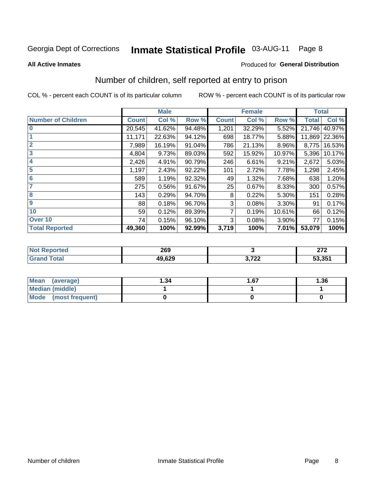## Inmate Statistical Profile 03-AUG-11 Page 8

#### **All Active Inmates**

### **Produced for General Distribution**

### Number of children, self reported at entry to prison

COL % - percent each COUNT is of its particular column

|                           |              | <b>Male</b> |        |              | <b>Female</b> |        | <b>Total</b> |        |
|---------------------------|--------------|-------------|--------|--------------|---------------|--------|--------------|--------|
| <b>Number of Children</b> | <b>Count</b> | Col %       | Row %  | <b>Count</b> | Col %         | Row %  | <b>Total</b> | Col %  |
| $\overline{0}$            | 20,545       | 41.62%      | 94.48% | 1,201        | 32.29%        | 5.52%  | 21,746       | 40.97% |
|                           | 11,171       | 22.63%      | 94.12% | 698          | 18.77%        | 5.88%  | 11,869       | 22.36% |
| $\overline{2}$            | 7,989        | 16.19%      | 91.04% | 786          | 21.13%        | 8.96%  | 8,775        | 16.53% |
| $\overline{\mathbf{3}}$   | 4,804        | 9.73%       | 89.03% | 592          | 15.92%        | 10.97% | 5,396        | 10.17% |
| 4                         | 2,426        | 4.91%       | 90.79% | 246          | 6.61%         | 9.21%  | 2,672        | 5.03%  |
| 5                         | 1,197        | 2.43%       | 92.22% | 101          | 2.72%         | 7.78%  | 1,298        | 2.45%  |
| $\overline{6}$            | 589          | 1.19%       | 92.32% | 49           | 1.32%         | 7.68%  | 638          | 1.20%  |
| 7                         | 275          | 0.56%       | 91.67% | 25           | 0.67%         | 8.33%  | 300          | 0.57%  |
| 8                         | 143          | 0.29%       | 94.70% | 8            | 0.22%         | 5.30%  | 151          | 0.28%  |
| $\boldsymbol{9}$          | 88           | 0.18%       | 96.70% | 3            | 0.08%         | 3.30%  | 91           | 0.17%  |
| 10                        | 59           | 0.12%       | 89.39% | 7            | 0.19%         | 10.61% | 66           | 0.12%  |
| Over 10                   | 74           | 0.15%       | 96.10% | 3            | 0.08%         | 3.90%  | 77           | 0.15%  |
| <b>Total Reported</b>     | 49,360       | 100%        | 92.99% | 3,719        | 100%          | 7.01%  | 53,079       | 100%   |

| 269    |                                    | 272<br>- |
|--------|------------------------------------|----------|
| 49,629 | 700<br>$\mathbf{v}$ , i al<br>$ -$ | 53,351   |

| Mean<br>(average)    | 1.34 | 67. ا | 1.36 |
|----------------------|------|-------|------|
| Median (middle)      |      |       |      |
| Mode (most frequent) |      |       |      |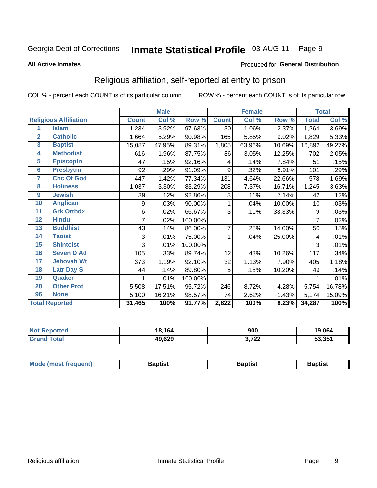#### **Inmate Statistical Profile 03-AUG-11** Page 9

#### **All Active Inmates**

#### Produced for General Distribution

### Religious affiliation, self-reported at entry to prison

COL % - percent each COUNT is of its particular column

|                |                              |              | <b>Male</b> |         |                | <b>Female</b> |        |              | <b>Total</b> |
|----------------|------------------------------|--------------|-------------|---------|----------------|---------------|--------|--------------|--------------|
|                | <b>Religious Affiliation</b> | <b>Count</b> | Col %       | Row %   | <b>Count</b>   | Col %         | Row %  | <b>Total</b> | Col %        |
| 1              | <b>Islam</b>                 | 1,234        | 3.92%       | 97.63%  | 30             | 1.06%         | 2.37%  | 1,264        | 3.69%        |
| $\overline{2}$ | <b>Catholic</b>              | 1,664        | 5.29%       | 90.98%  | 165            | 5.85%         | 9.02%  | 1,829        | 5.33%        |
| 3              | <b>Baptist</b>               | 15,087       | 47.95%      | 89.31%  | 1,805          | 63.96%        | 10.69% | 16,892       | 49.27%       |
| 4              | <b>Methodist</b>             | 616          | 1.96%       | 87.75%  | 86             | 3.05%         | 12.25% | 702          | 2.05%        |
| 5              | <b>EpiscopIn</b>             | 47           | .15%        | 92.16%  | 4              | .14%          | 7.84%  | 51           | .15%         |
| $6\phantom{a}$ | <b>Presbytrn</b>             | 92           | .29%        | 91.09%  | 9              | .32%          | 8.91%  | 101          | .29%         |
| 7              | <b>Chc Of God</b>            | 447          | 1.42%       | 77.34%  | 131            | 4.64%         | 22.66% | 578          | 1.69%        |
| 8              | <b>Holiness</b>              | 1,037        | 3.30%       | 83.29%  | 208            | 7.37%         | 16.71% | 1,245        | 3.63%        |
| 9              | <b>Jewish</b>                | 39           | .12%        | 92.86%  | 3              | .11%          | 7.14%  | 42           | .12%         |
| 10             | <b>Anglican</b>              | 9            | .03%        | 90.00%  | 1              | .04%          | 10.00% | 10           | .03%         |
| 11             | <b>Grk Orthdx</b>            | 6            | .02%        | 66.67%  | 3              | .11%          | 33.33% | 9            | .03%         |
| 12             | <b>Hindu</b>                 | 7            | .02%        | 100.00% |                |               |        | 7            | .02%         |
| 13             | <b>Buddhist</b>              | 43           | .14%        | 86.00%  | $\overline{7}$ | .25%          | 14.00% | 50           | .15%         |
| 14             | <b>Taoist</b>                | 3            | .01%        | 75.00%  | 1              | .04%          | 25.00% | 4            | .01%         |
| 15             | <b>Shintoist</b>             | 3            | .01%        | 100.00% |                |               |        | 3            | .01%         |
| 16             | <b>Seven D Ad</b>            | 105          | .33%        | 89.74%  | 12             | .43%          | 10.26% | 117          | .34%         |
| 17             | <b>Jehovah Wt</b>            | 373          | 1.19%       | 92.10%  | 32             | 1.13%         | 7.90%  | 405          | 1.18%        |
| 18             | <b>Latr Day S</b>            | 44           | .14%        | 89.80%  | 5              | .18%          | 10.20% | 49           | .14%         |
| 19             | Quaker                       |              | .01%        | 100.00% |                |               |        |              | .01%         |
| 20             | <b>Other Prot</b>            | 5,508        | 17.51%      | 95.72%  | 246            | 8.72%         | 4.28%  | 5,754        | 16.78%       |
| 96             | <b>None</b>                  | 5,100        | 16.21%      | 98.57%  | 74             | 2.62%         | 1.43%  | 5,174        | 15.09%       |
|                | <b>Total Reported</b>        | 31,465       | 100%        | 91.77%  | 2,822          | 100%          | 8.23%  | 34,287       | 100%         |

| Reported<br>∵N∩\      | 18,164 | 900            | 19,064 |
|-----------------------|--------|----------------|--------|
| `otal<br><b>Grand</b> | 49,629 | ממד מ<br>3.122 | 53,351 |

| Baptist<br>Baptist<br><b>Baptist</b> |  | <b>Mode (most frequent)</b> |  |  |  |
|--------------------------------------|--|-----------------------------|--|--|--|
|--------------------------------------|--|-----------------------------|--|--|--|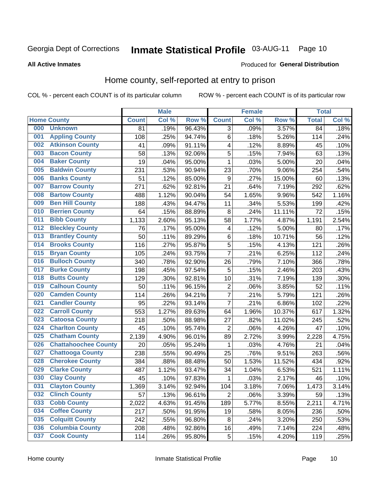## Inmate Statistical Profile 03-AUG-11 Page 10

**All Active Inmates** 

#### Produced for General Distribution

### Home county, self-reported at entry to prison

COL % - percent each COUNT is of its particular column

|     |                             |              | <b>Male</b> |                  |                  | <b>Female</b> |        | <b>Total</b>    |       |
|-----|-----------------------------|--------------|-------------|------------------|------------------|---------------|--------|-----------------|-------|
|     | <b>Home County</b>          | <b>Count</b> | Col %       | Row <sup>%</sup> | <b>Count</b>     | Col %         | Row %  | <b>Total</b>    | Col % |
| 000 | <b>Unknown</b>              | 81           | .19%        | 96.43%           | 3                | .09%          | 3.57%  | $\overline{84}$ | .18%  |
| 001 | <b>Appling County</b>       | 108          | .25%        | 94.74%           | $\,6$            | .18%          | 5.26%  | 114             | .24%  |
| 002 | <b>Atkinson County</b>      | 41           | .09%        | 91.11%           | $\overline{4}$   | .12%          | 8.89%  | 45              | .10%  |
| 003 | <b>Bacon County</b>         | 58           | .13%        | 92.06%           | 5                | .15%          | 7.94%  | 63              | .13%  |
| 004 | <b>Baker County</b>         | 19           | .04%        | 95.00%           | $\mathbf{1}$     | .03%          | 5.00%  | 20              | .04%  |
| 005 | <b>Baldwin County</b>       | 231          | .53%        | 90.94%           | 23               | .70%          | 9.06%  | 254             | .54%  |
| 006 | <b>Banks County</b>         | 51           | .12%        | 85.00%           | $\boldsymbol{9}$ | .27%          | 15.00% | 60              | .13%  |
| 007 | <b>Barrow County</b>        | 271          | .62%        | 92.81%           | 21               | .64%          | 7.19%  | 292             | .62%  |
| 008 | <b>Bartow County</b>        | 488          | 1.12%       | 90.04%           | 54               | 1.65%         | 9.96%  | 542             | 1.16% |
| 009 | <b>Ben Hill County</b>      | 188          | .43%        | 94.47%           | 11               | .34%          | 5.53%  | 199             | .42%  |
| 010 | <b>Berrien County</b>       | 64           | .15%        | 88.89%           | 8                | .24%          | 11.11% | 72              | .15%  |
| 011 | <b>Bibb County</b>          | 1,133        | 2.60%       | 95.13%           | 58               | 1.77%         | 4.87%  | 1,191           | 2.54% |
| 012 | <b>Bleckley County</b>      | 76           | .17%        | 95.00%           | 4                | .12%          | 5.00%  | 80              | .17%  |
| 013 | <b>Brantley County</b>      | 50           | .11%        | 89.29%           | $\,6$            | .18%          | 10.71% | 56              | .12%  |
| 014 | <b>Brooks County</b>        | 116          | .27%        | 95.87%           | 5                | .15%          | 4.13%  | 121             | .26%  |
| 015 | <b>Bryan County</b>         | 105          | .24%        | 93.75%           | 7                | .21%          | 6.25%  | 112             | .24%  |
| 016 | <b>Bulloch County</b>       | 340          | .78%        | 92.90%           | 26               | .79%          | 7.10%  | 366             | .78%  |
| 017 | <b>Burke County</b>         | 198          | .45%        | 97.54%           | 5                | .15%          | 2.46%  | 203             | .43%  |
| 018 | <b>Butts County</b>         | 129          | .30%        | 92.81%           | 10               | .31%          | 7.19%  | 139             | .30%  |
| 019 | <b>Calhoun County</b>       | 50           | .11%        | 96.15%           | $\overline{c}$   | .06%          | 3.85%  | 52              | .11%  |
| 020 | <b>Camden County</b>        | 114          | .26%        | 94.21%           | $\overline{7}$   | .21%          | 5.79%  | 121             | .26%  |
| 021 | <b>Candler County</b>       | 95           | .22%        | 93.14%           | $\overline{7}$   | .21%          | 6.86%  | 102             | .22%  |
| 022 | <b>Carroll County</b>       | 553          | 1.27%       | 89.63%           | 64               | 1.96%         | 10.37% | 617             | 1.32% |
| 023 | <b>Catoosa County</b>       | 218          | .50%        | 88.98%           | 27               | .82%          | 11.02% | 245             | .52%  |
| 024 | <b>Charlton County</b>      | 45           | .10%        | 95.74%           | $\overline{2}$   | .06%          | 4.26%  | 47              | .10%  |
| 025 | <b>Chatham County</b>       | 2,139        | 4.90%       | 96.01%           | 89               | 2.72%         | 3.99%  | 2,228           | 4.75% |
| 026 | <b>Chattahoochee County</b> | 20           | .05%        | 95.24%           | 1                | .03%          | 4.76%  | 21              | .04%  |
| 027 | <b>Chattooga County</b>     | 238          | .55%        | 90.49%           | 25               | .76%          | 9.51%  | 263             | .56%  |
| 028 | <b>Cherokee County</b>      | 384          | .88%        | 88.48%           | 50               | 1.53%         | 11.52% | 434             | .92%  |
| 029 | <b>Clarke County</b>        | 487          | 1.12%       | 93.47%           | 34               | 1.04%         | 6.53%  | 521             | 1.11% |
| 030 | <b>Clay County</b>          | 45           | .10%        | 97.83%           | $\mathbf{1}$     | .03%          | 2.17%  | 46              | .10%  |
| 031 | <b>Clayton County</b>       | 1,369        | 3.14%       | 92.94%           | 104              | 3.18%         | 7.06%  | 1,473           | 3.14% |
| 032 | <b>Clinch County</b>        | 57           | .13%        | 96.61%           | $\overline{2}$   | .06%          | 3.39%  | 59              | .13%  |
| 033 | <b>Cobb County</b>          | 2,022        | 4.63%       | 91.45%           | 189              | 5.77%         | 8.55%  | 2,211           | 4.71% |
| 034 | <b>Coffee County</b>        | 217          | .50%        | 91.95%           | 19               | .58%          | 8.05%  | 236             | .50%  |
| 035 | <b>Colquitt County</b>      | 242          | .55%        | 96.80%           | 8                | .24%          | 3.20%  | 250             | .53%  |
| 036 | <b>Columbia County</b>      | 208          | .48%        | 92.86%           | 16               | .49%          | 7.14%  | 224             | .48%  |
| 037 | <b>Cook County</b>          | 114          | .26%        | 95.80%           | 5                | .15%          | 4.20%  | 119             | .25%  |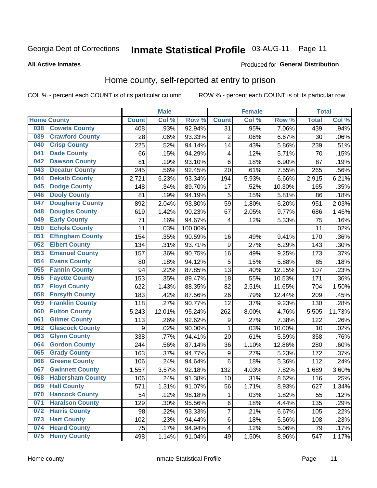## Inmate Statistical Profile 03-AUG-11 Page 11

### **All Active Inmates**

### Produced for General Distribution

### Home county, self-reported at entry to prison

COL % - percent each COUNT is of its particular column

|     |                         |              | <b>Male</b> |                  |                         | <b>Female</b> |        | <b>Total</b> |        |
|-----|-------------------------|--------------|-------------|------------------|-------------------------|---------------|--------|--------------|--------|
|     | <b>Home County</b>      | <b>Count</b> | Col %       | Row <sup>%</sup> | <b>Count</b>            | Col %         | Row %  | <b>Total</b> | Col %  |
| 038 | <b>Coweta County</b>    | 408          | .93%        | 92.94%           | 31                      | .95%          | 7.06%  | 439          | .94%   |
| 039 | <b>Crawford County</b>  | 28           | .06%        | 93.33%           | $\overline{2}$          | .06%          | 6.67%  | 30           | .06%   |
| 040 | <b>Crisp County</b>     | 225          | .52%        | 94.14%           | 14                      | .43%          | 5.86%  | 239          | .51%   |
| 041 | <b>Dade County</b>      | 66           | .15%        | 94.29%           | 4                       | .12%          | 5.71%  | 70           | .15%   |
| 042 | <b>Dawson County</b>    | 81           | .19%        | 93.10%           | $\,6$                   | .18%          | 6.90%  | 87           | .19%   |
| 043 | <b>Decatur County</b>   | 245          | .56%        | 92.45%           | 20                      | .61%          | 7.55%  | 265          | .56%   |
| 044 | <b>Dekalb County</b>    | 2,721        | 6.23%       | 93.34%           | 194                     | 5.93%         | 6.66%  | 2,915        | 6.21%  |
| 045 | <b>Dodge County</b>     | 148          | .34%        | 89.70%           | 17                      | .52%          | 10.30% | 165          | .35%   |
| 046 | <b>Dooly County</b>     | 81           | .19%        | 94.19%           | 5                       | .15%          | 5.81%  | 86           | .18%   |
| 047 | <b>Dougherty County</b> | 892          | 2.04%       | 93.80%           | 59                      | 1.80%         | 6.20%  | 951          | 2.03%  |
| 048 | <b>Douglas County</b>   | 619          | 1.42%       | 90.23%           | 67                      | 2.05%         | 9.77%  | 686          | 1.46%  |
| 049 | <b>Early County</b>     | 71           | .16%        | 94.67%           | 4                       | .12%          | 5.33%  | 75           | .16%   |
| 050 | <b>Echols County</b>    | 11           | .03%        | 100.00%          |                         |               |        | 11           | .02%   |
| 051 | <b>Effingham County</b> | 154          | .35%        | 90.59%           | 16                      | .49%          | 9.41%  | 170          | .36%   |
| 052 | <b>Elbert County</b>    | 134          | .31%        | 93.71%           | $\boldsymbol{9}$        | .27%          | 6.29%  | 143          | .30%   |
| 053 | <b>Emanuel County</b>   | 157          | .36%        | 90.75%           | 16                      | .49%          | 9.25%  | 173          | .37%   |
| 054 | <b>Evans County</b>     | 80           | .18%        | 94.12%           | 5                       | .15%          | 5.88%  | 85           | .18%   |
| 055 | <b>Fannin County</b>    | 94           | .22%        | 87.85%           | 13                      | .40%          | 12.15% | 107          | .23%   |
| 056 | <b>Fayette County</b>   | 153          | .35%        | 89.47%           | 18                      | .55%          | 10.53% | 171          | .36%   |
| 057 | <b>Floyd County</b>     | 622          | 1.43%       | 88.35%           | 82                      | 2.51%         | 11.65% | 704          | 1.50%  |
| 058 | <b>Forsyth County</b>   | 183          | .42%        | 87.56%           | 26                      | .79%          | 12.44% | 209          | .45%   |
| 059 | <b>Franklin County</b>  | 118          | .27%        | 90.77%           | 12                      | .37%          | 9.23%  | 130          | .28%   |
| 060 | <b>Fulton County</b>    | 5,243        | 12.01%      | 95.24%           | 262                     | 8.00%         | 4.76%  | 5,505        | 11.73% |
| 061 | <b>Gilmer County</b>    | 113          | .26%        | 92.62%           | 9                       | .27%          | 7.38%  | 122          | .26%   |
| 062 | <b>Glascock County</b>  | 9            | .02%        | 90.00%           | $\mathbf{1}$            | .03%          | 10.00% | 10           | .02%   |
| 063 | <b>Glynn County</b>     | 338          | .77%        | 94.41%           | 20                      | .61%          | 5.59%  | 358          | .76%   |
| 064 | <b>Gordon County</b>    | 244          | .56%        | 87.14%           | 36                      | 1.10%         | 12.86% | 280          | .60%   |
| 065 | <b>Grady County</b>     | 163          | .37%        | 94.77%           | 9                       | .27%          | 5.23%  | 172          | .37%   |
| 066 | <b>Greene County</b>    | 106          | .24%        | 94.64%           | $\,6$                   | .18%          | 5.36%  | 112          | .24%   |
| 067 | <b>Gwinnett County</b>  | 1,557        | 3.57%       | 92.18%           | 132                     | 4.03%         | 7.82%  | 1,689        | 3.60%  |
| 068 | <b>Habersham County</b> | 106          | .24%        | 91.38%           | 10                      | .31%          | 8.62%  | 116          | .25%   |
| 069 | <b>Hall County</b>      | 571          | 1.31%       | 91.07%           | 56                      | 1.71%         | 8.93%  | 627          | 1.34%  |
| 070 | <b>Hancock County</b>   | 54           | .12%        | 98.18%           | 1                       | .03%          | 1.82%  | 55           | .12%   |
| 071 | <b>Haralson County</b>  | 129          | .30%        | 95.56%           | $\,6$                   | .18%          | 4.44%  | 135          | .29%   |
| 072 | <b>Harris County</b>    | 98           | .22%        | 93.33%           | $\overline{7}$          | .21%          | 6.67%  | 105          | .22%   |
| 073 | <b>Hart County</b>      | 102          | .23%        | 94.44%           | 6                       | .18%          | 5.56%  | 108          | .23%   |
| 074 | <b>Heard County</b>     | 75           | .17%        | 94.94%           | $\overline{\mathbf{4}}$ | .12%          | 5.06%  | 79           | .17%   |
| 075 | <b>Henry County</b>     | 498          | 1.14%       | 91.04%           | 49                      | 1.50%         | 8.96%  | 547          | 1.17%  |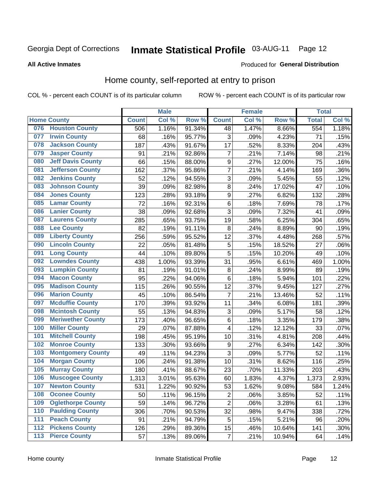#### **Inmate Statistical Profile 03-AUG-11** Page 12

#### **All Active Inmates**

#### Produced for General Distribution

### Home county, self-reported at entry to prison

COL % - percent each COUNT is of its particular column

|                  |                          |              | <b>Male</b> |                  |                         | <b>Female</b> |        | <b>Total</b> |         |
|------------------|--------------------------|--------------|-------------|------------------|-------------------------|---------------|--------|--------------|---------|
|                  | <b>Home County</b>       | <b>Count</b> | Col %       | Row <sup>%</sup> | <b>Count</b>            | Col %         | Row %  | <b>Total</b> | Col %   |
| 076              | <b>Houston County</b>    | 506          | 1.16%       | 91.34%           | 48                      | 1.47%         | 8.66%  | 554          | 1.18%   |
| 077              | <b>Irwin County</b>      | 68           | .16%        | 95.77%           | 3                       | .09%          | 4.23%  | 71           | .15%    |
| 078              | <b>Jackson County</b>    | 187          | .43%        | 91.67%           | 17                      | .52%          | 8.33%  | 204          | .43%    |
| 079              | <b>Jasper County</b>     | 91           | .21%        | 92.86%           | $\overline{7}$          | .21%          | 7.14%  | 98           | .21%    |
| 080              | <b>Jeff Davis County</b> | 66           | .15%        | 88.00%           | 9                       | .27%          | 12.00% | 75           | .16%    |
| 081              | <b>Jefferson County</b>  | 162          | .37%        | 95.86%           | 7                       | .21%          | 4.14%  | 169          | .36%    |
| 082              | <b>Jenkins County</b>    | 52           | .12%        | 94.55%           | 3                       | .09%          | 5.45%  | 55           | .12%    |
| 083              | <b>Johnson County</b>    | 39           | .09%        | 82.98%           | 8                       | .24%          | 17.02% | 47           | .10%    |
| 084              | <b>Jones County</b>      | 123          | .28%        | 93.18%           | 9                       | .27%          | 6.82%  | 132          | .28%    |
| 085              | <b>Lamar County</b>      | 72           | .16%        | 92.31%           | 6                       | .18%          | 7.69%  | 78           | .17%    |
| 086              | <b>Lanier County</b>     | 38           | .09%        | 92.68%           | 3                       | .09%          | 7.32%  | 41           | .09%    |
| 087              | <b>Laurens County</b>    | 285          | .65%        | 93.75%           | 19                      | .58%          | 6.25%  | 304          | .65%    |
| 088              | <b>Lee County</b>        | 82           | .19%        | 91.11%           | 8                       | .24%          | 8.89%  | 90           | .19%    |
| 089              | <b>Liberty County</b>    | 256          | .59%        | 95.52%           | 12                      | .37%          | 4.48%  | 268          | .57%    |
| 090              | <b>Lincoln County</b>    | 22           | .05%        | 81.48%           | 5                       | .15%          | 18.52% | 27           | .06%    |
| 091              | <b>Long County</b>       | 44           | .10%        | 89.80%           | 5                       | .15%          | 10.20% | 49           | .10%    |
| 092              | <b>Lowndes County</b>    | 438          | 1.00%       | 93.39%           | 31                      | .95%          | 6.61%  | 469          | 1.00%   |
| 093              | <b>Lumpkin County</b>    | 81           | .19%        | 91.01%           | $\bf 8$                 | .24%          | 8.99%  | 89           | .19%    |
| 094              | <b>Macon County</b>      | 95           | .22%        | 94.06%           | 6                       | .18%          | 5.94%  | 101          | .22%    |
| 095              | <b>Madison County</b>    | 115          | .26%        | 90.55%           | 12                      | .37%          | 9.45%  | 127          | .27%    |
| 096              | <b>Marion County</b>     | 45           | .10%        | 86.54%           | 7                       | .21%          | 13.46% | 52           | .11%    |
| 097              | <b>Mcduffie County</b>   | 170          | .39%        | 93.92%           | 11                      | .34%          | 6.08%  | 181          | .39%    |
| 098              | <b>Mcintosh County</b>   | 55           | .13%        | 94.83%           | 3                       | .09%          | 5.17%  | 58           | .12%    |
| 099              | <b>Meriwether County</b> | 173          | .40%        | 96.65%           | 6                       | .18%          | 3.35%  | 179          | .38%    |
| 100              | <b>Miller County</b>     | 29           | .07%        | 87.88%           | 4                       | .12%          | 12.12% | 33           | .07%    |
| 101              | <b>Mitchell County</b>   | 198          | .45%        | 95.19%           | 10                      | .31%          | 4.81%  | 208          | .44%    |
| 102              | <b>Monroe County</b>     | 133          | .30%        | 93.66%           | $\boldsymbol{9}$        | .27%          | 6.34%  | 142          | .30%    |
| 103              | <b>Montgomery County</b> | 49           | .11%        | 94.23%           | 3                       | .09%          | 5.77%  | 52           | .11%    |
| 104              | <b>Morgan County</b>     | 106          | .24%        | 91.38%           | 10                      | .31%          | 8.62%  | 116          | .25%    |
| 105              | <b>Murray County</b>     | 180          | .41%        | 88.67%           | 23                      | .70%          | 11.33% | 203          | .43%    |
| 106              | <b>Muscogee County</b>   | 1,313        | 3.01%       | 95.63%           | 60                      | 1.83%         | 4.37%  | 1,373        | 2.93%   |
| 107              | <b>Newton County</b>     | 531          | 1.22%       | 90.92%           | 53                      | 1.62%         | 9.08%  | 584          | 1.24%   |
| 108              | <b>Oconee County</b>     | 50           | .11%        | 96.15%           | $\overline{2}$          | .06%          | 3.85%  | 52           | .11%    |
| 109              | <b>Oglethorpe County</b> | 59           | .14%        | 96.72%           | $\overline{2}$          | .06%          | 3.28%  | 61           | .13%    |
| 110              | <b>Paulding County</b>   | 306          | .70%        | 90.53%           | 32                      | .98%          | 9.47%  | 338          | .72%    |
| 111              | <b>Peach County</b>      | 91           | .21%        | 94.79%           | 5                       | .15%          | 5.21%  | 96           | .20%    |
| $\overline{112}$ | <b>Pickens County</b>    | 126          | .29%        | 89.36%           | 15                      | .46%          | 10.64% | 141          | $.30\%$ |
| 113              | <b>Pierce County</b>     | 57           | .13%        | 89.06%           | $\overline{\mathbf{7}}$ | .21%          | 10.94% | 64           | .14%    |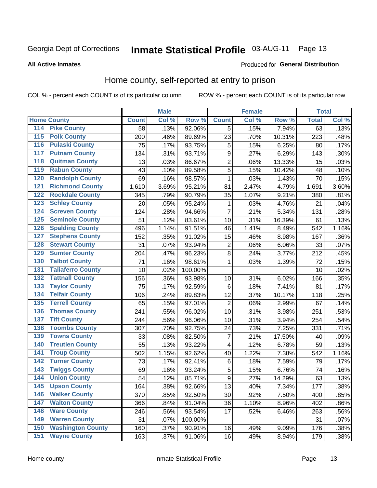#### **Inmate Statistical Profile 03-AUG-11** Page 13

#### **All Active Inmates**

#### Produced for General Distribution

### Home county, self-reported at entry to prison

COL % - percent each COUNT is of its particular column

|                                 |                  | <b>Male</b> |         |                | <b>Female</b> |        | <b>Total</b> |       |
|---------------------------------|------------------|-------------|---------|----------------|---------------|--------|--------------|-------|
| <b>Home County</b>              | <b>Count</b>     | Col %       | Row %   | <b>Count</b>   | Col %         | Row %  | <b>Total</b> | Col % |
| 114<br><b>Pike County</b>       | 58               | .13%        | 92.06%  | 5              | .15%          | 7.94%  | 63           | .13%  |
| <b>Polk County</b><br>115       | 200              | .46%        | 89.69%  | 23             | .70%          | 10.31% | 223          | .48%  |
| <b>Pulaski County</b><br>116    | 75               | .17%        | 93.75%  | 5              | .15%          | 6.25%  | 80           | .17%  |
| <b>Putnam County</b><br>117     | 134              | .31%        | 93.71%  | 9              | .27%          | 6.29%  | 143          | .30%  |
| 118<br><b>Quitman County</b>    | 13               | .03%        | 86.67%  | $\overline{2}$ | .06%          | 13.33% | 15           | .03%  |
| <b>Rabun County</b><br>119      | 43               | .10%        | 89.58%  | 5              | .15%          | 10.42% | 48           | .10%  |
| <b>Randolph County</b><br>120   | 69               | .16%        | 98.57%  | $\mathbf{1}$   | .03%          | 1.43%  | 70           | .15%  |
| <b>Richmond County</b><br>121   | 1,610            | 3.69%       | 95.21%  | 81             | 2.47%         | 4.79%  | 1,691        | 3.60% |
| <b>Rockdale County</b><br>122   | 345              | .79%        | 90.79%  | 35             | 1.07%         | 9.21%  | 380          | .81%  |
| <b>Schley County</b><br>123     | 20               | .05%        | 95.24%  | 1              | .03%          | 4.76%  | 21           | .04%  |
| <b>Screven County</b><br>124    | 124              | .28%        | 94.66%  | $\overline{7}$ | .21%          | 5.34%  | 131          | .28%  |
| <b>Seminole County</b><br>125   | 51               | .12%        | 83.61%  | 10             | .31%          | 16.39% | 61           | .13%  |
| <b>Spalding County</b><br>126   | 496              | 1.14%       | 91.51%  | 46             | 1.41%         | 8.49%  | 542          | 1.16% |
| <b>Stephens County</b><br>127   | 152              | .35%        | 91.02%  | 15             | .46%          | 8.98%  | 167          | .36%  |
| <b>Stewart County</b><br>128    | 31               | .07%        | 93.94%  | $\overline{c}$ | .06%          | 6.06%  | 33           | .07%  |
| <b>Sumter County</b><br>129     | 204              | .47%        | 96.23%  | 8              | .24%          | 3.77%  | 212          | .45%  |
| <b>Talbot County</b><br>130     | 71               | .16%        | 98.61%  | 1              | .03%          | 1.39%  | 72           | .15%  |
| <b>Taliaferro County</b><br>131 | 10               | .02%        | 100.00% |                |               |        | 10           | .02%  |
| <b>Tattnall County</b><br>132   | 156              | .36%        | 93.98%  | 10             | .31%          | 6.02%  | 166          | .35%  |
| <b>Taylor County</b><br>133     | 75               | .17%        | 92.59%  | 6              | .18%          | 7.41%  | 81           | .17%  |
| <b>Telfair County</b><br>134    | 106              | .24%        | 89.83%  | 12             | .37%          | 10.17% | 118          | .25%  |
| <b>Terrell County</b><br>135    | 65               | .15%        | 97.01%  | $\overline{2}$ | .06%          | 2.99%  | 67           | .14%  |
| <b>Thomas County</b><br>136     | $\overline{2}41$ | .55%        | 96.02%  | 10             | .31%          | 3.98%  | 251          | .53%  |
| <b>Tift County</b><br>137       | 244              | .56%        | 96.06%  | 10             | .31%          | 3.94%  | 254          | .54%  |
| <b>Toombs County</b><br>138     | 307              | .70%        | 92.75%  | 24             | .73%          | 7.25%  | 331          | .71%  |
| <b>Towns County</b><br>139      | 33               | .08%        | 82.50%  | 7              | .21%          | 17.50% | 40           | .09%  |
| <b>Treutlen County</b><br>140   | 55               | .13%        | 93.22%  | 4              | .12%          | 6.78%  | 59           | .13%  |
| <b>Troup County</b><br>141      | 502              | 1.15%       | 92.62%  | 40             | 1.22%         | 7.38%  | 542          | 1.16% |
| <b>Turner County</b><br>142     | 73               | .17%        | 92.41%  | $\,6$          | .18%          | 7.59%  | 79           | .17%  |
| <b>Twiggs County</b><br>143     | 69               | .16%        | 93.24%  | 5              | .15%          | 6.76%  | 74           | .16%  |
| <b>Union County</b><br>144      | 54               | .12%        | 85.71%  | $\overline{9}$ | .27%          | 14.29% | 63           | .13%  |
| 145<br><b>Upson County</b>      | 164              | .38%        | 92.66%  | 13             | .40%          | 7.34%  | 177          | .38%  |
| <b>Walker County</b><br>146     | 370              | .85%        | 92.50%  | 30             | .92%          | 7.50%  | 400          | .85%  |
| <b>Walton County</b><br>147     | 366              | .84%        | 91.04%  | 36             | 1.10%         | 8.96%  | 402          | .86%  |
| <b>Ware County</b><br>148       | 246              | .56%        | 93.54%  | 17             | .52%          | 6.46%  | 263          | .56%  |
| <b>Warren County</b><br>149     | 31               | .07%        | 100.00% |                |               |        | 31           | .07%  |
| <b>Washington County</b><br>150 | 160              | .37%        | 90.91%  | 16             | .49%          | 9.09%  | 176          | .38%  |
| <b>Wayne County</b><br>151      | 163              | .37%        | 91.06%  | 16             | .49%          | 8.94%  | 179          | .38%  |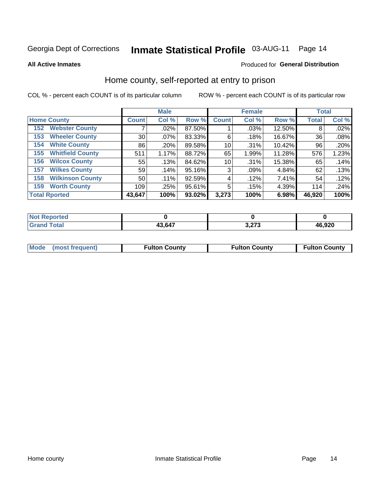## Inmate Statistical Profile 03-AUG-11 Page 14

**All Active Inmates** 

### Produced for General Distribution

### Home county, self-reported at entry to prison

COL % - percent each COUNT is of its particular column

|                                |              | <b>Male</b> |           |                 | <b>Female</b> |        | <b>Total</b> |       |
|--------------------------------|--------------|-------------|-----------|-----------------|---------------|--------|--------------|-------|
| <b>Home County</b>             | <b>Count</b> | Col %       | Row %     | <b>Count</b>    | Col %         | Row %  | <b>Total</b> | Col % |
| <b>Webster County</b><br>152   |              | $.02\%$     | 87.50%    |                 | .03%          | 12.50% | 8            | .02%  |
| <b>Wheeler County</b><br>153   | 30           | $.07\%$     | 83.33%    | 6               | .18%          | 16.67% | 36           | .08%  |
| <b>White County</b><br>154     | 86           | .20%        | 89.58%    | 10 <sup>1</sup> | .31%          | 10.42% | 96           | .20%  |
| <b>Whitfield County</b><br>155 | 511          | 1.17%       | 88.72%    | 65              | 1.99%         | 11.28% | 576          | 1.23% |
| <b>Wilcox County</b><br>156    | 55           | .13%        | 84.62%    | 10              | .31%          | 15.38% | 65           | .14%  |
| <b>Wilkes County</b><br>157    | 59           | .14%        | 95.16%    | 3               | .09%          | 4.84%  | 62           | .13%  |
| <b>Wilkinson County</b><br>158 | 50           | $.11\%$     | 92.59%    | 4               | .12%          | 7.41%  | 54           | .12%  |
| <b>Worth County</b><br>159     | 109          | .25%        | 95.61%    | 5               | .15%          | 4.39%  | 114          | .24%  |
| <b>Total Rported</b>           | 43,647       | 100%        | $93.02\%$ | 3,273           | 100%          | 6.98%  | 46,920       | 100%  |

| ported<br>NOT |        |              |              |
|---------------|--------|--------------|--------------|
| <b>Total</b>  | 43,647 | יים<br>– ' ∨ | .920<br>-41. |

| <b>Mode</b> | (most frequent) | <b>Fulton County</b> | <b>Fulton County</b> | <b>Fulton County</b> |
|-------------|-----------------|----------------------|----------------------|----------------------|
|             |                 |                      |                      |                      |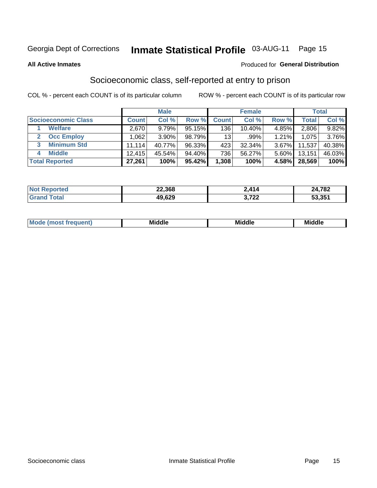## Inmate Statistical Profile 03-AUG-11 Page 15

**All Active Inmates** 

### **Produced for General Distribution**

### Socioeconomic class, self-reported at entry to prison

COL % - percent each COUNT is of its particular column

|                       |        | <b>Male</b> |        |                 | <b>Female</b> |       |        | <b>Total</b> |
|-----------------------|--------|-------------|--------|-----------------|---------------|-------|--------|--------------|
| Socioeconomic Class   | Count⊺ | Col %       | Row %  | <b>Count</b>    | Col %         | Row % | Total, | Col %        |
| <b>Welfare</b>        | 2,670  | 9.79%       | 95.15% | 136             | $10.40\%$     | 4.85% | 2,806  | 9.82%        |
| <b>Occ Employ</b>     | .062   | $3.90\%$    | 98.79% | 13 <sup>1</sup> | $.99\%$       | 1.21% | 1.075  | 3.76%        |
| <b>Minimum Std</b>    | 11.114 | 40.77%      | 96.33% | 423             | 32.34%        | 3.67% | 11,537 | 40.38%       |
| <b>Middle</b>         | 12.415 | 45.54%      | 94.40% | 736             | 56.27%        | 5.60% | 13,151 | 46.03%       |
| <b>Total Reported</b> | 27,261 | 100%        | 95.42% | 1,308           | 100%          | 4.58% | 28,569 | 100%         |

| <b>Not Reno</b><br>orted | 22,368 | 414          | 24,782 |
|--------------------------|--------|--------------|--------|
|                          | 49,629 | ררד כ<br>▎∠∠ | 53,351 |

| ____<br>_____<br>____ |
|-----------------------|
|-----------------------|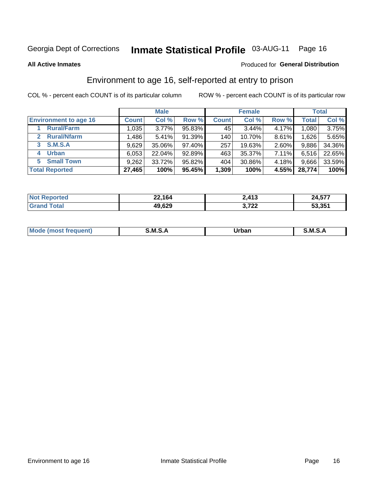## Inmate Statistical Profile 03-AUG-11 Page 16

**All Active Inmates** 

#### Produced for General Distribution

### Environment to age 16, self-reported at entry to prison

COL % - percent each COUNT is of its particular column

|                                    |              | <b>Male</b> |        |              | <b>Female</b> |          |              | <b>Total</b> |
|------------------------------------|--------------|-------------|--------|--------------|---------------|----------|--------------|--------------|
| <b>Environment to age 16</b>       | <b>Count</b> | Col %       | Row %  | <b>Count</b> | Col %         | Row %    | <b>Total</b> | Col %        |
| <b>Rural/Farm</b>                  | 1,035        | 3.77%       | 95.83% | 45           | 3.44%         | 4.17%    | 1,080,       | 3.75%        |
| <b>Rural/Nfarm</b><br>$\mathbf{2}$ | 1,486        | 5.41%       | 91.39% | 140          | 10.70%        | 8.61%    | 1,626        | 5.65%        |
| <b>S.M.S.A</b><br>3                | 9,629        | 35.06%      | 97.40% | 257          | 19.63%        | $2.60\%$ | 9,886        | 34.36%       |
| <b>Urban</b><br>4                  | 6,053        | 22.04%      | 92.89% | 463          | 35.37%        | $7.11\%$ | 6,516        | 22.65%       |
| <b>Small Town</b><br>5.            | 9,262        | 33.72%      | 95.82% | 404          | 30.86%        | 4.18%    | 9,666        | 33.59%       |
| <b>Total Reported</b>              | 27,465       | 100%        | 95.45% | 1,309        | 100%          | 4.55%    | 28,774       | 100%         |

| <b>Not Reported</b> | 22,164 | 2,413           | 24,577 |
|---------------------|--------|-----------------|--------|
| <b>Grand Total</b>  | 49,629 | ררד כ<br>3.I ZZ | 53,351 |

| Mo | M | Irhan<br>rva<br>______ | M<br>______ |
|----|---|------------------------|-------------|
|    |   |                        |             |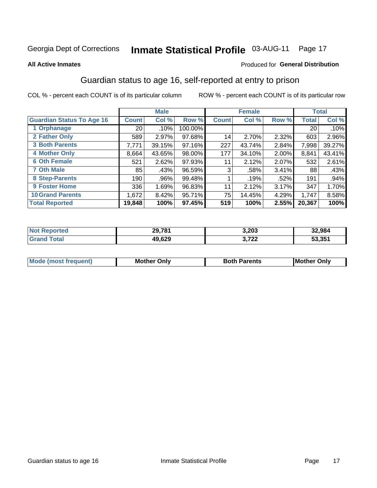## Inmate Statistical Profile 03-AUG-11 Page 17

#### **All Active Inmates**

### Produced for General Distribution

### Guardian status to age 16, self-reported at entry to prison

COL % - percent each COUNT is of its particular column

|                                  |                 | <b>Male</b> |         |              | <b>Female</b> |          |        | <b>Total</b> |
|----------------------------------|-----------------|-------------|---------|--------------|---------------|----------|--------|--------------|
| <b>Guardian Status To Age 16</b> | <b>Count</b>    | Col %       | Row %   | <b>Count</b> | Col %         | Row %    | Total  | Col %        |
| 1 Orphanage                      | 20 <sub>1</sub> | .10%        | 100.00% |              |               |          | 20     | $.10\%$      |
| 2 Father Only                    | 589             | 2.97%       | 97.68%  | 14           | 2.70%         | 2.32%    | 603    | 2.96%        |
| <b>3 Both Parents</b>            | 7,771           | 39.15%      | 97.16%  | 227          | 43.74%        | 2.84%    | 7,998  | 39.27%       |
| <b>4 Mother Only</b>             | 8,664           | 43.65%      | 98.00%  | 177          | 34.10%        | $2.00\%$ | 8,841  | 43.41%       |
| <b>6 Oth Female</b>              | 521             | 2.62%       | 97.93%  | 11           | 2.12%         | 2.07%    | 532    | 2.61%        |
| <b>7 Oth Male</b>                | 85              | .43%        | 96.59%  | 3            | .58%          | 3.41%    | 88     | .43%         |
| 8 Step-Parents                   | 190             | .96%        | 99.48%  |              | .19%          | .52%     | 191    | .94%         |
| 9 Foster Home                    | 336             | 1.69%       | 96.83%  | 11           | 2.12%         | 3.17%    | 347    | 1.70%        |
| <b>10 Grand Parents</b>          | 1,672           | 8.42%       | 95.71%  | 75           | 14.45%        | 4.29%    | 1,747  | 8.58%        |
| <b>Total Reported</b>            | 19,848          | 100%        | 97.45%  | 519          | 100%          | 2.55%    | 20,367 | 100%         |

| <b>orteg</b><br>NO | 29,781 | 3,203         | 32,984 |
|--------------------|--------|---------------|--------|
| . Gr               | 49,629 | フクク<br>J.I LL | 53,351 |

| <b>Mode (most frequent)</b> | วทIv<br>- -<br>MΩ | <b>Roth</b><br>ີ <sup>ລ</sup> າrents | l Mc<br>Only<br>- - |
|-----------------------------|-------------------|--------------------------------------|---------------------|
|                             |                   |                                      |                     |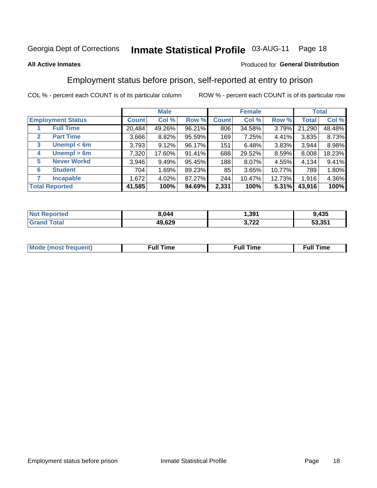#### **Inmate Statistical Profile 03-AUG-11** Page 18

### **All Active Inmates**

### Produced for General Distribution

### Employment status before prison, self-reported at entry to prison

COL % - percent each COUNT is of its particular column

|                                  |              | <b>Male</b> |        |              | <b>Female</b> |        |              | <b>Total</b> |
|----------------------------------|--------------|-------------|--------|--------------|---------------|--------|--------------|--------------|
| <b>Employment Status</b>         | <b>Count</b> | Col %       | Row %  | <b>Count</b> | Col %         | Row %  | <b>Total</b> | Col %        |
| <b>Full Time</b>                 | 20,484       | 49.26%      | 96.21% | 806          | 34.58%        | 3.79%  | 21,290       | 48.48%       |
| <b>Part Time</b><br>$\mathbf{2}$ | 3,666        | 8.82%       | 95.59% | 169          | 7.25%         | 4.41%  | 3,835        | 8.73%        |
| Unempl $<$ 6m<br>3               | 3,793        | 9.12%       | 96.17% | 151          | 6.48%         | 3.83%  | 3,944        | 8.98%        |
| Unempl > 6m<br>4                 | 7,320        | 17.60%      | 91.41% | 688          | 29.52%        | 8.59%  | 8,008        | 18.23%       |
| <b>Never Workd</b><br>5          | 3,946        | 9.49%       | 95.45% | 188          | 8.07%         | 4.55%  | 4,134        | 9.41%        |
| <b>Student</b><br>6              | 704          | 1.69%       | 89.23% | 85           | 3.65%         | 10.77% | 789          | 1.80%        |
| <b>Incapable</b>                 | 1,672        | 4.02%       | 87.27% | 244          | 10.47%        | 12.73% | 1,916        | 4.36%        |
| <b>Total Reported</b>            | 41,585       | 100%        | 94.69% | 2,331        | 100%          | 5.31%  | 43,916       | 100%         |

| <b>vorteo</b><br>NO | 3,044  | 391.،               | ,435   |
|---------------------|--------|---------------------|--------|
| $\sim$ $\sim$       | 49,629 | ממד מ<br>$\epsilon$ | 53,351 |

| Mc | ∙u∥<br>----<br>ıme | ίuΙ<br>Πmε |
|----|--------------------|------------|
|    |                    |            |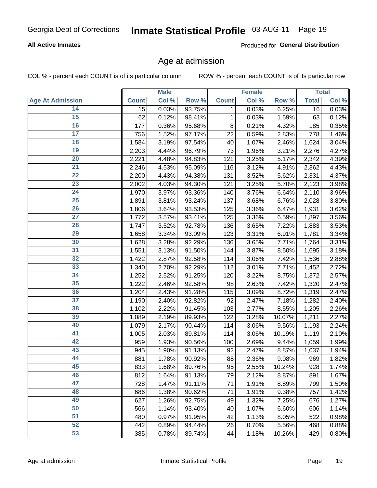### **All Active Inmates**

Produced for General Distribution

### Age at admission

COL % - percent each COUNT is of its particular column

|                         |              | <b>Male</b> |        |              | <b>Female</b> |        |              | <b>Total</b> |
|-------------------------|--------------|-------------|--------|--------------|---------------|--------|--------------|--------------|
| <b>Age At Admission</b> | <b>Count</b> | Col %       | Row %  | <b>Count</b> | Col %         | Row %  | <b>Total</b> | Col %        |
| 14                      | 15           | 0.03%       | 93.75% | 1            | 0.03%         | 6.25%  | 16           | 0.03%        |
| 15                      | 62           | 0.12%       | 98.41% | $\mathbf 1$  | 0.03%         | 1.59%  | 63           | 0.12%        |
| 16                      | 177          | 0.36%       | 95.68% | 8            | 0.21%         | 4.32%  | 185          | 0.35%        |
| $\overline{17}$         | 756          | 1.52%       | 97.17% | 22           | 0.59%         | 2.83%  | 778          | 1.46%        |
| $\overline{18}$         | 1,584        | 3.19%       | 97.54% | 40           | 1.07%         | 2.46%  | 1,624        | 3.04%        |
| 19                      | 2,203        | 4.44%       | 96.79% | 73           | 1.96%         | 3.21%  | 2,276        | 4.27%        |
| $\overline{20}$         | 2,221        | 4.48%       | 94.83% | 121          | 3.25%         | 5.17%  | 2,342        | 4.39%        |
| $\overline{21}$         | 2,246        | 4.53%       | 95.09% | 116          | 3.12%         | 4.91%  | 2,362        | 4.43%        |
| $\overline{22}$         | 2,200        | 4.43%       | 94.38% | 131          | 3.52%         | 5.62%  | 2,331        | 4.37%        |
| 23                      | 2,002        | 4.03%       | 94.30% | 121          | 3.25%         | 5.70%  | 2,123        | 3.98%        |
| $\overline{24}$         | 1,970        | 3.97%       | 93.36% | 140          | 3.76%         | 6.64%  | 2,110        | 3.96%        |
| 25                      | 1,891        | 3.81%       | 93.24% | 137          | 3.68%         | 6.76%  | 2,028        | 3.80%        |
| $\overline{26}$         | 1,806        | 3.64%       | 93.53% | 125          | 3.36%         | 6.47%  | 1,931        | 3.62%        |
| $\overline{27}$         | 1,772        | 3.57%       | 93.41% | 125          | 3.36%         | 6.59%  | 1,897        | 3.56%        |
| 28                      | 1,747        | 3.52%       | 92.78% | 136          | 3.65%         | 7.22%  | 1,883        | 3.53%        |
| 29                      | 1,658        | 3.34%       | 93.09% | 123          | 3.31%         | 6.91%  | 1,781        | 3.34%        |
| 30                      | 1,628        | 3.28%       | 92.29% | 136          | 3.65%         | 7.71%  | 1,764        | 3.31%        |
| $\overline{31}$         | 1,551        | 3.13%       | 91.50% | 144          | 3.87%         | 8.50%  | 1,695        | 3.18%        |
| 32                      | 1,422        | 2.87%       | 92.58% | 114          | 3.06%         | 7.42%  | 1,536        | 2.88%        |
| 33                      | 1,340        | 2.70%       | 92.29% | 112          | 3.01%         | 7.71%  | 1,452        | 2.72%        |
| 34                      | 1,252        | 2.52%       | 91.25% | 120          | 3.22%         | 8.75%  | 1,372        | 2.57%        |
| 35                      | 1,222        | 2.46%       | 92.58% | 98           | 2.63%         | 7.42%  | 1,320        | 2.47%        |
| 36                      | 1,204        | 2.43%       | 91.28% | 115          | 3.09%         | 8.72%  | 1,319        | 2.47%        |
| $\overline{37}$         | 1,190        | 2.40%       | 92.82% | 92           | 2.47%         | 7.18%  | 1,282        | 2.40%        |
| 38                      | 1,102        | 2.22%       | 91.45% | 103          | 2.77%         | 8.55%  | 1,205        | 2.26%        |
| 39                      | 1,089        | 2.19%       | 89.93% | 122          | 3.28%         | 10.07% | 1,211        | 2.27%        |
| 40                      | 1,079        | 2.17%       | 90.44% | 114          | 3.06%         | 9.56%  | 1,193        | 2.24%        |
| 41                      | 1,005        | 2.03%       | 89.81% | 114          | 3.06%         | 10.19% | 1,119        | 2.10%        |
| 42                      | 959          | 1.93%       | 90.56% | 100          | 2.69%         | 9.44%  | 1,059        | 1.99%        |
| 43                      | 945          | 1.90%       | 91.13% | 92           | 2.47%         | 8.87%  | 1,037        | 1.94%        |
| 44                      | 881          | 1.78%       | 90.92% | 88           | 2.36%         | 9.08%  | 969          | 1.82%        |
| 45                      | 833          | 1.68%       | 89.76% | 95           | 2.55%         | 10.24% | 928          | 1.74%        |
| 46                      | 812          | 1.64%       | 91.13% | 79           | 2.12%         | 8.87%  | 891          | 1.67%        |
| 47                      | 728          | 1.47%       | 91.11% | 71           | 1.91%         | 8.89%  | 799          | 1.50%        |
| 48                      | 686          | 1.38%       | 90.62% | 71           | 1.91%         | 9.38%  | 757          | 1.42%        |
| 49                      | 627          | 1.26%       | 92.75% | 49           | 1.32%         | 7.25%  | 676          | 1.27%        |
| 50                      | 566          | 1.14%       | 93.40% | 40           | 1.07%         | 6.60%  | 606          | 1.14%        |
| 51                      | 480          | 0.97%       | 91.95% | 42           | 1.13%         | 8.05%  | 522          | 0.98%        |
| 52                      | 442          | 0.89%       | 94.44% | 26           | 0.70%         | 5.56%  | 468          | 0.88%        |
| 53                      | 385          | 0.78%       | 89.74% | 44           | 1.18%         | 10.26% | 429          | 0.80%        |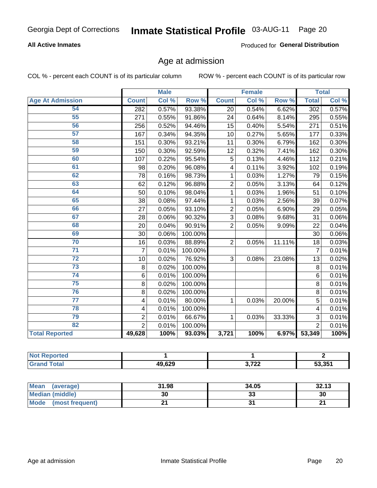### **All Active Inmates**

Produced for General Distribution

### Age at admission

COL % - percent each COUNT is of its particular column

|                         | <b>Male</b>      |       | <b>Female</b> |                 |       | <b>Total</b> |                  |       |
|-------------------------|------------------|-------|---------------|-----------------|-------|--------------|------------------|-------|
| <b>Age At Admission</b> | <b>Count</b>     | Col % | Row %         | <b>Count</b>    | Col % | Row %        | <b>Total</b>     | CoI%  |
| 54                      | $\overline{282}$ | 0.57% | 93.38%        | $\overline{20}$ | 0.54% | 6.62%        | $\overline{302}$ | 0.57% |
| $\overline{55}$         | 271              | 0.55% | 91.86%        | 24              | 0.64% | 8.14%        | 295              | 0.55% |
| 56                      | 256              | 0.52% | 94.46%        | 15              | 0.40% | 5.54%        | 271              | 0.51% |
| 57                      | 167              | 0.34% | 94.35%        | 10              | 0.27% | 5.65%        | 177              | 0.33% |
| 58                      | 151              | 0.30% | 93.21%        | 11              | 0.30% | 6.79%        | 162              | 0.30% |
| 59                      | 150              | 0.30% | 92.59%        | 12              | 0.32% | 7.41%        | 162              | 0.30% |
| 60                      | 107              | 0.22% | 95.54%        | 5               | 0.13% | 4.46%        | 112              | 0.21% |
| 61                      | 98               | 0.20% | 96.08%        | 4               | 0.11% | 3.92%        | 102              | 0.19% |
| 62                      | 78               | 0.16% | 98.73%        | 1               | 0.03% | 1.27%        | 79               | 0.15% |
| 63                      | 62               | 0.12% | 96.88%        | $\overline{2}$  | 0.05% | 3.13%        | 64               | 0.12% |
| 64                      | 50               | 0.10% | 98.04%        | 1               | 0.03% | 1.96%        | 51               | 0.10% |
| 65                      | 38               | 0.08% | 97.44%        | 1               | 0.03% | 2.56%        | 39               | 0.07% |
| 66                      | 27               | 0.05% | 93.10%        | $\overline{2}$  | 0.05% | 6.90%        | 29               | 0.05% |
| 67                      | 28               | 0.06% | 90.32%        | 3               | 0.08% | 9.68%        | 31               | 0.06% |
| 68                      | 20               | 0.04% | 90.91%        | $\overline{2}$  | 0.05% | 9.09%        | $\overline{22}$  | 0.04% |
| 69                      | 30               | 0.06% | 100.00%       |                 |       |              | 30               | 0.06% |
| 70                      | 16               | 0.03% | 88.89%        | $\overline{2}$  | 0.05% | 11.11%       | 18               | 0.03% |
| $\overline{71}$         | $\overline{7}$   | 0.01% | 100.00%       |                 |       |              | $\overline{7}$   | 0.01% |
| $\overline{72}$         | 10               | 0.02% | 76.92%        | 3               | 0.08% | 23.08%       | 13               | 0.02% |
| $\overline{73}$         | 8                | 0.02% | 100.00%       |                 |       |              | 8                | 0.01% |
| 74                      | $\,6$            | 0.01% | 100.00%       |                 |       |              | 6                | 0.01% |
| 75                      | 8                | 0.02% | 100.00%       |                 |       |              | 8                | 0.01% |
| 76                      | 8                | 0.02% | 100.00%       |                 |       |              | 8                | 0.01% |
| $\overline{77}$         | 4                | 0.01% | 80.00%        | 1               | 0.03% | 20.00%       | 5                | 0.01% |
| 78                      | 4                | 0.01% | 100.00%       |                 |       |              | 4                | 0.01% |
| 79                      | $\overline{2}$   | 0.01% | 66.67%        | 1               | 0.03% | 33.33%       | $\overline{3}$   | 0.01% |
| 82                      | $\overline{2}$   | 0.01% | 100.00%       |                 |       |              | $\overline{2}$   | 0.01% |
| <b>Total Reported</b>   | 49,628           | 100%  | 93.03%        | 3,721           | 100%  | 6.97%        | 53,349           | 100%  |

| 'Not Reported |        |                 |        |
|---------------|--------|-----------------|--------|
| Total         | 49,629 | ממד ה<br>J.I ZZ | 53,351 |

| <b>Mean</b><br>(average)       | 31.98 | 34.05    | 32.13 |
|--------------------------------|-------|----------|-------|
| Median (middle)                | 30    | ^^<br>აა | 30    |
| <b>Mode</b><br>(most frequent) |       |          |       |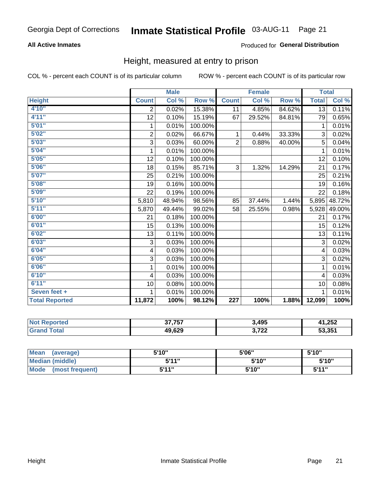### **All Active Inmates**

### Produced for General Distribution

### Height, measured at entry to prison

COL % - percent each COUNT is of its particular column

|                       | <b>Male</b>               |        |         | <b>Female</b>    |        |        | <b>Total</b> |        |
|-----------------------|---------------------------|--------|---------|------------------|--------|--------|--------------|--------|
| <b>Height</b>         | <b>Count</b>              | Col %  | Row %   | <b>Count</b>     | Col %  | Row %  | <b>Total</b> | Col %  |
| 4'10"                 | $\overline{2}$            | 0.02%  | 15.38%  | 11               | 4.85%  | 84.62% | 13           | 0.11%  |
| 4'11''                | 12                        | 0.10%  | 15.19%  | 67               | 29.52% | 84.81% | 79           | 0.65%  |
| 5'01''                | 1                         | 0.01%  | 100.00% |                  |        |        | 1            | 0.01%  |
| 5'02''                | $\overline{\mathbf{c}}$   | 0.02%  | 66.67%  | 1                | 0.44%  | 33.33% | 3            | 0.02%  |
| 5'03''                | 3                         | 0.03%  | 60.00%  | $\overline{2}$   | 0.88%  | 40.00% | 5            | 0.04%  |
| 5'04''                | 1                         | 0.01%  | 100.00% |                  |        |        | 1            | 0.01%  |
| 5'05''                | 12                        | 0.10%  | 100.00% |                  |        |        | 12           | 0.10%  |
| 5'06''                | 18                        | 0.15%  | 85.71%  | 3                | 1.32%  | 14.29% | 21           | 0.17%  |
| 5'07''                | 25                        | 0.21%  | 100.00% |                  |        |        | 25           | 0.21%  |
| 5'08''                | 19                        | 0.16%  | 100.00% |                  |        |        | 19           | 0.16%  |
| 5'09''                | 22                        | 0.19%  | 100.00% |                  |        |        | 22           | 0.18%  |
| 5'10''                | 5,810                     | 48.94% | 98.56%  | 85               | 37.44% | 1.44%  | 5,895        | 48.72% |
| 5'11''                | 5,870                     | 49.44% | 99.02%  | 58               | 25.55% | 0.98%  | 5,928        | 49.00% |
| 6'00''                | 21                        | 0.18%  | 100.00% |                  |        |        | 21           | 0.17%  |
| 6'01''                | 15                        | 0.13%  | 100.00% |                  |        |        | 15           | 0.12%  |
| 6'02''                | 13                        | 0.11%  | 100.00% |                  |        |        | 13           | 0.11%  |
| 6'03''                | $\ensuremath{\mathsf{3}}$ | 0.03%  | 100.00% |                  |        |        | 3            | 0.02%  |
| 6'04''                | 4                         | 0.03%  | 100.00% |                  |        |        | 4            | 0.03%  |
| 6'05''                | 3                         | 0.03%  | 100.00% |                  |        |        | 3            | 0.02%  |
| 6'06''                | 1                         | 0.01%  | 100.00% |                  |        |        | 1            | 0.01%  |
| 6'10''                | $\overline{4}$            | 0.03%  | 100.00% |                  |        |        | 4            | 0.03%  |
| 6'11''                | 10                        | 0.08%  | 100.00% |                  |        |        | 10           | 0.08%  |
| Seven feet +          | 1                         | 0.01%  | 100.00% |                  |        |        | 1            | 0.01%  |
| <b>Total Reported</b> | 11,872                    | 100%   | 98.12%  | $\overline{227}$ | 100%   | 1.88%  | 12,099       | 100%   |

| <b>nted</b><br>NO) | 37.757 | 3,495            | A OEO<br>⊾ن∡, ا |
|--------------------|--------|------------------|-----------------|
| <b>Total</b>       | 49,629 | ררד כ<br>J, I, Z | 53.35'          |

| <b>Mean</b><br>(average)       | 5'10'' | 5'06" | 5'10" |
|--------------------------------|--------|-------|-------|
| <b>Median (middle)</b>         | 544"   | 5'10" | 5'10" |
| <b>Mode</b><br>(most frequent) | 544"   | 5'10" | 544"  |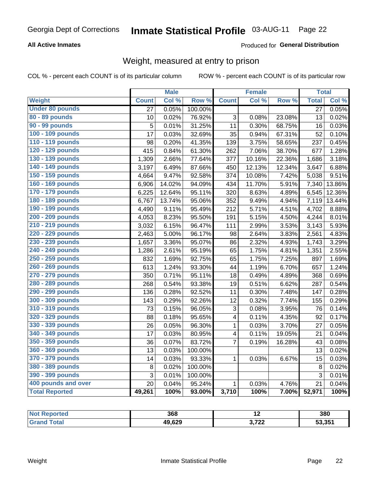### **All Active Inmates**

### Produced for General Distribution

### Weight, measured at entry to prison

COL % - percent each COUNT is of its particular column

|                        |                 | <b>Male</b> |         |                         | <b>Female</b> |        | <b>Total</b>    |                     |
|------------------------|-----------------|-------------|---------|-------------------------|---------------|--------|-----------------|---------------------|
| <b>Weight</b>          | <b>Count</b>    | Col %       | Row %   | <b>Count</b>            | Col %         | Row %  | <b>Total</b>    | Col %               |
| <b>Under 80 pounds</b> | $\overline{27}$ | 0.05%       | 100.00% |                         |               |        | $\overline{27}$ | 0.05%               |
| 80 - 89 pounds         | 10              | 0.02%       | 76.92%  | 3                       | 0.08%         | 23.08% | 13              | 0.02%               |
| 90 - 99 pounds         | 5               | 0.01%       | 31.25%  | 11                      | 0.30%         | 68.75% | 16              | 0.03%               |
| 100 - 109 pounds       | 17              | 0.03%       | 32.69%  | 35                      | 0.94%         | 67.31% | 52              | 0.10%               |
| 110 - 119 pounds       | 98              | 0.20%       | 41.35%  | 139                     | 3.75%         | 58.65% | 237             | 0.45%               |
| 120 - 129 pounds       | 415             | 0.84%       | 61.30%  | 262                     | 7.06%         | 38.70% | 677             | 1.28%               |
| 130 - 139 pounds       | 1,309           | 2.66%       | 77.64%  | 377                     | 10.16%        | 22.36% | 1,686           | 3.18%               |
| 140 - 149 pounds       | 3,197           | 6.49%       | 87.66%  | 450                     | 12.13%        | 12.34% | 3,647           | 6.88%               |
| 150 - 159 pounds       | 4,664           | 9.47%       | 92.58%  | 374                     | 10.08%        | 7.42%  | 5,038           | 9.51%               |
| 160 - 169 pounds       | 6,906           | 14.02%      | 94.09%  | 434                     | 11.70%        | 5.91%  | 7,340           | 13.86%              |
| 170 - 179 pounds       | 6,225           | 12.64%      | 95.11%  | 320                     | 8.63%         | 4.89%  | 6,545           | 12.36%              |
| 180 - 189 pounds       | 6,767           | 13.74%      | 95.06%  | 352                     | 9.49%         | 4.94%  | 7,119           | 13.44%              |
| 190 - 199 pounds       | 4,490           | 9.11%       | 95.49%  | 212                     | 5.71%         | 4.51%  | 4,702           | 8.88%               |
| 200 - 209 pounds       | 4,053           | 8.23%       | 95.50%  | 191                     | 5.15%         | 4.50%  | 4,244           | 8.01%               |
| 210 - 219 pounds       | 3,032           | 6.15%       | 96.47%  | 111                     | 2.99%         | 3.53%  | 3,143           | 5.93%               |
| 220 - 229 pounds       | 2,463           | 5.00%       | 96.17%  | 98                      | 2.64%         | 3.83%  | 2,561           | 4.83%               |
| 230 - 239 pounds       | 1,657           | 3.36%       | 95.07%  | 86                      | 2.32%         | 4.93%  | 1,743           | 3.29%               |
| 240 - 249 pounds       | 1,286           | 2.61%       | 95.19%  | 65                      | 1.75%         | 4.81%  | 1,351           | 2.55%               |
| 250 - 259 pounds       | 832             | 1.69%       | 92.75%  | 65                      | 1.75%         | 7.25%  | 897             | 1.69%               |
| 260 - 269 pounds       | 613             | 1.24%       | 93.30%  | 44                      | 1.19%         | 6.70%  | 657             | 1.24%               |
| 270 - 279 pounds       | 350             | 0.71%       | 95.11%  | 18                      | 0.49%         | 4.89%  | 368             | 0.69%               |
| 280 - 289 pounds       | 268             | 0.54%       | 93.38%  | 19                      | 0.51%         | 6.62%  | 287             | 0.54%               |
| 290 - 299 pounds       | 136             | 0.28%       | 92.52%  | 11                      | 0.30%         | 7.48%  | 147             | 0.28%               |
| 300 - 309 pounds       | 143             | 0.29%       | 92.26%  | 12                      | 0.32%         | 7.74%  | 155             | 0.29%               |
| 310 - 319 pounds       | 73              | 0.15%       | 96.05%  | 3                       | 0.08%         | 3.95%  | 76              | 0.14%               |
| 320 - 329 pounds       | 88              | 0.18%       | 95.65%  | 4                       | 0.11%         | 4.35%  | 92              | $\overline{0.17\%}$ |
| 330 - 339 pounds       | 26              | 0.05%       | 96.30%  | $\mathbf{1}$            | 0.03%         | 3.70%  | 27              | 0.05%               |
| 340 - 349 pounds       | 17              | 0.03%       | 80.95%  | $\overline{\mathbf{4}}$ | 0.11%         | 19.05% | 21              | 0.04%               |
| 350 - 359 pounds       | 36              | 0.07%       | 83.72%  | $\overline{7}$          | 0.19%         | 16.28% | 43              | 0.08%               |
| 360 - 369 pounds       | 13              | 0.03%       | 100.00% |                         |               |        | 13              | 0.02%               |
| 370 - 379 pounds       | 14              | 0.03%       | 93.33%  | 1                       | 0.03%         | 6.67%  | 15              | 0.03%               |
| 380 - 389 pounds       | $\bf 8$         | 0.02%       | 100.00% |                         |               |        | 8               | 0.02%               |
| 390 - 399 pounds       | 3               | 0.01%       | 100.00% |                         |               |        | 3               | 0.01%               |
| 400 pounds and over    | 20              | 0.04%       | 95.24%  | $\mathbf{1}$            | 0.03%         | 4.76%  | 21              | 0.04%               |
| <b>Total Reported</b>  | 49,261          | 100%        | 93.00%  | 3,710                   | 100%          | 7.00%  | 52,971          | 100%                |

| <b>Not</b><br>ported | 368    | . .            | 380    |
|----------------------|--------|----------------|--------|
|                      | 49,629 | המד י<br>9.122 | 53,351 |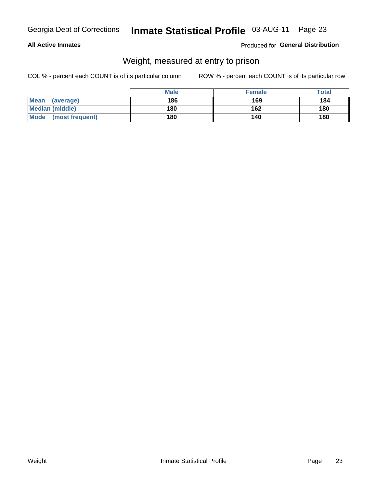### **All Active Inmates**

### Produced for General Distribution

### Weight, measured at entry to prison

COL % - percent each COUNT is of its particular column

|                          | <b>Male</b> | <b>Female</b> | Total |
|--------------------------|-------------|---------------|-------|
| <b>Mean</b><br>(average) | 186         | 169           | 184   |
| <b>Median (middle)</b>   | 180         | 162           | 180   |
| Mode<br>(most frequent)  | 180         | 140           | 180   |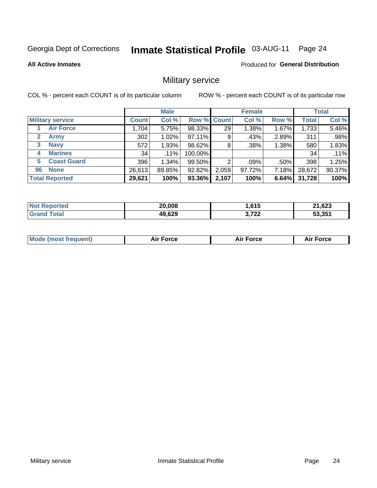#### **Inmate Statistical Profile 03-AUG-11** Page 24

### **All Active Inmates**

Produced for General Distribution

### Military service

COL % - percent each COUNT is of its particular column

|                          | <b>Male</b>  |         |             | <b>Female</b> |         |       | <b>Total</b> |        |
|--------------------------|--------------|---------|-------------|---------------|---------|-------|--------------|--------|
| <b>Military service</b>  | <b>Count</b> | Col %   | Row % Count |               | Col %   | Row % | <b>Total</b> | Col %  |
| <b>Air Force</b>         | .704         | 5.75%   | 98.33%      | 29            | 1.38%   | 1.67% | 1,733        | 5.46%  |
| 2<br>Army                | 302          | 1.02%   | 97.11%      | 9             | .43%    | 2.89% | 311          | .98%   |
| <b>Navy</b><br>3         | 572          | 1.93%   | 98.62%      | 8             | .38%    | 1.38% | 580          | 1.83%  |
| <b>Marines</b><br>4      | 34           | $.11\%$ | 100.00%     |               |         |       | 34           | .11%   |
| <b>Coast Guard</b><br>5. | 396          | 1.34%   | 99.50%      | റ             | $.09\%$ | .50%  | 398          | 1.25%  |
| <b>None</b><br>96        | 26,613       | 89.85%  | 92.82%      | 2,059         | 97.72%  | 7.18% | 28,672       | 90.37% |
| <b>Total Reported</b>    | 29,621       | 100%    | 93.36%      | 2,107         | 100%    | 6.64% | 31,728       | 100%   |

| orted<br>m. | 20,008 | <b>615</b><br>טוס. | na chn<br>. .<br>3⊿ס, |
|-------------|--------|--------------------|-----------------------|
| <b>otal</b> | 49,629 | ממד ה<br>א ו<br>.  | 53.351                |

| <b>Mode (most frequent)</b> | Force<br>Aır<br>_____ | <b>Force</b><br>Δır | orce |
|-----------------------------|-----------------------|---------------------|------|
|                             |                       |                     |      |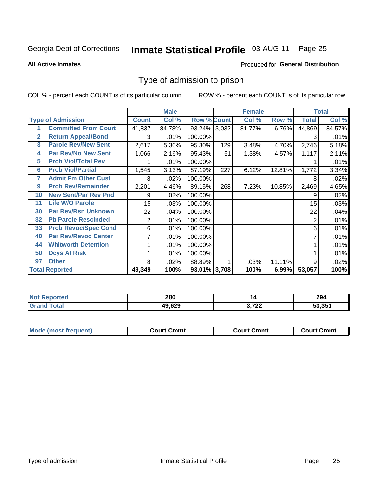## Inmate Statistical Profile 03-AUG-11 Page 25

**All Active Inmates** 

#### Produced for General Distribution

### Type of admission to prison

COL % - percent each COUNT is of its particular column

|                |                             |                  | <b>Male</b> |                    |     | <b>Female</b> |        |              | <b>Total</b> |
|----------------|-----------------------------|------------------|-------------|--------------------|-----|---------------|--------|--------------|--------------|
|                | <b>Type of Admission</b>    | <b>Count</b>     | Col %       | <b>Row % Count</b> |     | Col %         | Row %  | <b>Total</b> | Col %        |
|                | <b>Committed From Court</b> | 41,837           | 84.78%      | 93.24% 3,032       |     | 81.77%        | 6.76%  | 44,869       | 84.57%       |
| $\overline{2}$ | <b>Return Appeal/Bond</b>   | 3                | .01%        | 100.00%            |     |               |        | 3            | .01%         |
| 3              | <b>Parole Rev/New Sent</b>  | 2,617            | 5.30%       | 95.30%             | 129 | 3.48%         | 4.70%  | 2,746        | 5.18%        |
| 4              | <b>Par Rev/No New Sent</b>  | 1,066            | 2.16%       | 95.43%             | 51  | 1.38%         | 4.57%  | 1,117        | 2.11%        |
| 5              | <b>Prob Viol/Total Rev</b>  |                  | .01%        | 100.00%            |     |               |        |              | .01%         |
| 6              | <b>Prob Viol/Partial</b>    | 1,545            | 3.13%       | 87.19%             | 227 | 6.12%         | 12.81% | 1,772        | 3.34%        |
| 7              | <b>Admit Fm Other Cust</b>  | 8                | .02%        | 100.00%            |     |               |        | 8            | .02%         |
| 9              | <b>Prob Rev/Remainder</b>   | 2,201            | 4.46%       | 89.15%             | 268 | 7.23%         | 10.85% | 2,469        | 4.65%        |
| 10             | <b>New Sent/Par Rev Pnd</b> | 9                | .02%        | 100.00%            |     |               |        | 9            | .02%         |
| 11             | <b>Life W/O Parole</b>      | 15 <sub>15</sub> | .03%        | 100.00%            |     |               |        | 15           | .03%         |
| 30             | <b>Par Rev/Rsn Unknown</b>  | 22               | .04%        | 100.00%            |     |               |        | 22           | .04%         |
| 32             | <b>Pb Parole Rescinded</b>  | $\overline{c}$   | .01%        | 100.00%            |     |               |        | 2            | .01%         |
| 33             | <b>Prob Revoc/Spec Cond</b> | 6                | .01%        | 100.00%            |     |               |        | 6            | .01%         |
| 40             | <b>Par Rev/Revoc Center</b> | $\overline{7}$   | .01%        | 100.00%            |     |               |        | 7            | .01%         |
| 44             | <b>Whitworth Detention</b>  | 1                | .01%        | 100.00%            |     |               |        |              | .01%         |
| 50             | <b>Dcys At Risk</b>         |                  | .01%        | 100.00%            |     |               |        |              | .01%         |
| 97             | <b>Other</b>                | 8                | .02%        | 88.89%             |     | .03%          | 11.11% | 9            | .02%         |
|                | <b>Total Reported</b>       | 49,349           | 100%        | 93.01% 3,708       |     | 100%          | 6.99%  | 53,057       | 100%         |

| orted<br>∵NO.          | 280    | L                    | 294    |
|------------------------|--------|----------------------|--------|
| <b>Total</b><br>'Grand | 49,629 | פר פ<br>174 L<br>. ت | 53.351 |

| <b>Mode (most frequent)</b> | Court Cmmt | <b>Court Cmmt</b> | Court Cmmt |
|-----------------------------|------------|-------------------|------------|
|                             |            |                   |            |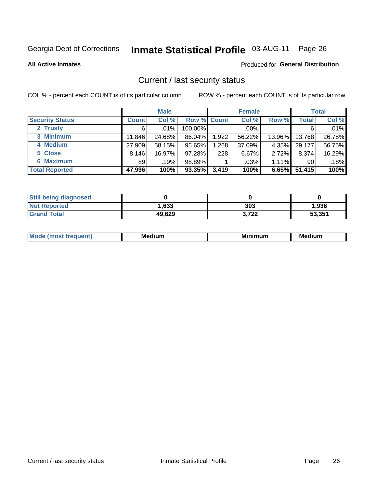## Inmate Statistical Profile 03-AUG-11 Page 26

**All Active Inmates** 

#### Produced for General Distribution

### Current / last security status

COL % - percent each COUNT is of its particular column

|                        |              | <b>Male</b> |             |       | <b>Female</b> |          |        | <b>Total</b> |
|------------------------|--------------|-------------|-------------|-------|---------------|----------|--------|--------------|
| <b>Security Status</b> | <b>Count</b> | Col %       | Row % Count |       | Col %         | Row %    | Total  | Col %        |
| 2 Trusty               | 6            | $.01\%$     | 100.00%     |       | $.00\%$       |          | 6      | .01%         |
| 3 Minimum              | 11,846       | 24.68%      | 86.04%      | 1,922 | 56.22%        | 13.96%   | 13,768 | 26.78%       |
| 4 Medium               | 27,909       | 58.15%      | 95.65%      | 1,268 | 37.09%        | 4.35%    | 29,177 | 56.75%       |
| 5 Close                | 8,146        | 16.97%      | 97.28%      | 228   | 6.67%         | $2.72\%$ | 8,374  | 16.29%       |
| 6 Maximum              | 89           | .19%        | 98.89%      |       | $.03\%$       | $1.11\%$ | 90     | .18%         |
| <b>Total Reported</b>  | 47,996       | 100%        | 93.35%      | 3,419 | 100%          | 6.65%    | 51,415 | 100%         |

| <b>Still being diagnosed</b> |        |       |        |
|------------------------------|--------|-------|--------|
| <b>Not Reported</b>          | 1,633  | 303   | 1,936  |
| <b>Grand Total</b>           | 49,629 | 3.722 | 53,351 |

|  |  | M | M<br>. | --- | в.<br>. |
|--|--|---|--------|-----|---------|
|--|--|---|--------|-----|---------|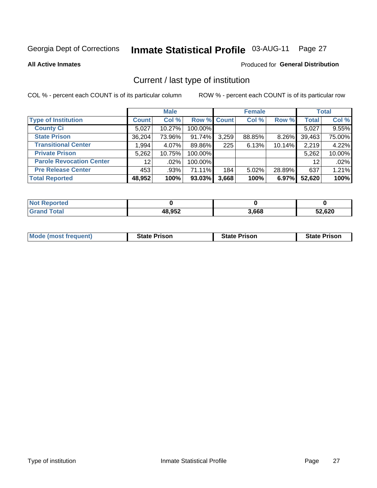## Inmate Statistical Profile 03-AUG-11 Page 27

**All Active Inmates** 

### Produced for General Distribution

### Current / last type of institution

COL % - percent each COUNT is of its particular column

|                                 |                 | <b>Male</b> |             |       | <b>Female</b> |          |              | <b>Total</b> |
|---------------------------------|-----------------|-------------|-------------|-------|---------------|----------|--------------|--------------|
| <b>Type of Institution</b>      | <b>Count</b>    | Col %       | Row % Count |       | Col %         | Row %    | <b>Total</b> | Col %        |
| <b>County Ci</b>                | 5,027           | 10.27%      | 100.00%     |       |               |          | 5,027        | 9.55%        |
| <b>State Prison</b>             | 36,204          | 73.96%      | $91.74\%$   | 3,259 | 88.85%        | $8.26\%$ | 39,463       | 75.00%       |
| <b>Transitional Center</b>      | 1,994           | 4.07%       | 89.86%      | 225   | 6.13%         | 10.14%   | 2,219        | 4.22%        |
| <b>Private Prison</b>           | 5,262           | 10.75%      | 100.00%     |       |               |          | 5,262        | 10.00%       |
| <b>Parole Revocation Center</b> | 12 <sub>1</sub> | .02%        | 100.00%     |       |               |          | 12           | .02%         |
| <b>Pre Release Center</b>       | 453             | $.93\%$     | 71.11%      | 184   | 5.02%         | 28.89%   | 637          | 1.21%        |
| <b>Total Reported</b>           | 48,952          | 100%        | 93.03%      | 3,668 | 100%          | 6.97%    | 52,620       | 100%         |

| วrted |        |       |        |  |
|-------|--------|-------|--------|--|
|       | 48,952 | 3,668 | 52,620 |  |

| <b>Mode (most frequent)</b><br><b>State Prison</b><br><b>State Prison</b><br><b>State Prison</b> |
|--------------------------------------------------------------------------------------------------|
|--------------------------------------------------------------------------------------------------|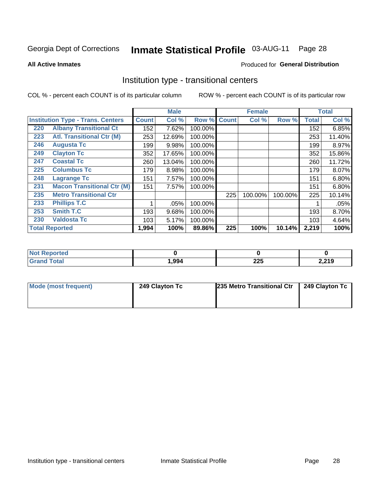## Inmate Statistical Profile 03-AUG-11 Page 28

**All Active Inmates** 

#### Produced for General Distribution

### Institution type - transitional centers

COL % - percent each COUNT is of its particular column

|                                          |                                   |              | <b>Male</b> |         |              | <b>Female</b> |         |              | <b>Total</b> |
|------------------------------------------|-----------------------------------|--------------|-------------|---------|--------------|---------------|---------|--------------|--------------|
| <b>Institution Type - Trans. Centers</b> |                                   | <b>Count</b> | Col %       | Row %   | <b>Count</b> | Col %         | Row %   | <b>Total</b> | Col %        |
| 220                                      | <b>Albany Transitional Ct</b>     | 152          | 7.62%       | 100.00% |              |               |         | 152          | 6.85%        |
| 223                                      | <b>Atl. Transitional Ctr (M)</b>  | 253          | 12.69%      | 100.00% |              |               |         | 253          | 11.40%       |
| 246                                      | <b>Augusta Tc</b>                 | 199          | 9.98%       | 100.00% |              |               |         | 199          | 8.97%        |
| 249                                      | <b>Clayton Tc</b>                 | 352          | 17.65%      | 100.00% |              |               |         | 352          | 15.86%       |
| 247                                      | <b>Coastal Tc</b>                 | 260          | 13.04%      | 100.00% |              |               |         | 260          | 11.72%       |
| 225                                      | <b>Columbus Tc</b>                | 179          | 8.98%       | 100.00% |              |               |         | 179          | 8.07%        |
| 248                                      | <b>Lagrange Tc</b>                | 151          | 7.57%       | 100.00% |              |               |         | 151          | 6.80%        |
| 231                                      | <b>Macon Transitional Ctr (M)</b> | 151          | 7.57%       | 100.00% |              |               |         | 151          | 6.80%        |
| 235                                      | <b>Metro Transitional Ctr</b>     |              |             |         | 225          | 100.00%       | 100.00% | 225          | 10.14%       |
| 233                                      | <b>Phillips T.C</b>               | 1            | .05%        | 100.00% |              |               |         |              | .05%         |
| 253                                      | Smith T.C                         | 193          | 9.68%       | 100.00% |              |               |         | 193          | 8.70%        |
| 230                                      | <b>Valdosta Tc</b>                | 103          | 5.17%       | 100.00% |              |               |         | 103          | 4.64%        |
|                                          | <b>Total Reported</b>             | 1,994        | 100%        | 89.86%  | 225          | 100%          | 10.14%  | 2,219        | 100%         |

| <b>eported</b><br><b>NOT</b><br>$\sim$ |       |           |                |
|----------------------------------------|-------|-----------|----------------|
| <b>fotal</b>                           | .994, | 00F<br>ᄯᄯ | 210<br>2,2 I J |

| Mode (most frequent) | 249 Clayton Tc | 235 Metro Transitional Ctr   249 Clayton Tc |  |  |  |
|----------------------|----------------|---------------------------------------------|--|--|--|
|                      |                |                                             |  |  |  |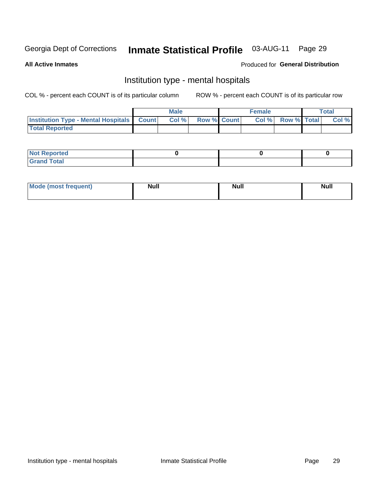#### Inmate Statistical Profile 03-AUG-11 Page 29

#### **All Active Inmates**

### Produced for General Distribution

### Institution type - mental hospitals

COL % - percent each COUNT is of its particular column

|                                                  | Male |      |                    | <b>Female</b> |  |                   | <b>Total</b> |       |
|--------------------------------------------------|------|------|--------------------|---------------|--|-------------------|--------------|-------|
| <b>Institution Type - Mental Hospitals Count</b> |      | Col% | <b>Row % Count</b> |               |  | Col % Row % Total |              | Col % |
| <b>Total Reported</b>                            |      |      |                    |               |  |                   |              |       |

| <b>Not Reported</b>   |  |  |
|-----------------------|--|--|
| <b>Total</b><br>_____ |  |  |

| Mode.<br>frequent) | <b>Nul</b><br>_____ | <b>Null</b> | <b>Null</b> |
|--------------------|---------------------|-------------|-------------|
|                    |                     |             |             |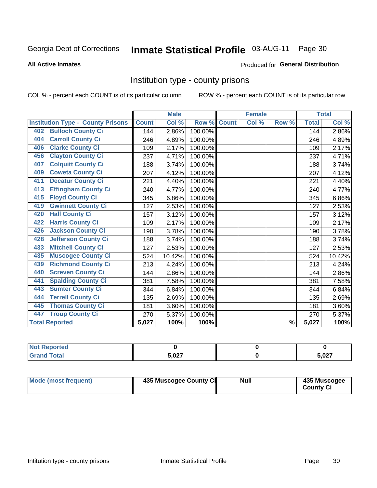## Inmate Statistical Profile 03-AUG-11 Page 30

#### **All Active Inmates**

#### Produced for General Distribution

### Institution type - county prisons

COL % - percent each COUNT is of its particular column

|                                          |              | <b>Male</b> |         |              | <b>Female</b> |               |              | <b>Total</b> |
|------------------------------------------|--------------|-------------|---------|--------------|---------------|---------------|--------------|--------------|
| <b>Institution Type - County Prisons</b> | <b>Count</b> | Col %       | Row %   | <b>Count</b> | Col %         | Row %         | <b>Total</b> | Col %        |
| <b>Bulloch County Ci</b><br>402          | 144          | 2.86%       | 100.00% |              |               |               | 144          | 2.86%        |
| <b>Carroll County Ci</b><br>404          | 246          | 4.89%       | 100.00% |              |               |               | 246          | 4.89%        |
| <b>Clarke County Ci</b><br>406           | 109          | 2.17%       | 100.00% |              |               |               | 109          | 2.17%        |
| <b>Clayton County Ci</b><br>456          | 237          | 4.71%       | 100.00% |              |               |               | 237          | 4.71%        |
| <b>Colquitt County Ci</b><br>407         | 188          | 3.74%       | 100.00% |              |               |               | 188          | 3.74%        |
| <b>Coweta County Ci</b><br>409           | 207          | 4.12%       | 100.00% |              |               |               | 207          | 4.12%        |
| <b>Decatur County Ci</b><br>411          | 221          | 4.40%       | 100.00% |              |               |               | 221          | 4.40%        |
| <b>Effingham County Ci</b><br>413        | 240          | 4.77%       | 100.00% |              |               |               | 240          | 4.77%        |
| <b>Floyd County Ci</b><br>415            | 345          | 6.86%       | 100.00% |              |               |               | 345          | 6.86%        |
| <b>Gwinnett County Ci</b><br>419         | 127          | 2.53%       | 100.00% |              |               |               | 127          | 2.53%        |
| <b>Hall County Ci</b><br>420             | 157          | 3.12%       | 100.00% |              |               |               | 157          | 3.12%        |
| <b>Harris County Ci</b><br>422           | 109          | 2.17%       | 100.00% |              |               |               | 109          | 2.17%        |
| <b>Jackson County Ci</b><br>426          | 190          | 3.78%       | 100.00% |              |               |               | 190          | 3.78%        |
| <b>Jefferson County Ci</b><br>428        | 188          | 3.74%       | 100.00% |              |               |               | 188          | 3.74%        |
| <b>Mitchell County Ci</b><br>433         | 127          | 2.53%       | 100.00% |              |               |               | 127          | 2.53%        |
| <b>Muscogee County Ci</b><br>435         | 524          | 10.42%      | 100.00% |              |               |               | 524          | 10.42%       |
| <b>Richmond County Ci</b><br>439         | 213          | 4.24%       | 100.00% |              |               |               | 213          | 4.24%        |
| <b>Screven County Ci</b><br>440          | 144          | 2.86%       | 100.00% |              |               |               | 144          | 2.86%        |
| <b>Spalding County Ci</b><br>441         | 381          | 7.58%       | 100.00% |              |               |               | 381          | 7.58%        |
| <b>Sumter County Ci</b><br>443           | 344          | 6.84%       | 100.00% |              |               |               | 344          | 6.84%        |
| <b>Terrell County Ci</b><br>444          | 135          | 2.69%       | 100.00% |              |               |               | 135          | 2.69%        |
| <b>Thomas County Ci</b><br>445           | 181          | 3.60%       | 100.00% |              |               |               | 181          | 3.60%        |
| <b>Troup County Ci</b><br>447            | 270          | 5.37%       | 100.00% |              |               |               | 270          | 5.37%        |
| <b>Total Reported</b>                    | 5,027        | 100%        | 100%    |              |               | $\frac{9}{6}$ | 5,027        | 100%         |

| <b>Not Reported</b> |       |       |
|---------------------|-------|-------|
| <b>Grand Total</b>  | E NOT | 5,027 |

| <b>Mode (most frequent)</b> | 435 Muscogee County Ci | <b>Null</b> | 435 Muscogee<br><b>County Ci</b> |
|-----------------------------|------------------------|-------------|----------------------------------|
|-----------------------------|------------------------|-------------|----------------------------------|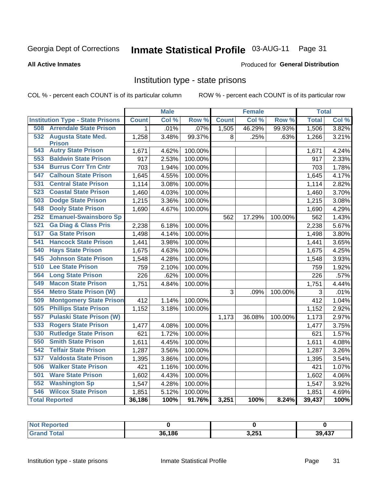## Inmate Statistical Profile 03-AUG-11 Page 31

#### **All Active Inmates**

#### Produced for General Distribution

### Institution type - state prisons

COL % - percent each COUNT is of its particular column

|                                         |              | <b>Male</b> |         |              | <b>Female</b> |         | <b>Total</b> |       |
|-----------------------------------------|--------------|-------------|---------|--------------|---------------|---------|--------------|-------|
| <b>Institution Type - State Prisons</b> | <b>Count</b> | Col %       | Row %   | <b>Count</b> | Col %         | Row %   | <b>Total</b> | Col % |
| <b>Arrendale State Prison</b><br>508    | 1            | .01%        | .07%    | 1,505        | 46.29%        | 99.93%  | 1,506        | 3.82% |
| 532<br><b>Augusta State Med.</b>        | 1,258        | 3.48%       | 99.37%  | 8            | .25%          | .63%    | 1,266        | 3.21% |
| <b>Prison</b>                           |              |             |         |              |               |         |              |       |
| <b>Autry State Prison</b><br>543        | 1,671        | 4.62%       | 100.00% |              |               |         | 1,671        | 4.24% |
| <b>Baldwin State Prison</b><br>553      | 917          | 2.53%       | 100.00% |              |               |         | 917          | 2.33% |
| <b>Burrus Corr Trn Cntr</b><br>534      | 703          | 1.94%       | 100.00% |              |               |         | 703          | 1.78% |
| <b>Calhoun State Prison</b><br>547      | 1,645        | 4.55%       | 100.00% |              |               |         | 1,645        | 4.17% |
| 531<br><b>Central State Prison</b>      | 1,114        | 3.08%       | 100.00% |              |               |         | 1,114        | 2.82% |
| <b>Coastal State Prison</b><br>523      | 1,460        | 4.03%       | 100.00% |              |               |         | 1,460        | 3.70% |
| <b>Dodge State Prison</b><br>503        | 1,215        | 3.36%       | 100.00% |              |               |         | 1,215        | 3.08% |
| <b>Dooly State Prison</b><br>548        | 1,690        | 4.67%       | 100.00% |              |               |         | 1,690        | 4.29% |
| <b>Emanuel-Swainsboro Sp</b><br>252     |              |             |         | 562          | 17.29%        | 100.00% | 562          | 1.43% |
| <b>Ga Diag &amp; Class Pris</b><br>521  | 2,238        | 6.18%       | 100.00% |              |               |         | 2,238        | 5.67% |
| <b>Ga State Prison</b><br>517           | 1,498        | 4.14%       | 100.00% |              |               |         | 1,498        | 3.80% |
| <b>Hancock State Prison</b><br>541      | 1,441        | 3.98%       | 100.00% |              |               |         | 1,441        | 3.65% |
| <b>Hays State Prison</b><br>540         | 1,675        | 4.63%       | 100.00% |              |               |         | 1,675        | 4.25% |
| <b>Johnson State Prison</b><br>545      | 1,548        | 4.28%       | 100.00% |              |               |         | 1,548        | 3.93% |
| <b>Lee State Prison</b><br>510          | 759          | 2.10%       | 100.00% |              |               |         | 759          | 1.92% |
| 564<br><b>Long State Prison</b>         | 226          | .62%        | 100.00% |              |               |         | 226          | .57%  |
| 549<br><b>Macon State Prison</b>        | 1,751        | 4.84%       | 100.00% |              |               |         | 1,751        | 4.44% |
| <b>Metro State Prison (W)</b><br>554    |              |             |         | 3            | .09%          | 100.00% | 3            | .01%  |
| 509<br><b>Montgomery State Prison</b>   | 412          | 1.14%       | 100.00% |              |               |         | 412          | 1.04% |
| <b>Phillips State Prison</b><br>505     | 1,152        | 3.18%       | 100.00% |              |               |         | 1,152        | 2.92% |
| <b>Pulaski State Prison (W)</b><br>557  |              |             |         | 1,173        | 36.08%        | 100.00% | 1,173        | 2.97% |
| <b>Rogers State Prison</b><br>533       | 1,477        | 4.08%       | 100.00% |              |               |         | 1,477        | 3.75% |
| <b>Rutledge State Prison</b><br>530     | 621          | 1.72%       | 100.00% |              |               |         | 621          | 1.57% |
| <b>Smith State Prison</b><br>550        | 1,611        | 4.45%       | 100.00% |              |               |         | 1,611        | 4.08% |
| <b>Telfair State Prison</b><br>542      | 1,287        | 3.56%       | 100.00% |              |               |         | 1,287        | 3.26% |
| 537<br><b>Valdosta State Prison</b>     | 1,395        | 3.86%       | 100.00% |              |               |         | 1,395        | 3.54% |
| <b>Walker State Prison</b><br>506       | 421          | 1.16%       | 100.00% |              |               |         | 421          | 1.07% |
| <b>Ware State Prison</b><br>501         | 1,602        | 4.43%       | 100.00% |              |               |         | 1,602        | 4.06% |
| <b>Washington Sp</b><br>552             | 1,547        | 4.28%       | 100.00% |              |               |         | 1,547        | 3.92% |
| <b>Wilcox State Prison</b><br>546       | 1,851        | 5.12%       | 100.00% |              |               |         | 1,851        | 4.69% |
| <b>Total Reported</b>                   | 36,186       | 100%        | 91.76%  | 3,251        | 100%          | 8.24%   | 39,437       | 100%  |

| <b>Reported</b><br><b>NOT</b> P |        |       |                  |
|---------------------------------|--------|-------|------------------|
| <b>Total</b>                    | 36,186 | 3,251 | 107<br>20<br>45, |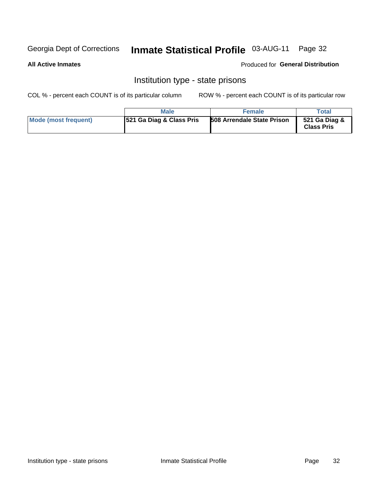## Inmate Statistical Profile 03-AUG-11 Page 32

#### **All Active Inmates**

#### Produced for General Distribution

### Institution type - state prisons

COL % - percent each COUNT is of its particular column

|                      | <b>Male</b>                         | <b>Female</b>                     | Total                              |
|----------------------|-------------------------------------|-----------------------------------|------------------------------------|
| Mode (most frequent) | <b>521 Ga Diag &amp; Class Pris</b> | <b>508 Arrendale State Prison</b> | 521 Ga Diag &<br><b>Class Pris</b> |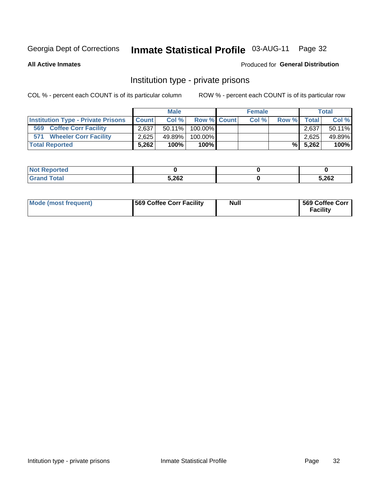## Inmate Statistical Profile 03-AUG-11 Page 32

**All Active Inmates** 

### Produced for General Distribution

### Institution type - private prisons

COL % - percent each COUNT is of its particular column

|                                           | <b>Male</b>  |        |                    | <b>Female</b> |      |       | <b>Total</b> |        |
|-------------------------------------------|--------------|--------|--------------------|---------------|------|-------|--------------|--------|
| <b>Institution Type - Private Prisons</b> | <b>Count</b> | Col%   | <b>Row % Count</b> |               | Col% | Row % | <b>Total</b> | Col %  |
| 569<br><b>Coffee Corr Facility</b>        | 2,637        |        | 50.11% 100.00%     |               |      |       | 2.637        | 50.11% |
| <b>Wheeler Corr Facility</b><br>571       | 2.625        | 49.89% | 100.00%            |               |      |       | 2,625        | 49.89% |
| <b>Total Reported</b>                     | 5.262        | 100%   | $100\%$            |               |      | %I    | 5,262        | 100%   |

| portea<br>Nr    |       |       |
|-----------------|-------|-------|
| $int^{\bullet}$ | 5,262 | 5,262 |

| Mode (most frequent) | <b>569 Coffee Corr Facility</b> | <b>Null</b> | 569 Coffee Corr<br><b>Facility</b> |
|----------------------|---------------------------------|-------------|------------------------------------|
|----------------------|---------------------------------|-------------|------------------------------------|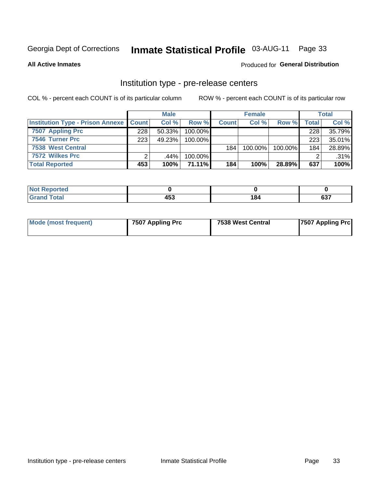## Inmate Statistical Profile 03-AUG-11 Page 33

**All Active Inmates** 

### **Produced for General Distribution**

## Institution type - pre-release centers

COL % - percent each COUNT is of its particular column

|                                                   |     | <b>Male</b> |            |              | <b>Female</b> |         |       | <b>Total</b> |
|---------------------------------------------------|-----|-------------|------------|--------------|---------------|---------|-------|--------------|
| <b>Institution Type - Prison Annexe   Count  </b> |     | Col %       | Row %      | <b>Count</b> | Col %         | Row %   | Total | Col %        |
| 7507 Appling Prc                                  | 228 | 50.33%      | $100.00\%$ |              |               |         | 228   | 35.79%       |
| 7546 Turner Prc                                   | 223 | 49.23%      | $100.00\%$ |              |               |         | 223   | 35.01%       |
| <b>7538 West Central</b>                          |     |             |            | 184          | $100.00\%$    | 100.00% | 184   | 28.89%       |
| 7572 Wilkes Prc                                   |     | $.44\%$     | 100.00%    |              |               |         |       | .31%         |
| <b>Total Reported</b>                             | 453 | 100%        | 71.11%     | 184          | 100%          | 28.89%  | 637   | 100%         |

| rtea<br>. |                             |                      |            |
|-----------|-----------------------------|----------------------|------------|
| _____     | $\overline{1}$<br>433<br>__ | 184<br>$\sim$ $\sim$ | ~~~<br>יטע |

| Mode (most frequent) | 7507 Appling Prc | 7538 West Central | <b>7507 Appling Prc</b> |
|----------------------|------------------|-------------------|-------------------------|
|----------------------|------------------|-------------------|-------------------------|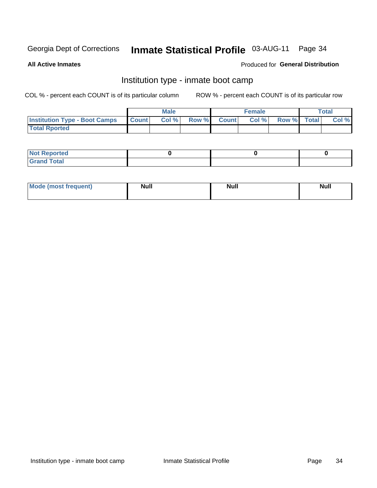## Inmate Statistical Profile 03-AUG-11 Page 34

**All Active Inmates** 

### Produced for General Distribution

### Institution type - inmate boot camp

COL % - percent each COUNT is of its particular column

|                                      |              | <b>Male</b> |             | <b>Female</b> |             | Total |
|--------------------------------------|--------------|-------------|-------------|---------------|-------------|-------|
| <b>Institution Type - Boot Camps</b> | <b>Count</b> | Col %       | Row % Count | Col%          | Row % Total | Col % |
| <b>Total Rported</b>                 |              |             |             |               |             |       |

| <b>Not Reported</b><br>, , , , , |  |  |
|----------------------------------|--|--|
| Total<br><b>C</b> <sub>He</sub>  |  |  |

| <b>AhoM</b>       | <b>Null</b> | <b>Null</b> | Ab d' |
|-------------------|-------------|-------------|-------|
| <b>"requent</b> ) |             |             | _____ |
|                   |             |             |       |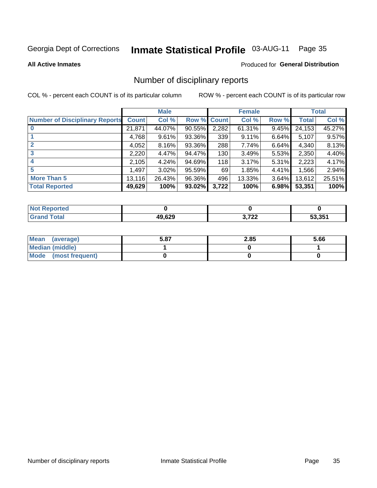## Inmate Statistical Profile 03-AUG-11 Page 35

#### **All Active Inmates**

#### Produced for General Distribution

### Number of disciplinary reports

COL % - percent each COUNT is of its particular column

|                                       |              | <b>Male</b> |             |       | <b>Female</b> |       |        | <b>Total</b> |
|---------------------------------------|--------------|-------------|-------------|-------|---------------|-------|--------|--------------|
| <b>Number of Disciplinary Reports</b> | <b>Count</b> | Col %       | Row % Count |       | Col %         | Row % | Total  | Col %        |
|                                       | 21,871       | 44.07%      | $90.55\%$   | 2,282 | 61.31%        | 9.45% | 24,153 | 45.27%       |
|                                       | 4,768        | 9.61%       | 93.36%      | 339   | 9.11%         | 6.64% | 5,107  | 9.57%        |
|                                       | 4,052        | 8.16%       | 93.36%      | 288   | 7.74%         | 6.64% | 4,340  | 8.13%        |
| 3                                     | 2,220        | 4.47%       | 94.47%      | 130   | 3.49%         | 5.53% | 2,350  | 4.40%        |
|                                       | 2,105        | 4.24%       | 94.69%      | 118   | 3.17%         | 5.31% | 2,223  | 4.17%        |
| 5                                     | .497         | 3.02%       | 95.59%      | 69    | 1.85%         | 4.41% | 1,566  | 2.94%        |
| <b>More Than 5</b>                    | 13,116       | 26.43%      | 96.36%      | 496   | 13.33%        | 3.64% | 13,612 | 25.51%       |
| <b>Total Reported</b>                 | 49,629       | 100%        | 93.02%      | 3,722 | 100%          | 6.98% | 53,351 | 100%         |

| orted<br>NO1 |        |                     |        |
|--------------|--------|---------------------|--------|
| Total        | 49,629 | רמד כ<br>1 L.L<br>ີ | 53.351 |

| Mean (average)       | 5.87 | 2.85 | 5.66 |
|----------------------|------|------|------|
| Median (middle)      |      |      |      |
| Mode (most frequent) |      |      |      |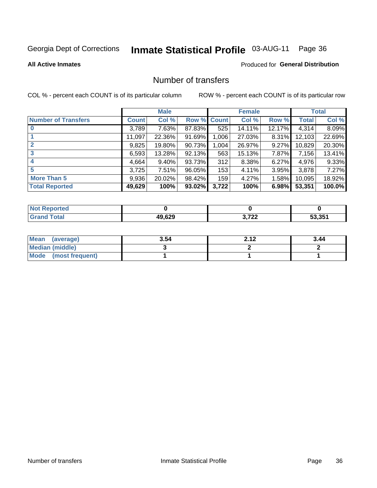# Inmate Statistical Profile 03-AUG-11 Page 36

#### **All Active Inmates**

# **Produced for General Distribution**

# Number of transfers

COL % - percent each COUNT is of its particular column

|                            |         | <b>Male</b> |        |              | <b>Female</b> |          |              | <b>Total</b> |
|----------------------------|---------|-------------|--------|--------------|---------------|----------|--------------|--------------|
| <b>Number of Transfers</b> | Count l | Col %       | Row %  | <b>Count</b> | Col %         | Row %    | <b>Total</b> | Col %        |
|                            | 3,789   | 7.63%       | 87.83% | 525          | 14.11%        | 12.17%   | 4,314        | 8.09%        |
|                            | 11,097  | 22.36%      | 91.69% | 1,006        | 27.03%        | $8.31\%$ | 12,103       | 22.69%       |
| $\mathbf{2}$               | 9,825   | 19.80%      | 90.73% | 1,004        | 26.97%        | $9.27\%$ | 10,829       | 20.30%       |
| 3                          | 6,593   | 13.28%      | 92.13% | 563          | 15.13%        | $7.87\%$ | 7,156        | 13.41%       |
| 4                          | 4,664   | $9.40\%$    | 93.73% | 312          | 8.38%         | $6.27\%$ | 4,976        | 9.33%        |
| 5                          | 3,725   | 7.51%       | 96.05% | 153          | 4.11%         | 3.95%    | 3,878        | 7.27%        |
| <b>More Than 5</b>         | 9,936   | 20.02%      | 98.42% | 159          | 4.27%         | $1.58\%$ | 10,095       | 18.92%       |
| <b>Total Reported</b>      | 49,629  | 100%        | 93.02% | 3,722        | 100%          | 6.98%    | 53,351       | 100.0%       |

| <b>Not Reported</b> |        |                    |        |
|---------------------|--------|--------------------|--------|
| <b>Total</b>        | 49,629 | רמד כ<br>1 L.L<br> | 53.351 |

| Mean (average)       | 3.54 | າ 4 າ | 3.44 |
|----------------------|------|-------|------|
| Median (middle)      |      |       |      |
| Mode (most frequent) |      |       |      |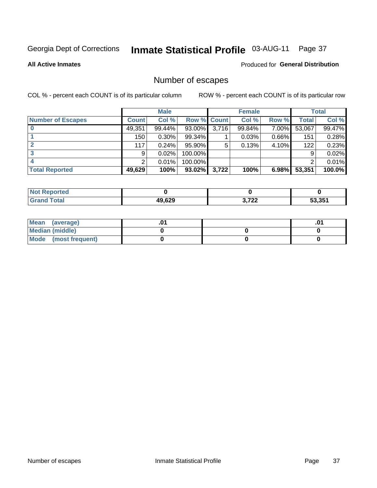# Inmate Statistical Profile 03-AUG-11 Page 37

**All Active Inmates** 

#### Produced for General Distribution

# Number of escapes

COL % - percent each COUNT is of its particular column

|                          |              | <b>Male</b> |             |       | <b>Female</b> |          |        | <b>Total</b> |
|--------------------------|--------------|-------------|-------------|-------|---------------|----------|--------|--------------|
| <b>Number of Escapes</b> | <b>Count</b> | Col %       | Row % Count |       | Col %         | Row %    | Total  | Col %        |
|                          | 49,351       | 99.44%      | 93.00%      | 3,716 | 99.84%        | 7.00%    | 53,067 | 99.47%       |
|                          | 150          | $0.30\%$    | 99.34%      |       | 0.03%         | $0.66\%$ | 151    | 0.28%        |
|                          | 117          | 0.24%       | 95.90%      | 5     | 0.13%         | 4.10%    | 122    | 0.23%        |
|                          | 9            | 0.02%       | 100.00%     |       |               |          | 9      | 0.02%        |
|                          |              | 0.01%       | 100.00%     |       |               |          |        | 0.01%        |
| <b>Total Reported</b>    | 49,629       | 100%        | $93.02\%$   | 3,722 | 100%          | 6.98%    | 53,351 | 100.0%       |

| <b>Not Reported</b> |        |                      |        |
|---------------------|--------|----------------------|--------|
| <b>Total</b>        | 49.629 | רמד כ<br>w.<br>1 L.L | 53.351 |

| Mean (average)         |  | .0 |
|------------------------|--|----|
| <b>Median (middle)</b> |  |    |
| Mode (most frequent)   |  |    |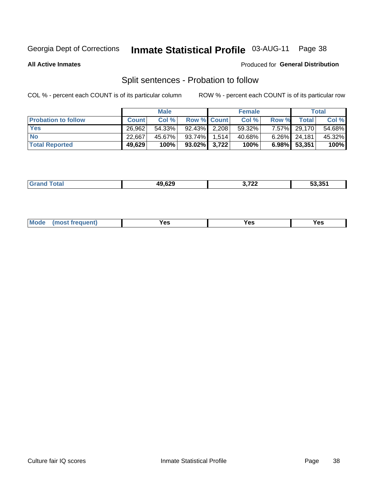# Inmate Statistical Profile 03-AUG-11 Page 38

**All Active Inmates** 

#### Produced for General Distribution

# Split sentences - Probation to follow

COL % - percent each COUNT is of its particular column

|                            |              | <b>Male</b> |                    | <b>Female</b> |       |                 | <b>Total</b> |
|----------------------------|--------------|-------------|--------------------|---------------|-------|-----------------|--------------|
| <b>Probation to follow</b> | <b>Count</b> | Col%        | <b>Row % Count</b> | Col %         | Row % | <b>Total</b>    | Col %        |
| <b>Yes</b>                 | 26.962       | 54.33%      | $92.43\%$ 2.208    | 59.32%        |       | 7.57% 29,170    | 54.68%       |
| <b>No</b>                  | 22.667       | 45.67%      | $93.74\%$ 1,514    | 40.68%        |       | $6.26\%$ 24,181 | 45.32%       |
| <b>Total Reported</b>      | 49,629       | 100%        | $93.02\%$ 3,722    | 100%          |       | 6.98% 53,351    | 100%         |

|  |  | 49.629 | ^ מחד<br>.122 | 53.351 |
|--|--|--------|---------------|--------|
|--|--|--------|---------------|--------|

| reauent)<br>Yes<br>v.c<br>0٥<br>.<br>. .<br>$\sim$ |  | <b>Mode</b> |  |  |  |
|----------------------------------------------------|--|-------------|--|--|--|
|----------------------------------------------------|--|-------------|--|--|--|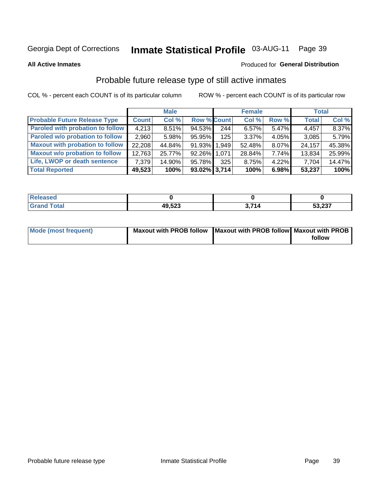# Inmate Statistical Profile 03-AUG-11 Page 39

**All Active Inmates** 

#### Produced for General Distribution

# Probable future release type of still active inmates

COL % - percent each COUNT is of its particular column

|                                         |              | <b>Male</b> |                    |     | <b>Female</b> |          | <b>Total</b> |        |
|-----------------------------------------|--------------|-------------|--------------------|-----|---------------|----------|--------------|--------|
| <b>Probable Future Release Type</b>     | <b>Count</b> | Col %       | <b>Row % Count</b> |     | Col%          | Row %    | <b>Total</b> | Col %  |
| <b>Paroled with probation to follow</b> | 4,213        | 8.51%       | 94.53%             | 244 | 6.57%         | $5.47\%$ | 4,457        | 8.37%  |
| Paroled w/o probation to follow         | 2,960        | 5.98%       | 95.95%             | 125 | 3.37%         | $4.05\%$ | 3,085        | 5.79%  |
| <b>Maxout with probation to follow</b>  | 22,208       | 44.84%      | 91.93% 1.949       |     | 52.48%        | 8.07%    | 24,157       | 45.38% |
| <b>Maxout w/o probation to follow</b>   | 12,763       | 25.77%      | 92.26% 1,071       |     | 28.84%        | 7.74%    | 13,834       | 25.99% |
| Life, LWOP or death sentence            | 7,379        | 14.90%      | 95.78%             | 325 | 8.75%         | $4.22\%$ | 7,704        | 14.47% |
| <b>Total Reported</b>                   | 49,523       | 100%        | $93.02\%$ 3,714    |     | 100%          | 6.98%    | 53,237       | 100%   |

| ased |                 |    |                      |
|------|-----------------|----|----------------------|
|      | 49522<br>19,JZJ | 74 | $E_2$ $22$<br>33,Z31 |

| <b>Mode (most frequent)</b> | Maxout with PROB follow   Maxout with PROB follow   Maxout with PROB |        |
|-----------------------------|----------------------------------------------------------------------|--------|
|                             |                                                                      | follow |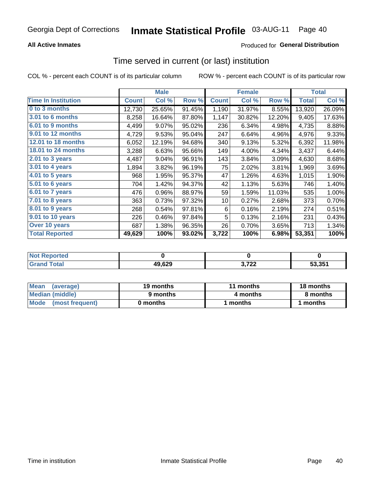### **All Active Inmates**

## **Produced for General Distribution**

# Time served in current (or last) institution

COL % - percent each COUNT is of its particular column

|                            |              | <b>Male</b> |        |              | <b>Female</b> |        |              | <b>Total</b> |
|----------------------------|--------------|-------------|--------|--------------|---------------|--------|--------------|--------------|
| <b>Time In Institution</b> | <b>Count</b> | Col %       | Row %  | <b>Count</b> | Col %         | Row %  | <b>Total</b> | Col %        |
| 0 to 3 months              | 12,730       | 25.65%      | 91.45% | 1,190        | 31.97%        | 8.55%  | 13,920       | 26.09%       |
| 3.01 to 6 months           | 8,258        | 16.64%      | 87.80% | 1,147        | 30.82%        | 12.20% | 9,405        | 17.63%       |
| 6.01 to 9 months           | 4,499        | 9.07%       | 95.02% | 236          | 6.34%         | 4.98%  | 4,735        | 8.88%        |
| 9.01 to 12 months          | 4,729        | 9.53%       | 95.04% | 247          | 6.64%         | 4.96%  | 4,976        | 9.33%        |
| 12.01 to 18 months         | 6,052        | 12.19%      | 94.68% | 340          | 9.13%         | 5.32%  | 6,392        | 11.98%       |
| <b>18.01 to 24 months</b>  | 3,288        | 6.63%       | 95.66% | 149          | 4.00%         | 4.34%  | 3,437        | 6.44%        |
| 2.01 to 3 years            | 4,487        | 9.04%       | 96.91% | 143          | 3.84%         | 3.09%  | 4,630        | 8.68%        |
| $3.01$ to 4 years          | 1,894        | 3.82%       | 96.19% | 75           | 2.02%         | 3.81%  | 1,969        | 3.69%        |
| 4.01 to 5 years            | 968          | 1.95%       | 95.37% | 47           | 1.26%         | 4.63%  | 1,015        | 1.90%        |
| 5.01 to 6 years            | 704          | 1.42%       | 94.37% | 42           | 1.13%         | 5.63%  | 746          | 1.40%        |
| 6.01 to 7 years            | 476          | 0.96%       | 88.97% | 59           | 1.59%         | 11.03% | 535          | 1.00%        |
| 7.01 to 8 years            | 363          | 0.73%       | 97.32% | 10           | 0.27%         | 2.68%  | 373          | 0.70%        |
| $8.01$ to 9 years          | 268          | 0.54%       | 97.81% | 6            | 0.16%         | 2.19%  | 274          | 0.51%        |
| 9.01 to 10 years           | 226          | 0.46%       | 97.84% | 5            | 0.13%         | 2.16%  | 231          | 0.43%        |
| Over 10 years              | 687          | 1.38%       | 96.35% | 26           | 0.70%         | 3.65%  | 713          | 1.34%        |
| <b>Total Reported</b>      | 49,629       | 100%        | 93.02% | 3,722        | 100%          | 6.98%  | 53,351       | 100%         |

| orted<br><b>NOT</b> |        |       |        |
|---------------------|--------|-------|--------|
| .'ntal              | 49,629 | ההי ה | 53 351 |

| <b>Mean</b><br>(average) | 19 months | 11 months | 18 months |
|--------------------------|-----------|-----------|-----------|
| Median (middle)          | 9 months  | 4 months  | 8 months  |
| Mode (most frequent)     | 0 months  | months    | months    |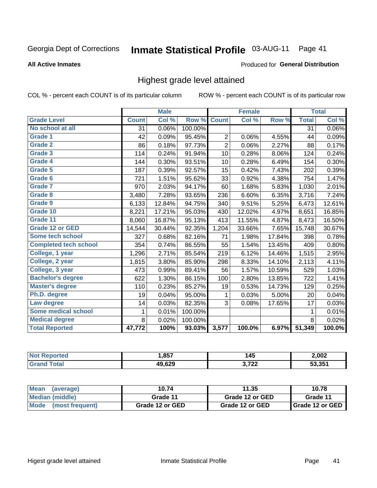#### Inmate Statistical Profile 03-AUG-11 Page 41

#### **All Active Inmates**

#### Produced for General Distribution

# Highest grade level attained

COL % - percent each COUNT is of its particular column

|                              |              | <b>Male</b> |         |                | <b>Female</b>             |        |              | <b>Total</b> |
|------------------------------|--------------|-------------|---------|----------------|---------------------------|--------|--------------|--------------|
| <b>Grade Level</b>           | <b>Count</b> | Col %       | Row %   | <b>Count</b>   | $\overline{\text{Col}}$ % | Row %  | <b>Total</b> | Col %        |
| No school at all             | 31           | 0.06%       | 100.00% |                |                           |        | 31           | 0.06%        |
| Grade 1                      | 42           | 0.09%       | 95.45%  | $\overline{c}$ | 0.06%                     | 4.55%  | 44           | 0.09%        |
| <b>Grade 2</b>               | 86           | 0.18%       | 97.73%  | $\overline{2}$ | 0.06%                     | 2.27%  | 88           | 0.17%        |
| <b>Grade 3</b>               | 114          | 0.24%       | 91.94%  | 10             | 0.28%                     | 8.06%  | 124          | 0.24%        |
| Grade 4                      | 144          | 0.30%       | 93.51%  | 10             | 0.28%                     | 6.49%  | 154          | 0.30%        |
| Grade 5                      | 187          | 0.39%       | 92.57%  | 15             | 0.42%                     | 7.43%  | 202          | 0.39%        |
| Grade 6                      | 721          | 1.51%       | 95.62%  | 33             | 0.92%                     | 4.38%  | 754          | 1.47%        |
| <b>Grade 7</b>               | 970          | 2.03%       | 94.17%  | 60             | 1.68%                     | 5.83%  | 1,030        | 2.01%        |
| <b>Grade 8</b>               | 3,480        | 7.28%       | 93.65%  | 236            | 6.60%                     | 6.35%  | 3,716        | 7.24%        |
| Grade 9                      | 6,133        | 12.84%      | 94.75%  | 340            | 9.51%                     | 5.25%  | 6,473        | 12.61%       |
| Grade 10                     | 8,221        | 17.21%      | 95.03%  | 430            | 12.02%                    | 4.97%  | 8,651        | 16.85%       |
| Grade 11                     | 8,060        | 16.87%      | 95.13%  | 413            | 11.55%                    | 4.87%  | 8,473        | 16.50%       |
| <b>Grade 12 or GED</b>       | 14,544       | 30.44%      | 92.35%  | 1,204          | 33.66%                    | 7.65%  | 15,748       | 30.67%       |
| <b>Some tech school</b>      | 327          | 0.68%       | 82.16%  | 71             | 1.98%                     | 17.84% | 398          | 0.78%        |
| <b>Completed tech school</b> | 354          | 0.74%       | 86.55%  | 55             | 1.54%                     | 13.45% | 409          | 0.80%        |
| College, 1 year              | 1,296        | 2.71%       | 85.54%  | 219            | 6.12%                     | 14.46% | 1,515        | 2.95%        |
| College, 2 year              | 1,815        | 3.80%       | 85.90%  | 298            | 8.33%                     | 14.10% | 2,113        | 4.11%        |
| College, 3 year              | 473          | 0.99%       | 89.41%  | 56             | 1.57%                     | 10.59% | 529          | 1.03%        |
| <b>Bachelor's degree</b>     | 622          | 1.30%       | 86.15%  | 100            | 2.80%                     | 13.85% | 722          | 1.41%        |
| <b>Master's degree</b>       | 110          | 0.23%       | 85.27%  | 19             | 0.53%                     | 14.73% | 129          | 0.25%        |
| Ph.D. degree                 | 19           | 0.04%       | 95.00%  | 1              | 0.03%                     | 5.00%  | 20           | 0.04%        |
| Law degree                   | 14           | 0.03%       | 82.35%  | 3              | 0.08%                     | 17.65% | 17           | 0.03%        |
| <b>Some medical school</b>   | $\mathbf{1}$ | 0.01%       | 100.00% |                |                           |        | 1            | 0.01%        |
| <b>Medical degree</b>        | 8            | 0.02%       | 100.00% |                |                           |        | 8            | 0.02%        |
| <b>Total Reported</b>        | 47,772       | 100%        | 93.03%  | 3,577          | 100.0%                    | 6.97%  | 51,349       | 100.0%       |

| ,857                       | 145          | 2,002  |
|----------------------------|--------------|--------|
| 10 G <sub>20</sub><br>.uzj | ממד מ<br>- - | 52 251 |

| <b>Mean</b><br>(average)       | 10.74           | 11.35           | 10.78           |
|--------------------------------|-----------------|-----------------|-----------------|
| Median (middle)                | Grade 11        | Grade 12 or GED | Grade 11        |
| <b>Mode</b><br>(most frequent) | Grade 12 or GED | Grade 12 or GED | Grade 12 or GED |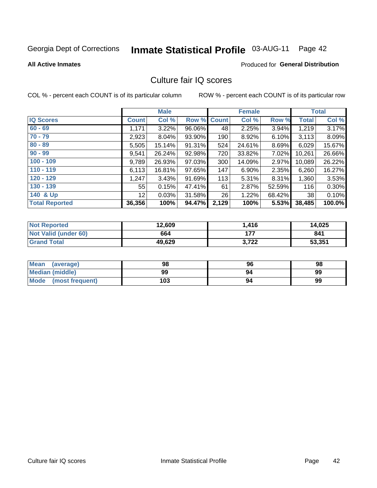# Inmate Statistical Profile 03-AUG-11 Page 42

#### **All Active Inmates**

### **Produced for General Distribution**

# Culture fair IQ scores

COL % - percent each COUNT is of its particular column

|                       |                 | <b>Male</b> |                    |       | <b>Female</b> |        |              | <b>Total</b> |
|-----------------------|-----------------|-------------|--------------------|-------|---------------|--------|--------------|--------------|
| <b>IQ Scores</b>      | <b>Count</b>    | Col %       | <b>Row % Count</b> |       | Col %         | Row %  | <b>Total</b> | Col %        |
| $60 - 69$             | 1,171           | 3.22%       | 96.06%             | 48    | 2.25%         | 3.94%  | 1,219        | 3.17%        |
| $70 - 79$             | 2,923           | 8.04%       | 93.90%             | 190   | 8.92%         | 6.10%  | 3,113        | 8.09%        |
| $80 - 89$             | 5,505           | 15.14%      | 91.31%             | 524   | 24.61%        | 8.69%  | 6,029        | 15.67%       |
| $90 - 99$             | 9,541           | 26.24%      | 92.98%             | 720   | 33.82%        | 7.02%  | 10,261       | 26.66%       |
| $100 - 109$           | 9,789           | 26.93%      | 97.03%             | 300   | 14.09%        | 2.97%  | 10,089       | 26.22%       |
| $110 - 119$           | 6,113           | 16.81%      | 97.65%             | 147   | 6.90%         | 2.35%  | 6,260        | 16.27%       |
| $120 - 129$           | 1,247           | 3.43%       | 91.69%             | 113   | 5.31%         | 8.31%  | 1,360        | 3.53%        |
| $130 - 139$           | 55              | 0.15%       | 47.41%             | 61    | 2.87%         | 52.59% | 116          | 0.30%        |
| 140 & Up              | 12 <sup>°</sup> | 0.03%       | 31.58%             | 26    | 1.22%         | 68.42% | 38           | 0.10%        |
| <b>Total Reported</b> | 36,356          | 100%        | 94.47%             | 2,129 | 100%          | 5.53%  | 38,485       | 100.0%       |

| <b>Not Reported</b>         | 12,609 | 416.، | 14,025 |
|-----------------------------|--------|-------|--------|
| <b>Not Valid (under 60)</b> | 664    | 177   | 841    |
| <b>Grand Total</b>          | 49,629 | 3,722 | 53,351 |

| <b>Mean</b><br>(average) | 98  | 96 | 98 |
|--------------------------|-----|----|----|
| <b>Median (middle)</b>   | 99  | 94 | 99 |
| Mode<br>(most frequent)  | 103 | 94 | 99 |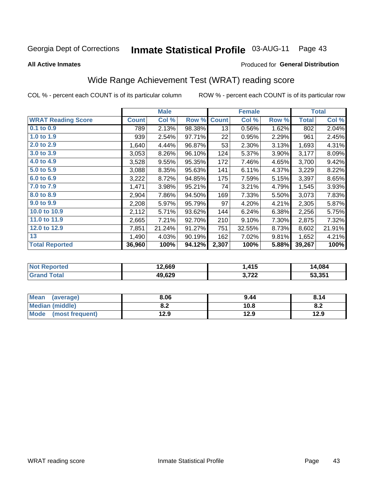#### **Inmate Statistical Profile 03-AUG-11** Page 43

**All Active Inmates** 

#### Produced for General Distribution

# Wide Range Achievement Test (WRAT) reading score

COL % - percent each COUNT is of its particular column

|                           |              | <b>Male</b> |        |              | <b>Female</b> |       |              | <b>Total</b> |
|---------------------------|--------------|-------------|--------|--------------|---------------|-------|--------------|--------------|
| <b>WRAT Reading Score</b> | <b>Count</b> | Col %       | Row %  | <b>Count</b> | Col %         | Row % | <b>Total</b> | Col %        |
| $0.1$ to $0.9$            | 789          | 2.13%       | 98.38% | 13           | 0.56%         | 1.62% | 802          | 2.04%        |
| 1.0 to 1.9                | 939          | 2.54%       | 97.71% | 22           | 0.95%         | 2.29% | 961          | 2.45%        |
| 2.0 to 2.9                | 1,640        | 4.44%       | 96.87% | 53           | 2.30%         | 3.13% | 1,693        | 4.31%        |
| 3.0 to 3.9                | 3,053        | 8.26%       | 96.10% | 124          | 5.37%         | 3.90% | 3,177        | 8.09%        |
| 4.0 to 4.9                | 3,528        | 9.55%       | 95.35% | 172          | 7.46%         | 4.65% | 3,700        | 9.42%        |
| 5.0 to 5.9                | 3,088        | 8.35%       | 95.63% | 141          | 6.11%         | 4.37% | 3,229        | 8.22%        |
| 6.0 to 6.9                | 3,222        | 8.72%       | 94.85% | 175          | 7.59%         | 5.15% | 3,397        | 8.65%        |
| 7.0 to 7.9                | 1,471        | 3.98%       | 95.21% | 74           | 3.21%         | 4.79% | 1,545        | 3.93%        |
| 8.0 to 8.9                | 2,904        | 7.86%       | 94.50% | 169          | 7.33%         | 5.50% | 3,073        | 7.83%        |
| 9.0 to 9.9                | 2,208        | 5.97%       | 95.79% | 97           | 4.20%         | 4.21% | 2,305        | 5.87%        |
| 10.0 to 10.9              | 2,112        | 5.71%       | 93.62% | 144          | 6.24%         | 6.38% | 2,256        | 5.75%        |
| 11.0 to 11.9              | 2,665        | 7.21%       | 92.70% | 210          | 9.10%         | 7.30% | 2,875        | 7.32%        |
| 12.0 to 12.9              | 7,851        | 21.24%      | 91.27% | 751          | 32.55%        | 8.73% | 8,602        | 21.91%       |
| 13                        | 1,490        | 4.03%       | 90.19% | 162          | 7.02%         | 9.81% | 1,652        | 4.21%        |
| <b>Total Reported</b>     | 36,960       | 100%        | 94.12% | 2,307        | 100%          | 5.88% | 39,267       | 100%         |

| <b>rteg</b><br>NO | 12,669 | . 415                  | 14,084 |
|-------------------|--------|------------------------|--------|
| int               | 49.629 | ימד י<br>J.I <i>ll</i> | 53,351 |

| <b>Mean</b><br>(average)       | 8.06       | 9.44 | 8.14 |
|--------------------------------|------------|------|------|
| <b>Median (middle)</b>         | י ה<br>0.Z | 10.8 | O.A  |
| <b>Mode</b><br>(most frequent) | 12.9       | 12.9 | 12.9 |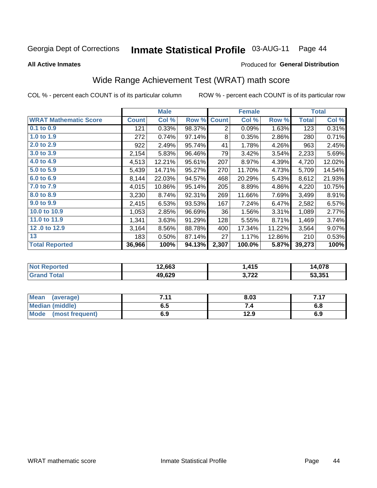#### Inmate Statistical Profile 03-AUG-11 Page 44

**All Active Inmates** 

#### Produced for General Distribution

# Wide Range Achievement Test (WRAT) math score

COL % - percent each COUNT is of its particular column

|                              |              | <b>Male</b> |        |                | <b>Female</b> |        |              | <b>Total</b> |
|------------------------------|--------------|-------------|--------|----------------|---------------|--------|--------------|--------------|
| <b>WRAT Mathematic Score</b> | <b>Count</b> | Col %       | Row %  | <b>Count</b>   | Col %         | Row %  | <b>Total</b> | Col %        |
| 0.1 to 0.9                   | 121          | 0.33%       | 98.37% | $\overline{2}$ | 0.09%         | 1.63%  | 123          | 0.31%        |
| 1.0 to 1.9                   | 272          | 0.74%       | 97.14% | 8              | 0.35%         | 2.86%  | 280          | 0.71%        |
| 2.0 to 2.9                   | 922          | 2.49%       | 95.74% | 41             | 1.78%         | 4.26%  | 963          | 2.45%        |
| 3.0 to 3.9                   | 2,154        | 5.83%       | 96.46% | 79             | 3.42%         | 3.54%  | 2,233        | 5.69%        |
| 4.0 to 4.9                   | 4,513        | 12.21%      | 95.61% | 207            | 8.97%         | 4.39%  | 4,720        | 12.02%       |
| 5.0 to 5.9                   | 5,439        | 14.71%      | 95.27% | 270            | 11.70%        | 4.73%  | 5,709        | 14.54%       |
| 6.0 to 6.9                   | 8,144        | 22.03%      | 94.57% | 468            | 20.29%        | 5.43%  | 8,612        | 21.93%       |
| 7.0 to 7.9                   | 4,015        | 10.86%      | 95.14% | 205            | 8.89%         | 4.86%  | 4,220        | 10.75%       |
| 8.0 to 8.9                   | 3,230        | 8.74%       | 92.31% | 269            | 11.66%        | 7.69%  | 3,499        | 8.91%        |
| 9.0 to 9.9                   | 2,415        | 6.53%       | 93.53% | 167            | 7.24%         | 6.47%  | 2,582        | 6.57%        |
| 10.0 to 10.9                 | 1,053        | 2.85%       | 96.69% | 36             | 1.56%         | 3.31%  | 1,089        | 2.77%        |
| 11.0 to 11.9                 | 1,341        | 3.63%       | 91.29% | 128            | 5.55%         | 8.71%  | 1,469        | 3.74%        |
| 12.0 to 12.9                 | 3,164        | 8.56%       | 88.78% | 400            | 17.34%        | 11.22% | 3,564        | 9.07%        |
| 13                           | 183          | $0.50\%$    | 87.14% | 27             | 1.17%         | 12.86% | 210          | 0.53%        |
| <b>Total Reported</b>        | 36,966       | 100%        | 94.13% | 2,307          | 100.0%        | 5.87%  | 39,273       | 100%         |
|                              |              |             |        |                |               |        |              |              |
| <b>Not Reported</b>          |              | 12683       |        |                | 1415          |        |              | 14 078       |

| .<br>.<br>n. | 12.663 | 415, ،          | - n70<br>ıД<br>4.V / 0 |
|--------------|--------|-----------------|------------------------|
| . Gr         | 49,629 | פרד י<br>J.I LL | 53,351                 |
|              |        |                 |                        |

| <b>Mean</b><br>(average) | 7 4 4 | 8.03 | 717 |
|--------------------------|-------|------|-----|
| <b>Median (middle)</b>   | כ.ס   |      | o.o |
| Mode (most frequent)     | 6.9   | 12.9 | 6.9 |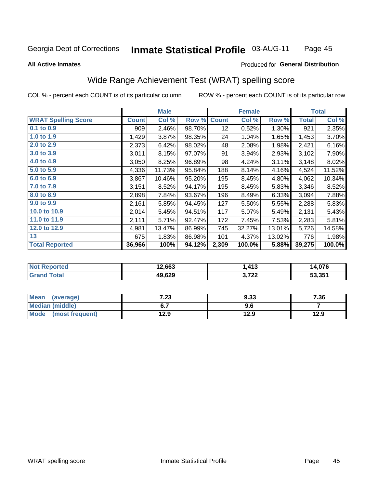#### Inmate Statistical Profile 03-AUG-11 Page 45

Produced for General Distribution

#### **All Active Inmates**

# Wide Range Achievement Test (WRAT) spelling score

COL % - percent each COUNT is of its particular column

|                            |              | <b>Male</b> |        |                 | <b>Female</b> |        |              | <b>Total</b> |
|----------------------------|--------------|-------------|--------|-----------------|---------------|--------|--------------|--------------|
| <b>WRAT Spelling Score</b> | <b>Count</b> | Col %       | Row %  | <b>Count</b>    | Col %         | Row %  | <b>Total</b> | Col %        |
| $0.1$ to $0.9$             | 909          | 2.46%       | 98.70% | 12 <sub>2</sub> | 0.52%         | 1.30%  | 921          | 2.35%        |
| 1.0 to 1.9                 | 1,429        | 3.87%       | 98.35% | 24              | 1.04%         | 1.65%  | 1,453        | 3.70%        |
| 2.0 to 2.9                 | 2,373        | 6.42%       | 98.02% | 48              | 2.08%         | 1.98%  | 2,421        | 6.16%        |
| 3.0 to 3.9                 | 3,011        | 8.15%       | 97.07% | 91              | 3.94%         | 2.93%  | 3,102        | 7.90%        |
| 4.0 to 4.9                 | 3,050        | 8.25%       | 96.89% | 98              | 4.24%         | 3.11%  | 3,148        | 8.02%        |
| 5.0 to 5.9                 | 4,336        | 11.73%      | 95.84% | 188             | 8.14%         | 4.16%  | 4,524        | 11.52%       |
| 6.0 to 6.9                 | 3,867        | 10.46%      | 95.20% | 195             | 8.45%         | 4.80%  | 4,062        | 10.34%       |
| 7.0 to 7.9                 | 3,151        | 8.52%       | 94.17% | 195             | 8.45%         | 5.83%  | 3,346        | 8.52%        |
| 8.0 to 8.9                 | 2,898        | 7.84%       | 93.67% | 196             | 8.49%         | 6.33%  | 3,094        | 7.88%        |
| 9.0 to 9.9                 | 2,161        | 5.85%       | 94.45% | 127             | 5.50%         | 5.55%  | 2,288        | 5.83%        |
| 10.0 to 10.9               | 2,014        | 5.45%       | 94.51% | 117             | 5.07%         | 5.49%  | 2,131        | 5.43%        |
| 11.0 to 11.9               | 2,111        | 5.71%       | 92.47% | 172             | 7.45%         | 7.53%  | 2,283        | 5.81%        |
| 12.0 to 12.9               | 4,981        | 13.47%      | 86.99% | 745             | 32.27%        | 13.01% | 5,726        | 14.58%       |
| 13                         | 675          | 1.83%       | 86.98% | 101             | 4.37%         | 13.02% | 776          | 1.98%        |
| <b>Total Reported</b>      | 36,966       | 100%        | 94.12% | 2,309           | 100.0%        | 5.88%  | 39,275       | 100.0%       |
|                            |              |             |        |                 |               |        |              |              |

| <b>Not Reported</b> | 12,663 | . 413 | 14,076 |
|---------------------|--------|-------|--------|
| <b>Grand Total</b>  | 49,629 | 3,722 | 53,351 |

| <b>Mean</b><br>(average) | 7.23 | 9.33 | 7.36 |
|--------------------------|------|------|------|
| Median (middle)          |      | ס.פ  |      |
| Mode<br>(most frequent)  | 12.9 | 12.9 | 12.9 |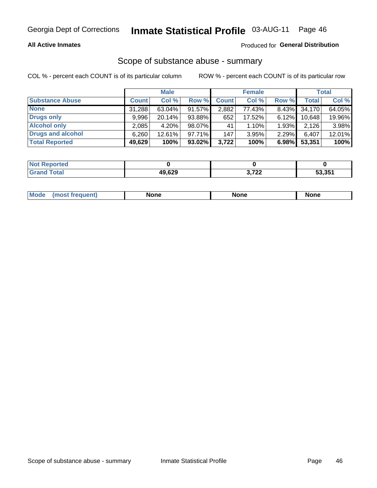#### **All Active Inmates**

#### Produced for General Distribution

# Scope of substance abuse - summary

COL % - percent each COUNT is of its particular column

|                        |              | <b>Male</b> |           |              | <b>Female</b> |          |              | <b>Total</b> |
|------------------------|--------------|-------------|-----------|--------------|---------------|----------|--------------|--------------|
| <b>Substance Abuse</b> | <b>Count</b> | Col %       | Row %     | <b>Count</b> | Col %         | Row %    | <b>Total</b> | Col %        |
| <b>None</b>            | 31,288       | $63.04\%$   | 91.57%    | 2,882        | 77.43%        | 8.43%    | 34, 170      | 64.05%       |
| <b>Drugs only</b>      | 9.996        | 20.14%      | 93.88%    | 652          | 17.52%        | $6.12\%$ | 10,648       | 19.96%       |
| <b>Alcohol only</b>    | 2,085        | $4.20\%$    | 98.07%    | 41           | 1.10%         | 1.93%    | 2,126        | 3.98%        |
| Drugs and alcohol      | 6,260        | 12.61%      | $97.71\%$ | 147          | 3.95%         | 2.29%    | 6,407        | 12.01%       |
| <b>Total Reported</b>  | 49,629       | 100%        | $93.02\%$ | 3,722        | 100%          | 6.98%    | 53,351       | 100%         |

| <b>Not Reported</b> |        |                 |        |
|---------------------|--------|-----------------|--------|
| <b>Grand Total</b>  | 49,629 | רמד מ<br>J.I 22 | 53,351 |

| nuem | <b>Mo</b> | None | <b>None</b> | None |
|------|-----------|------|-------------|------|
|------|-----------|------|-------------|------|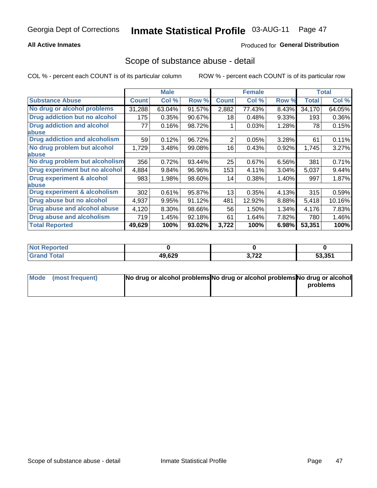### **All Active Inmates**

## **Produced for General Distribution**

## Scope of substance abuse - detail

COL % - percent each COUNT is of its particular column

|                                      |              | <b>Male</b> |        |              | <b>Female</b> |       |              | <b>Total</b> |
|--------------------------------------|--------------|-------------|--------|--------------|---------------|-------|--------------|--------------|
| <b>Substance Abuse</b>               | <b>Count</b> | Col %       | Row %  | <b>Count</b> | Col %         | Row % | <b>Total</b> | Col %        |
| No drug or alcohol problems          | 31,288       | 63.04%      | 91.57% | 2,882        | 77.43%        | 8.43% | 34,170       | 64.05%       |
| Drug addiction but no alcohol        | 175          | 0.35%       | 90.67% | 18           | 0.48%         | 9.33% | 193          | 0.36%        |
| <b>Drug addiction and alcohol</b>    | 77           | 0.16%       | 98.72% |              | 0.03%         | 1.28% | 78           | 0.15%        |
| <b>labuse</b>                        |              |             |        |              |               |       |              |              |
| <b>Drug addiction and alcoholism</b> | 59           | 0.12%       | 96.72% | 2            | 0.05%         | 3.28% | 61           | 0.11%        |
| No drug problem but alcohol          | 1,729        | 3.48%       | 99.08% | 16           | 0.43%         | 0.92% | 1,745        | 3.27%        |
| <b>labuse</b>                        |              |             |        |              |               |       |              |              |
| No drug problem but alcoholism       | 356          | 0.72%       | 93.44% | 25           | 0.67%         | 6.56% | 381          | 0.71%        |
| Drug experiment but no alcohol       | 4,884        | 9.84%       | 96.96% | 153          | 4.11%         | 3.04% | 5,037        | 9.44%        |
| <b>Drug experiment &amp; alcohol</b> | 983          | 1.98%       | 98.60% | 14           | 0.38%         | 1.40% | 997          | 1.87%        |
| <b>labuse</b>                        |              |             |        |              |               |       |              |              |
| Drug experiment & alcoholism         | 302          | 0.61%       | 95.87% | 13           | 0.35%         | 4.13% | 315          | 0.59%        |
| Drug abuse but no alcohol            | 4,937        | 9.95%       | 91.12% | 481          | 12.92%        | 8.88% | 5,418        | 10.16%       |
| Drug abuse and alcohol abuse         | 4,120        | 8.30%       | 98.66% | 56           | 1.50%         | 1.34% | 4,176        | 7.83%        |
| <b>Drug abuse and alcoholism</b>     | 719          | 1.45%       | 92.18% | 61           | 1.64%         | 7.82% | 780          | 1.46%        |
| <b>Total Reported</b>                | 49,629       | 100%        | 93.02% | 3,722        | 100%          | 6.98% | 53,351       | 100%         |

| <b>rtea</b><br><b>N</b> |        |                 |        |
|-------------------------|--------|-----------------|--------|
|                         | 49,629 | 2.722<br>J.I LL | 53,351 |

| Mode (most frequent) | No drug or alcohol problems No drug or alcohol problems No drug or alcohol |          |
|----------------------|----------------------------------------------------------------------------|----------|
|                      |                                                                            | problems |
|                      |                                                                            |          |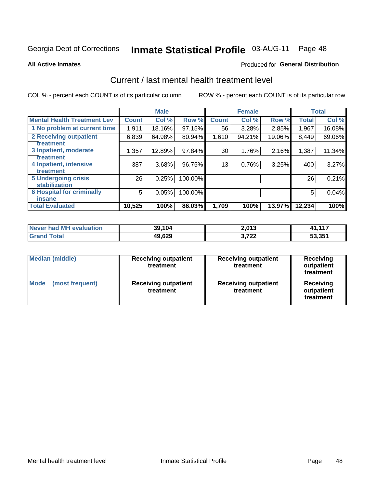# Inmate Statistical Profile 03-AUG-11 Page 48

**All Active Inmates** 

### **Produced for General Distribution**

# Current / last mental health treatment level

COL % - percent each COUNT is of its particular column

|                                    |              | <b>Male</b> |         |              | <b>Female</b> |        |              | <b>Total</b> |
|------------------------------------|--------------|-------------|---------|--------------|---------------|--------|--------------|--------------|
| <b>Mental Health Treatment Lev</b> | <b>Count</b> | Col %       | Row %   | <b>Count</b> | Col %         | Row %  | <b>Total</b> | Col %        |
| 1 No problem at current time       | 1,911        | 18.16%      | 97.15%  | 56           | 3.28%         | 2.85%  | 1,967        | 16.08%       |
| 2 Receiving outpatient             | 6,839        | 64.98%      | 80.94%  | 1,610        | 94.21%        | 19.06% | 8,449        | 69.06%       |
| <b>Treatment</b>                   |              |             |         |              |               |        |              |              |
| 3 Inpatient, moderate              | 1,357        | 12.89%      | 97.84%  | 30           | 1.76%         | 2.16%  | 1,387        | 11.34%       |
| <b>Treatment</b>                   |              |             |         |              |               |        |              |              |
| 4 Inpatient, intensive             | 387          | 3.68%       | 96.75%  | 13           | 0.76%         | 3.25%  | 400          | 3.27%        |
| <b>Treatment</b>                   |              |             |         |              |               |        |              |              |
| <b>5 Undergoing crisis</b>         | 26           | 0.25%       | 100.00% |              |               |        | 26           | 0.21%        |
| <b>stabilization</b>               |              |             |         |              |               |        |              |              |
| <b>6 Hospital for criminally</b>   | 5            | 0.05%       | 100.00% |              |               |        | 5            | 0.04%        |
| <b>Tinsane</b>                     |              |             |         |              |               |        |              |              |
| <b>Total Evaluated</b>             | 10,525       | 100%        | 86.03%  | 1,709        | 100%          | 13.97% | 12,234       | 100%         |

| Never had MH evaluation | 39,104 | 2,013 | 1,117  |
|-------------------------|--------|-------|--------|
| <b>Grand Total</b>      | 49,629 | 3.722 | 53,351 |

| <b>Median (middle)</b>         | <b>Receiving outpatient</b><br>treatment | <b>Receiving outpatient</b><br>treatment | <b>Receiving</b><br>outpatient<br>treatment |  |  |
|--------------------------------|------------------------------------------|------------------------------------------|---------------------------------------------|--|--|
| <b>Mode</b><br>(most frequent) | <b>Receiving outpatient</b><br>treatment | <b>Receiving outpatient</b><br>treatment | Receiving<br>outpatient<br>treatment        |  |  |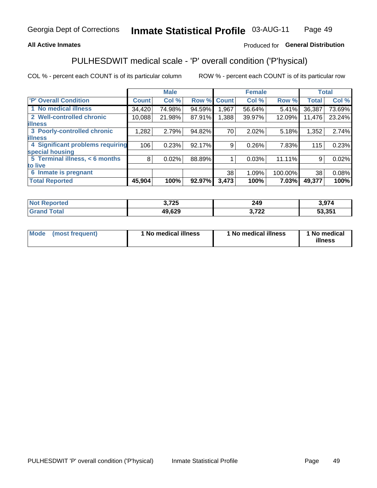#### **All Active Inmates**

### Produced for General Distribution

# PULHESDWIT medical scale - 'P' overall condition ('P'hysical)

COL % - percent each COUNT is of its particular column

|                                  |              | <b>Male</b> |        |              | <b>Female</b> |         |              | <b>Total</b> |
|----------------------------------|--------------|-------------|--------|--------------|---------------|---------|--------------|--------------|
| 'P' Overall Condition            | <b>Count</b> | Col %       | Row %  | <b>Count</b> | Col %         | Row %   | <b>Total</b> | Col %        |
| 1 No medical illness             | 34,420       | 74.98%      | 94.59% | 1,967        | 56.64%        | 5.41%   | 36,387       | 73.69%       |
| 2 Well-controlled chronic        | 10,088       | 21.98%      | 87.91% | 1,388        | 39.97%        | 12.09%  | 11,476       | 23.24%       |
| <b>illness</b>                   |              |             |        |              |               |         |              |              |
| 3 Poorly-controlled chronic      | 1,282        | 2.79%       | 94.82% | 70           | 2.02%         | 5.18%   | 1,352        | 2.74%        |
| <b>illness</b>                   |              |             |        |              |               |         |              |              |
| 4 Significant problems requiring | 106          | 0.23%       | 92.17% | 9            | 0.26%         | 7.83%   | 115          | 0.23%        |
| special housing                  |              |             |        |              |               |         |              |              |
| 5 Terminal illness, < 6 months   | 8            | 0.02%       | 88.89% |              | 0.03%         | 11.11%  | 9            | 0.02%        |
| to live                          |              |             |        |              |               |         |              |              |
| Inmate is pregnant<br>6          |              |             |        | 38           | 1.09%         | 100.00% | 38           | 0.08%        |
| <b>Total Reported</b>            | 45,904       | 100%        | 92.97% | 3,473        | 100%          | 7.03%   | 49,377       | 100%         |

| тес | ? フクド<br>1 LJ | 249       | 07A<br>. <i>.</i> |
|-----|---------------|-----------|-------------------|
|     | 10.000<br>⊶ט⊾ | フヘヘ<br>LL | 53.351            |

| Mode | (most frequent) | 1 No medical illness | 1 No medical illness | 1 No medical<br>illness |
|------|-----------------|----------------------|----------------------|-------------------------|
|------|-----------------|----------------------|----------------------|-------------------------|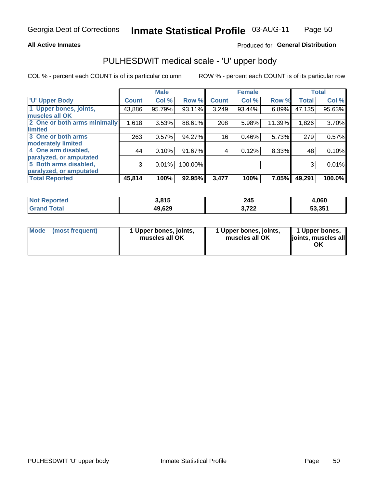#### **All Active Inmates**

### Produced for General Distribution

# PULHESDWIT medical scale - 'U' upper body

COL % - percent each COUNT is of its particular column

|                              |              | <b>Male</b> |         |              | <b>Female</b> |        |              | <b>Total</b> |
|------------------------------|--------------|-------------|---------|--------------|---------------|--------|--------------|--------------|
| <b>U' Upper Body</b>         | <b>Count</b> | Col %       | Row %   | <b>Count</b> | Col %         | Row %  | <b>Total</b> | Col %        |
| 1 Upper bones, joints,       | 43,886       | 95.79%      | 93.11%  | 3,249        | 93.44%        | 6.89%  | 47,135       | 95.63%       |
| muscles all OK               |              |             |         |              |               |        |              |              |
| 2 One or both arms minimally | 1,618        | 3.53%       | 88.61%  | 208          | 5.98%         | 11.39% | 1,826        | 3.70%        |
| limited                      |              |             |         |              |               |        |              |              |
| 3 One or both arms           | 263          | 0.57%       | 94.27%  | 16           | 0.46%         | 5.73%  | 279          | 0.57%        |
| <b>moderately limited</b>    |              |             |         |              |               |        |              |              |
| 4 One arm disabled,          | 44           | 0.10%       | 91.67%  | 4            | 0.12%         | 8.33%  | 48           | 0.10%        |
| paralyzed, or amputated      |              |             |         |              |               |        |              |              |
| 5 Both arms disabled,        | 3            | 0.01%       | 100.00% |              |               |        | 3            | 0.01%        |
| paralyzed, or amputated      |              |             |         |              |               |        |              |              |
| <b>Total Reported</b>        | 45,814       | 100%        | 92.95%  | 3,477        | 100%          | 7.05%  | 49,291       | 100.0%       |

| <b>Not Reported</b> | 3,815  | 245           | 4,060  |
|---------------------|--------|---------------|--------|
| <b>Grand Total</b>  | 49,629 | フクク<br>J.I 44 | 53,351 |

| Mode (most frequent) | 1 Upper bones, joints,<br>muscles all OK | 1 Upper bones, joints,<br>muscles all OK | 1 Upper bones,<br>joints, muscles all<br>ΟK |
|----------------------|------------------------------------------|------------------------------------------|---------------------------------------------|
|----------------------|------------------------------------------|------------------------------------------|---------------------------------------------|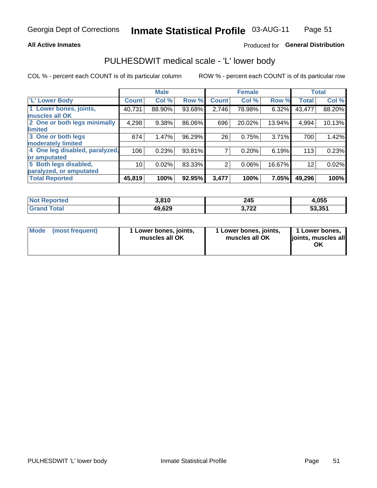#### **All Active Inmates**

## Produced for General Distribution

# PULHESDWIT medical scale - 'L' lower body

COL % - percent each COUNT is of its particular column

|                                |              | <b>Male</b> |        |              | <b>Female</b> |        |                 | <b>Total</b> |
|--------------------------------|--------------|-------------|--------|--------------|---------------|--------|-----------------|--------------|
| 'L' Lower Body                 | <b>Count</b> | Col %       | Row %  | <b>Count</b> | Col %         | Row %  | <b>Total</b>    | Col %        |
| 1 Lower bones, joints,         | 40,731       | 88.90%      | 93.68% | 2,746        | 78.98%        | 6.32%  | 43,477          | 88.20%       |
| muscles all OK                 |              |             |        |              |               |        |                 |              |
| 2 One or both legs minimally   | 4,298        | 9.38%       | 86.06% | 696          | 20.02%        | 13.94% | 4,994           | 10.13%       |
| limited                        |              |             |        |              |               |        |                 |              |
| 3 One or both legs             | 674          | 1.47%       | 96.29% | 26           | 0.75%         | 3.71%  | 700             | 1.42%        |
| moderately limited             |              |             |        |              |               |        |                 |              |
| 4 One leg disabled, paralyzed, | 106          | 0.23%       | 93.81% | 7            | 0.20%         | 6.19%  | 113             | 0.23%        |
| or amputated                   |              |             |        |              |               |        |                 |              |
| 5 Both legs disabled,          | 10           | 0.02%       | 83.33% | 2            | 0.06%         | 16.67% | 12 <sup>2</sup> | 0.02%        |
| paralyzed, or amputated        |              |             |        |              |               |        |                 |              |
| <b>Total Reported</b>          | 45,819       | 100%        | 92.95% | 3,477        | 100%          | 7.05%  | 49,296          | 100%         |

| <b>Not Reported</b>   | 3,810  | 245           | 1,055  |
|-----------------------|--------|---------------|--------|
| <b>Total</b><br>Grand | 49,629 | 700<br>J.I LL | 53,351 |

| Mode | (most frequent) | 1 Lower bones, joints,<br>muscles all OK | I Lower bones, joints,<br>muscles all OK | 1 Lower bones,<br>joints, muscles all<br>ΟK |
|------|-----------------|------------------------------------------|------------------------------------------|---------------------------------------------|
|------|-----------------|------------------------------------------|------------------------------------------|---------------------------------------------|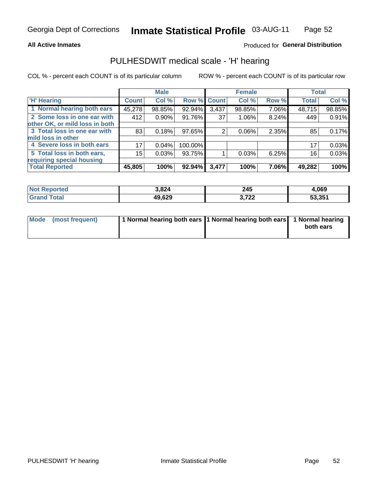#### **All Active Inmates**

### Produced for General Distribution

# PULHESDWIT medical scale - 'H' hearing

COL % - percent each COUNT is of its particular column

|                                |              | <b>Male</b> |             |       | <b>Female</b> |       | <b>Total</b> |        |
|--------------------------------|--------------|-------------|-------------|-------|---------------|-------|--------------|--------|
| <b>'H' Hearing</b>             | <b>Count</b> | Col %       | Row % Count |       | Col %         | Row % | <b>Total</b> | Col %  |
| 1 Normal hearing both ears     | 45,278       | 98.85%      | 92.94%      | 3,437 | 98.85%        | 7.06% | 48,715       | 98.85% |
| 2 Some loss in one ear with    | 412          | 0.90%       | 91.76%      | 37    | 1.06%         | 8.24% | 449          | 0.91%  |
| other OK, or mild loss in both |              |             |             |       |               |       |              |        |
| 3 Total loss in one ear with   | 83           | 0.18%       | 97.65%      | 2     | 0.06%         | 2.35% | 85           | 0.17%  |
| mild loss in other             |              |             |             |       |               |       |              |        |
| 4 Severe loss in both ears     | 17           | 0.04%       | 100.00%     |       |               |       | 17           | 0.03%  |
| 5 Total loss in both ears,     | 15           | 0.03%       | 93.75%      |       | 0.03%         | 6.25% | 16           | 0.03%  |
| requiring special housing      |              |             |             |       |               |       |              |        |
| <b>Total Reported</b>          | 45,805       | 100%        | $92.94\%$   | 3,477 | 100%          | 7.06% | 49,282       | 100%   |

| чес | 3,824  | 245<br>$\sim$            | ,069   |
|-----|--------|--------------------------|--------|
|     | 49,629 | 2.722<br>), I <i>l</i> i | 53,351 |

| Mode (most frequent) | 1 Normal hearing both ears 1 Normal hearing both ears 1 Normal hearing | both ears |
|----------------------|------------------------------------------------------------------------|-----------|
|                      |                                                                        |           |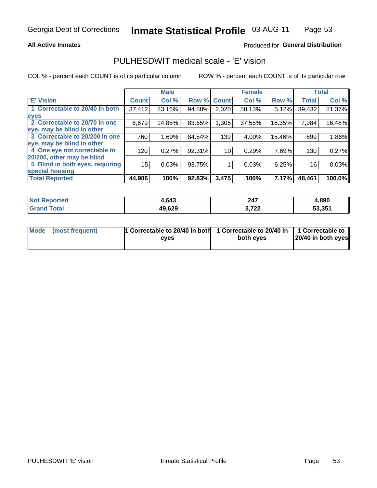#### **All Active Inmates**

### Produced for General Distribution

## PULHESDWIT medical scale - 'E' vision

COL % - percent each COUNT is of its particular column

|                                 |              | <b>Male</b> |        |              | <b>Female</b> |        |              | <b>Total</b> |
|---------------------------------|--------------|-------------|--------|--------------|---------------|--------|--------------|--------------|
| 'E' Vision                      | <b>Count</b> | Col %       | Row %  | <b>Count</b> | Col %         | Row %  | <b>Total</b> | Col %        |
| 1 Correctable to 20/40 in both  | 37,412       | 83.16%      | 94.88% | 2,020        | 58.13%        | 5.12%  | 39,432       | 81.37%       |
| eyes                            |              |             |        |              |               |        |              |              |
| 2 Correctable to 20/70 in one   | 6,679        | 14.85%      | 83.65% | 1,305        | 37.55%        | 16.35% | 7,984        | 16.48%       |
| eye, may be blind in other      |              |             |        |              |               |        |              |              |
| 3 Correctable to 20/200 in one  | 760          | 1.69%       | 84.54% | 139          | 4.00%         | 15.46% | 899          | 1.86%        |
| eye, may be blind in other      |              |             |        |              |               |        |              |              |
| 4 One eye not correctable to    | 120          | 0.27%       | 92.31% | 10           | 0.29%         | 7.69%  | 130          | 0.27%        |
| 20/200, other may be blind      |              |             |        |              |               |        |              |              |
| 5 Blind in both eyes, requiring | 15           | 0.03%       | 93.75% |              | 0.03%         | 6.25%  | 16           | 0.03%        |
| special housing                 |              |             |        |              |               |        |              |              |
| <b>Total Reported</b>           | 44,986       | 100%        | 92.83% | 3,475        | 100%          | 7.17%  | 48,461       | 100.0%       |

| <b>Not Reported</b> | .643   | 247            | 4,890  |
|---------------------|--------|----------------|--------|
| <b>Total</b>        | 49,629 | ממד פ<br>J.ILL | 53.351 |

| Mode (most frequent) | 1 Correctable to 20/40 in both<br>eves | 1 Correctable to 20/40 in   1 Correctable to  <br>both eves | 20/40 in both eyes |
|----------------------|----------------------------------------|-------------------------------------------------------------|--------------------|
|                      |                                        |                                                             |                    |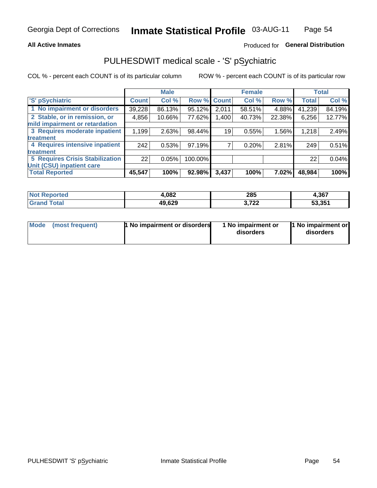#### **All Active Inmates**

## Produced for General Distribution

# PULHESDWIT medical scale - 'S' pSychiatric

COL % - percent each COUNT is of its particular column

|                                        |              | <b>Male</b> |         |             | <b>Female</b> |        |              | <b>Total</b> |
|----------------------------------------|--------------|-------------|---------|-------------|---------------|--------|--------------|--------------|
| 'S' pSychiatric                        | <b>Count</b> | Col %       |         | Row % Count | Col %         | Row %  | <b>Total</b> | Col %        |
| 1 No impairment or disorders           | 39,228       | 86.13%      | 95.12%  | 2,011       | 58.51%        | 4.88%  | 41,239       | 84.19%       |
| 2 Stable, or in remission, or          | 4,856        | 10.66%      | 77.62%  | 1,400       | 40.73%        | 22.38% | 6,256        | 12.77%       |
| mild impairment or retardation         |              |             |         |             |               |        |              |              |
| 3 Requires moderate inpatient          | 1,199        | 2.63%       | 98.44%  | 19          | 0.55%         | 1.56%  | 1,218        | 2.49%        |
| treatment                              |              |             |         |             |               |        |              |              |
| 4 Requires intensive inpatient         | 242          | 0.53%       | 97.19%  |             | 0.20%         | 2.81%  | 249          | 0.51%        |
| treatment                              |              |             |         |             |               |        |              |              |
| <b>5 Requires Crisis Stabilization</b> | 22           | 0.05%       | 100.00% |             |               |        | 22           | 0.04%        |
| Unit (CSU) inpatient care              |              |             |         |             |               |        |              |              |
| <b>Total Reported</b>                  | 45,547       | 100%        | 92.98%  | 3,437       | 100%          | 7.02%  | 48,984       | 100%         |

| <b>Not Reported</b> | 4,082  | 285             | 4,367  |
|---------------------|--------|-----------------|--------|
| $\tau$ otal<br>Grar | 49,629 | 2.722<br>J.I 44 | 53,351 |

| Mode            | <b>1 No impairment or disorders</b> | 1 No impairment or | 1 No impairment or |
|-----------------|-------------------------------------|--------------------|--------------------|
| (most frequent) |                                     | disorders          | disorders          |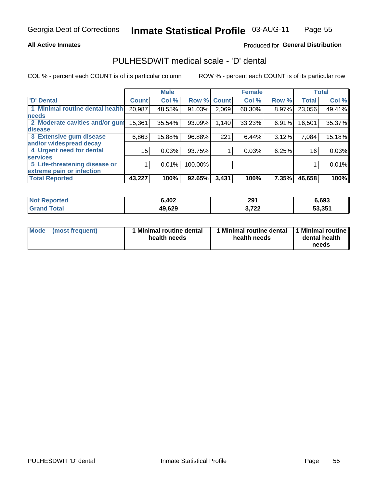#### **All Active Inmates**

### Produced for General Distribution

# PULHESDWIT medical scale - 'D' dental

COL % - percent each COUNT is of its particular column

|                                 |              | <b>Male</b> |         |              | <b>Female</b> |       |              | <b>Total</b> |
|---------------------------------|--------------|-------------|---------|--------------|---------------|-------|--------------|--------------|
| <b>D'</b> Dental                | <b>Count</b> | Col %       | Row %   | <b>Count</b> | Col %         | Row % | <b>Total</b> | Col %        |
| 1 Minimal routine dental health | 20,987       | 48.55%      | 91.03%  | 2,069        | 60.30%        | 8.97% | 23,056       | 49.41%       |
| <b>needs</b>                    |              |             |         |              |               |       |              |              |
| 2 Moderate cavities and/or gum  | 15,361       | 35.54%      | 93.09%  | 1,140        | 33.23%        | 6.91% | 16,501       | 35.37%       |
| disease                         |              |             |         |              |               |       |              |              |
| 3 Extensive gum disease         | 6,863        | 15.88%      | 96.88%  | 221          | 6.44%         | 3.12% | 7,084        | 15.18%       |
| and/or widespread decay         |              |             |         |              |               |       |              |              |
| 4 Urgent need for dental        | 15           | 0.03%       | 93.75%  |              | 0.03%         | 6.25% | 16           | 0.03%        |
| <b>services</b>                 |              |             |         |              |               |       |              |              |
| 5 Life-threatening disease or   |              | 0.01%       | 100.00% |              |               |       |              | 0.01%        |
| extreme pain or infection       |              |             |         |              |               |       |              |              |
| <b>Total Reported</b>           | 43,227       | 100%        | 92.65%  | 3,431        | 100%          | 7.35% | 46,658       | 100%         |

| <b>Not Reported</b>     | 6,402  | 291            | 6,693  |
|-------------------------|--------|----------------|--------|
| <b>Total</b><br>' Grand | 49,629 | פמד פ<br>J.IZZ | 53,351 |

| 1 Minimal routine dental<br>Mode<br>(most frequent)<br>health needs | 1 Minimal routine dental 1 Minimal routine<br>health needs | dental health<br>needs |
|---------------------------------------------------------------------|------------------------------------------------------------|------------------------|
|---------------------------------------------------------------------|------------------------------------------------------------|------------------------|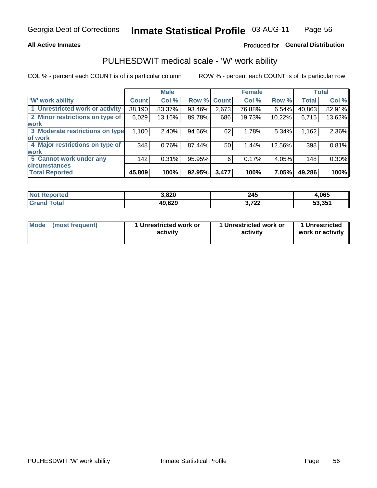#### **All Active Inmates**

## Produced for General Distribution

# PULHESDWIT medical scale - 'W' work ability

COL % - percent each COUNT is of its particular column

|                                 |              | <b>Male</b> |        |              | <b>Female</b> |        |              | <b>Total</b> |
|---------------------------------|--------------|-------------|--------|--------------|---------------|--------|--------------|--------------|
| <b>W' work ability</b>          | <b>Count</b> | Col %       | Row %  | <b>Count</b> | Col %         | Row %  | <b>Total</b> | Col %        |
| 1 Unrestricted work or activity | 38,190       | 83.37%      | 93.46% | 2,673        | 76.88%        | 6.54%  | 40,863       | 82.91%       |
| 2 Minor restrictions on type of | 6,029        | 13.16%      | 89.78% | 686          | 19.73%        | 10.22% | 6,715        | 13.62%       |
| <b>work</b>                     |              |             |        |              |               |        |              |              |
| 3 Moderate restrictions on type | 1,100        | 2.40%       | 94.66% | 62           | 1.78%         | 5.34%  | 1,162        | 2.36%        |
| lof work                        |              |             |        |              |               |        |              |              |
| 4 Major restrictions on type of | 348          | 0.76%       | 87.44% | 50           | 1.44%         | 12.56% | 398          | 0.81%        |
| <b>work</b>                     |              |             |        |              |               |        |              |              |
| 5 Cannot work under any         | 142          | 0.31%       | 95.95% | 6            | 0.17%         | 4.05%  | 148          | 0.30%        |
| <b>circumstances</b>            |              |             |        |              |               |        |              |              |
| <b>Total Reported</b>           | 45,809       | 100%        | 92.95% | 3,477        | 100%          | 7.05%  | 49,286       | 100%         |

| <b>Not Reported</b>   | 3,820  | 245             | 4,065  |
|-----------------------|--------|-----------------|--------|
| Total<br><b>Grand</b> | 49,629 | 2.722<br>J.I LL | 53,351 |

| Mode            | 1 Unrestricted work or | 1 Unrestricted work or | 1 Unrestricted   |
|-----------------|------------------------|------------------------|------------------|
| (most frequent) | activity               | activity               | work or activity |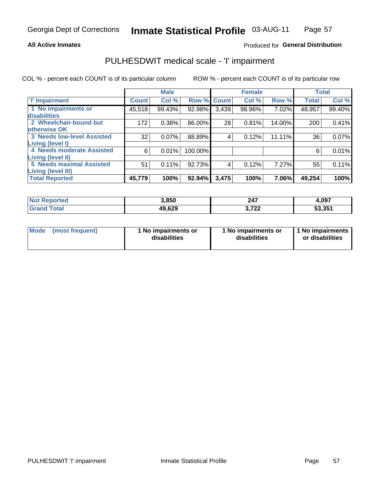#### **All Active Inmates**

### Produced for General Distribution

# PULHESDWIT medical scale - 'I' impairment

COL % - percent each COUNT is of its particular column

|                                                              |              | <b>Male</b> |         |             | <b>Female</b> |        |              | <b>Total</b> |
|--------------------------------------------------------------|--------------|-------------|---------|-------------|---------------|--------|--------------|--------------|
| <b>T' Impairment</b>                                         | <b>Count</b> | Col %       |         | Row % Count | Col %         | Row %  | <b>Total</b> | Col %        |
| 1 No impairments or<br>disabilities                          | 45,518       | 99.43%      | 92.98%  | 3,439       | 98.96%        | 7.02%  | 48,957       | 99.40%       |
| 2 Wheelchair-bound but<br>otherwise OK                       | 172          | 0.38%       | 86.00%  | 28          | 0.81%         | 14.00% | 200          | 0.41%        |
| <b>3 Needs low-level Assisted</b><br>Living (level I)        | 32           | 0.07%       | 88.89%  | 4           | 0.12%         | 11.11% | 36           | 0.07%        |
| 4 Needs moderate Assisted<br><b>Living (level II)</b>        | 6            | 0.01%       | 100.00% |             |               |        | 6            | 0.01%        |
| <b>5 Needs maximal Assisted</b><br><b>Living (level III)</b> | 51           | 0.11%       | 92.73%  | 4           | 0.12%         | 7.27%  | 55           | 0.11%        |
| <b>Total Reported</b>                                        | 45,779       | 100%        | 92.94%  | 3,475       | 100%          | 7.06%  | 49,254       | 100%         |

| oorted<br>' NOT | 3,850  | 247                      | 4,097  |
|-----------------|--------|--------------------------|--------|
| <b>otal</b>     | 49,629 | フヘヘ<br>$\sim$ i 44<br>v. | 53,351 |

| Mode | (most frequent) | 1 No impairments or<br>disabilities | 1 No impairments or<br>disabilities | 1 No impairments<br>or disabilities |
|------|-----------------|-------------------------------------|-------------------------------------|-------------------------------------|
|------|-----------------|-------------------------------------|-------------------------------------|-------------------------------------|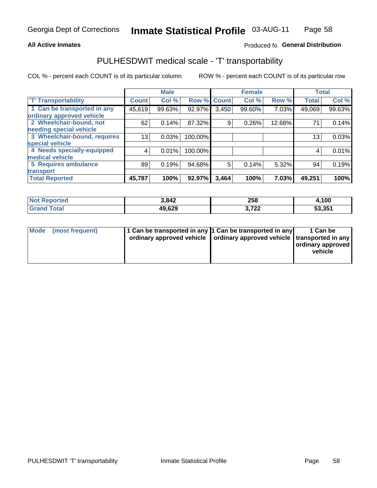#### **All Active Inmates**

### Produced fo General Distribution

# PULHESDWIT medical scale - 'T' transportability

COL % - percent each COUNT is of its particular column

|                              |                 | <b>Male</b> |                    |       | <b>Female</b> |        | <b>Total</b> |        |
|------------------------------|-----------------|-------------|--------------------|-------|---------------|--------|--------------|--------|
| <b>T' Transportability</b>   | <b>Count</b>    | Col %       | <b>Row % Count</b> |       | Col %         | Row %  | <b>Total</b> | Col %  |
| 1 Can be transported in any  | 45,619          | 99.63%      | 92.97%             | 3,450 | 99.60%        | 7.03%  | 49,069       | 99.63% |
| ordinary approved vehicle    |                 |             |                    |       |               |        |              |        |
| 2 Wheelchair-bound, not      | 62              | 0.14%       | 87.32%             | 9     | 0.26%         | 12.68% | 71           | 0.14%  |
| needing special vehicle      |                 |             |                    |       |               |        |              |        |
| 3 Wheelchair-bound, requires | 13 <sub>1</sub> | 0.03%       | 100.00%            |       |               |        | 13           | 0.03%  |
| special vehicle              |                 |             |                    |       |               |        |              |        |
| 4 Needs specially-equipped   | 4               | 0.01%       | 100.00%            |       |               |        | 4            | 0.01%  |
| medical vehicle              |                 |             |                    |       |               |        |              |        |
| <b>5 Requires ambulance</b>  | 89              | 0.19%       | 94.68%             | 5     | 0.14%         | 5.32%  | 94           | 0.19%  |
| transport                    |                 |             |                    |       |               |        |              |        |
| <b>Total Reported</b>        | 45,787          | 100%        | 92.97%             | 3,464 | 100%          | 7.03%  | 49,251       | 100%   |

| <b>Not</b><br><b>Reported</b> | 3,842  | 258           | 4,100  |
|-------------------------------|--------|---------------|--------|
| <b>ota</b> l                  | 49,629 | 700<br>J.I 44 | 53,351 |

|  | Mode (most frequent) | 1 Can be transported in any 1 Can be transported in any<br>ordinary approved vehicle   ordinary approved vehicle   transported in any |  | 1 Can be<br>  ordinary approved  <br>vehicle |
|--|----------------------|---------------------------------------------------------------------------------------------------------------------------------------|--|----------------------------------------------|
|--|----------------------|---------------------------------------------------------------------------------------------------------------------------------------|--|----------------------------------------------|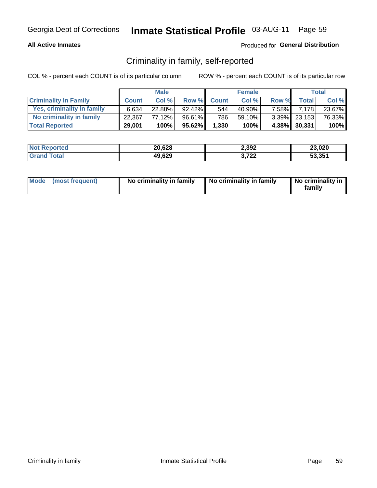#### **All Active Inmates**

### Produced for General Distribution

## Criminality in family, self-reported

COL % - percent each COUNT is of its particular column

|                              |              | <b>Male</b> |           |              | <b>Female</b> |        |                 | Total  |
|------------------------------|--------------|-------------|-----------|--------------|---------------|--------|-----------------|--------|
| <b>Criminality In Family</b> | <b>Count</b> | Col%        | Row %     | <b>Count</b> | Col%          | Row %  | <b>Total</b>    | Col %  |
| Yes, criminality in family   | 6.634        | $22.88\%$   | $92.42\%$ | 544          | 40.90%        | 7.58%I | 7.178           | 23.67% |
| No criminality in family     | 22.367       | 77.12%      | 96.61%    | 786          | 59.10%        |        | $3.39\%$ 23,153 | 76.33% |
| <b>Total Reported</b>        | 29,001       | 100%        | 95.62%    | 1,330        | 100%          |        | 4.38% 30,331    | 100%   |

| <b>Not</b><br>Reported | 20,628 | 2,392              | 23,020 |
|------------------------|--------|--------------------|--------|
| <b>ofa</b>             | 49,629 | っへへ<br>1 L L<br>v. | 53,351 |

|  | Mode (most frequent) | No criminality in family | No criminality in family | No criminality in<br>family |
|--|----------------------|--------------------------|--------------------------|-----------------------------|
|--|----------------------|--------------------------|--------------------------|-----------------------------|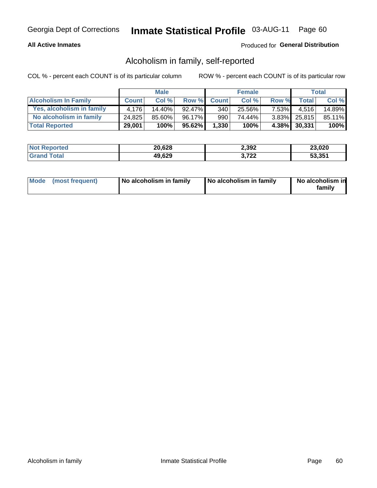#### **All Active Inmates**

### Produced for General Distribution

## Alcoholism in family, self-reported

COL % - percent each COUNT is of its particular column

|                             |              | <b>Male</b> |        |              | <b>Female</b> |                |              | Total   |
|-----------------------------|--------------|-------------|--------|--------------|---------------|----------------|--------------|---------|
| <b>Alcoholism In Family</b> | <b>Count</b> | Col%        | Row %  | <b>Count</b> | Col %         | Row %          | <b>Total</b> | Col %   |
| Yes, alcoholism in family   | 4.176        | $14.40\%$   | 92.47% | 340          | 25.56%        | 7.53% <b>I</b> | 4.516        | 14.89%  |
| No alcoholism in family     | 24,825       | $85.60\%$   | 96.17% | 990          | 74.44%        |                | 3.83% 25,815 | 85.11%  |
| <b>Total Reported</b>       | 29,001       | 100%        | 95.62% | 1,330        | 100%          |                | 4.38% 30,331 | $100\%$ |

| <b>Not Reported</b> | 20,628 | 2,392              | 23,020 |
|---------------------|--------|--------------------|--------|
| <b>Srand Total</b>  | 49,629 | フクク<br>1 L L<br>v. | 53,351 |

|  | Mode (most frequent) | No alcoholism in family | No alcoholism in family | No alcoholism in<br>family |
|--|----------------------|-------------------------|-------------------------|----------------------------|
|--|----------------------|-------------------------|-------------------------|----------------------------|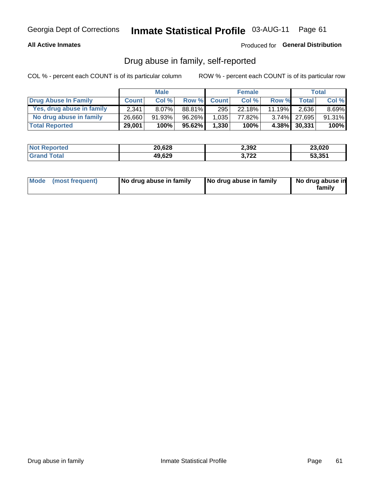#### **All Active Inmates**

### Produced for General Distribution

## Drug abuse in family, self-reported

COL % - percent each COUNT is of its particular column

|                           |              | <b>Male</b> |           |              | <b>Female</b> |        |              | Total    |
|---------------------------|--------------|-------------|-----------|--------------|---------------|--------|--------------|----------|
| Drug Abuse In Family      | <b>Count</b> | Col%        | Row %     | <b>Count</b> | Col%          | Row %  | <b>Total</b> | Col %    |
| Yes, drug abuse in family | 2,341        | $8.07\%$    | 88.81%    | 295          | 22.18%        | 11.19% | 2,636        | $8.69\%$ |
| No drug abuse in family   | 26,660       | 91.93%      | 96.26%    | 1,035        | 77.82%        |        | 3.74% 27,695 | 91.31%   |
| <b>Total Reported</b>     | 29,001       | 100%        | $95.62\%$ | 1,330        | 100%          |        | 4.38% 30,331 | 100%     |

| <b>Not Reported</b> | 20,628 | 2,392              | 23,020 |
|---------------------|--------|--------------------|--------|
| <b>Srand Total</b>  | 49,629 | フクク<br>1 L L<br>v. | 53,351 |

|  | Mode (most frequent) | No drug abuse in family | No drug abuse in family | No drug abuse in<br>familv |
|--|----------------------|-------------------------|-------------------------|----------------------------|
|--|----------------------|-------------------------|-------------------------|----------------------------|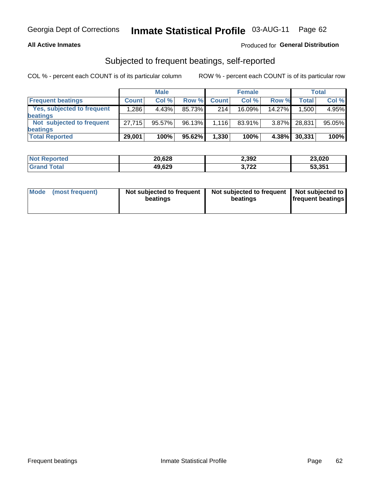#### **All Active Inmates**

### Produced for General Distribution

## Subjected to frequent beatings, self-reported

COL % - percent each COUNT is of its particular column

|                            |              | <b>Male</b> |        |              | <b>Female</b> |          |              | Total  |
|----------------------------|--------------|-------------|--------|--------------|---------------|----------|--------------|--------|
| <b>Frequent beatings</b>   | <b>Count</b> | Col %       | Row %  | <b>Count</b> | Col %         | Row %    | <b>Total</b> | Col %  |
| Yes, subjected to frequent | ا 286.1      | 4.43%       | 85.73% | 214          | 16.09%        | 14.27%   | 1,500        | 4.95%  |
| beatings                   |              |             |        |              |               |          |              |        |
| Not subjected to frequent  | 27.715       | 95.57%      | 96.13% | 1,116        | 83.91%        | $3.87\%$ | 28,831       | 95.05% |
| beatings                   |              |             |        |              |               |          |              |        |
| <b>Total Reported</b>      | 29,001       | 100%        | 95.62% | 1,330        | 100%          | 4.38%    | 30,331       | 100%   |

| <b>Not Reported</b> | 20,628 | 2,392         | 23,020 |
|---------------------|--------|---------------|--------|
| <b>Grand Total</b>  | 49,629 | 700<br>J.I 44 | 53,351 |

| Mode (most frequent) | Not subjected to frequent<br>beatings | Not subjected to frequent<br>beatings | Not subjected to<br><b>frequent beatings</b> |
|----------------------|---------------------------------------|---------------------------------------|----------------------------------------------|
|                      |                                       |                                       |                                              |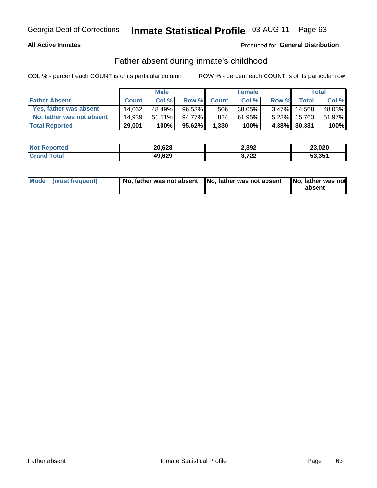#### **All Active Inmates**

## Produced for General Distribution

## Father absent during inmate's childhood

COL % - percent each COUNT is of its particular column

|                           |              | <b>Male</b> |           |              | <b>Female</b> |          |              | Total  |
|---------------------------|--------------|-------------|-----------|--------------|---------------|----------|--------------|--------|
| <b>Father Absent</b>      | <b>Count</b> | Col%        | Row %     | <b>Count</b> | Col %         | Row %    | <b>Total</b> | Col %  |
| Yes, father was absent    | 14.062       | 48.49%      | 96.53%    | 506          | 38.05%        | $3.47\%$ | 14.568       | 48.03% |
| No, father was not absent | 14.939       | 51.51%      | 94.77%I   | 824          | 61.95%        | $5.23\%$ | 15,763       | 51.97% |
| <b>Total Reported</b>     | 29,001       | 100%        | $95.62\%$ | 1,330        | 100%          |          | 4.38% 30,331 | 100%   |

| <b>Not Reported</b> | 20,628 | 2,392              | 23,020 |
|---------------------|--------|--------------------|--------|
| <b>Srand Total</b>  | 49,629 | フクク<br>1 L L<br>v. | 53,351 |

|  | Mode (most frequent) |  | No, father was not absent No, father was not absent No, father was not | absent |
|--|----------------------|--|------------------------------------------------------------------------|--------|
|--|----------------------|--|------------------------------------------------------------------------|--------|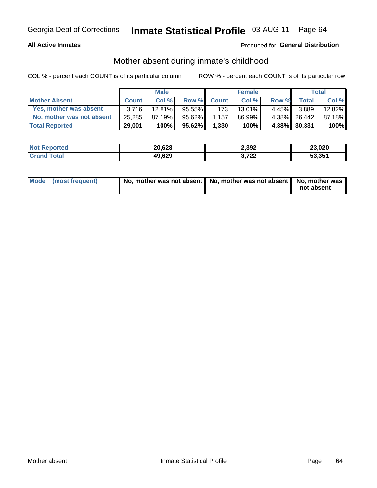#### **All Active Inmates**

## Produced for General Distribution

## Mother absent during inmate's childhood

COL % - percent each COUNT is of its particular column

|                           |              | <b>Male</b> |           |                  | <b>Female</b> |          |              | Total  |
|---------------------------|--------------|-------------|-----------|------------------|---------------|----------|--------------|--------|
| <b>Mother Absent</b>      | <b>Count</b> | Col%        | Row %     | <b>Count</b>     | Col %         | Row %    | <b>Total</b> | Col %  |
| Yes, mother was absent    | 3.716        | 12.81%      | $95.55\%$ | 173 <sup>1</sup> | 13.01%        | $4.45\%$ | 3,889        | 12.82% |
| No, mother was not absent | 25,285       | 87.19%      | 95.62%    | 1.157            | 86.99%        | $4.38\%$ | 26,442       | 87.18% |
| <b>Total Reported</b>     | 29,001       | 100%        | $95.62\%$ | 1,330            | 100%          |          | 4.38% 30,331 | 100%   |

| <b>Not Reported</b> | 20,628 | 2,392          | 23,020 |
|---------------------|--------|----------------|--------|
| <b>Tota</b>         | 49,629 | - 700<br>3,7ZZ | 53.351 |

| Mode (most frequent) | No, mother was not absent   No, mother was not absent   No, mother was | not absent |
|----------------------|------------------------------------------------------------------------|------------|
|                      |                                                                        |            |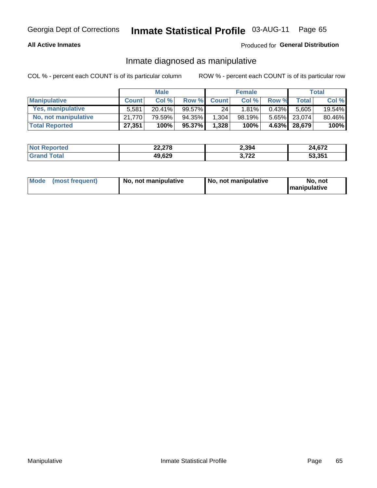#### **All Active Inmates**

### Produced for General Distribution

## Inmate diagnosed as manipulative

COL % - percent each COUNT is of its particular column

|                       |              | <b>Male</b> |        |              | <b>Female</b> |          |              | Total  |
|-----------------------|--------------|-------------|--------|--------------|---------------|----------|--------------|--------|
| <b>Manipulative</b>   | <b>Count</b> | Col %       | Row %  | <b>Count</b> | Col%          | Row %    | <b>Total</b> | Col %  |
| Yes, manipulative     | 5.581        | $20.41\%$   | 99.57% | 24           | 1.81%         | $0.43\%$ | 5.605        | 19.54% |
| No, not manipulative  | 21.770       | 79.59%      | 94.35% | 1,304        | 98.19%        | $5.65\%$ | 23.074       | 80.46% |
| <b>Total Reported</b> | 27,351       | 100%        | 95.37% | 1,328        | 100%          | $4.63\%$ | 28,679       | 100%   |

| <b>Not Reported</b>      | 22,278 | 2,394           | 24,672 |
|--------------------------|--------|-----------------|--------|
| <b>∣Grand T</b><br>™otal | 49,629 | רמד כ<br>J.I LL | 53,351 |

| Mode | (most frequent) | No, not manipulative | No, not manipulative | No. not<br><b>I</b> manipulative |
|------|-----------------|----------------------|----------------------|----------------------------------|
|------|-----------------|----------------------|----------------------|----------------------------------|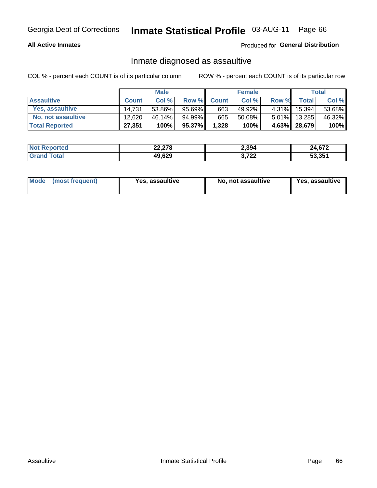#### **All Active Inmates**

Produced for General Distribution

## Inmate diagnosed as assaultive

COL % - percent each COUNT is of its particular column

|                           |              | <b>Male</b> |        |              | <b>Female</b> |          |              | Total  |
|---------------------------|--------------|-------------|--------|--------------|---------------|----------|--------------|--------|
| <b>Assaultive</b>         | <b>Count</b> | Col %       | Row %  | <b>Count</b> | Col %         | Row %    | <b>Total</b> | Col %  |
| Yes, assaultive           | 14.731       | 53.86%      | 95.69% | 663          | 49.92%        | 4.31%    | 15,394       | 53.68% |
| <b>No, not assaultive</b> | 12,620       | $46.14\%$   | 94.99% | 665          | 50.08%        | $5.01\%$ | 13,285       | 46.32% |
| <b>Total Reported</b>     | 27,351       | 100%        | 95.37% | 1,328        | 100%          |          | 4.63% 28,679 | 100%   |

| <b>Not</b>       | 22,278 | 2,394              | 24,672 |
|------------------|--------|--------------------|--------|
| n <sub>tan</sub> | 49,629 | っへへ<br>1 L L<br>v. | 53.351 |

| Mode (most frequent) | Yes, assaultive | No, not assaultive | <b>Yes, assaultive</b> |
|----------------------|-----------------|--------------------|------------------------|
|----------------------|-----------------|--------------------|------------------------|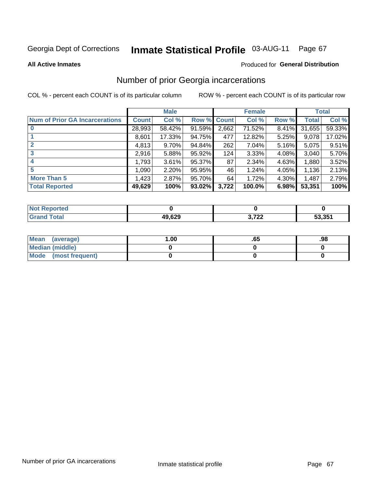#### Inmate Statistical Profile 03-AUG-11 Page 67

**All Active Inmates** 

### **Produced for General Distribution**

# Number of prior Georgia incarcerations

COL % - percent each COUNT is of its particular column

|                                       |              | <b>Male</b> |             |       | <b>Female</b> |       |        | <b>Total</b> |
|---------------------------------------|--------------|-------------|-------------|-------|---------------|-------|--------|--------------|
| <b>Num of Prior GA Incarcerations</b> | <b>Count</b> | Col %       | Row % Count |       | Col %         | Row % | Total  | Col %        |
| $\bf{0}$                              | 28,993       | 58.42%      | 91.59%      | 2,662 | 71.52%        | 8.41% | 31,655 | 59.33%       |
|                                       | 8,601        | 17.33%      | 94.75%      | 477   | 12.82%        | 5.25% | 9,078  | 17.02%       |
| $\mathbf{2}$                          | 4,813        | 9.70%       | 94.84%      | 262   | 7.04%         | 5.16% | 5,075  | 9.51%        |
| 3                                     | 2,916        | 5.88%       | $95.92\%$   | 124   | 3.33%         | 4.08% | 3,040  | 5.70%        |
| $\boldsymbol{4}$                      | 1,793        | 3.61%       | 95.37%      | 87    | 2.34%         | 4.63% | 1,880  | 3.52%        |
| 5                                     | 1,090        | 2.20%       | 95.95%      | 46    | 1.24%         | 4.05% | 1,136  | 2.13%        |
| <b>More Than 5</b>                    | 1,423        | 2.87%       | 95.70%      | 64    | 1.72%         | 4.30% | 1,487  | 2.79%        |
| <b>Total Reported</b>                 | 49,629       | 100%        | 93.02%      | 3,722 | 100.0%        | 6.98% | 53,351 | 100%         |

| <b>Not</b><br>Reported         |        |                |        |
|--------------------------------|--------|----------------|--------|
| <b>⊺otal</b><br><b>'</b> Gran∟ | 49,629 | רמד כ<br>$-66$ | 53,351 |

| Mean (average)       | .00 | .oa | .98 |
|----------------------|-----|-----|-----|
| Median (middle)      |     |     |     |
| Mode (most frequent) |     |     |     |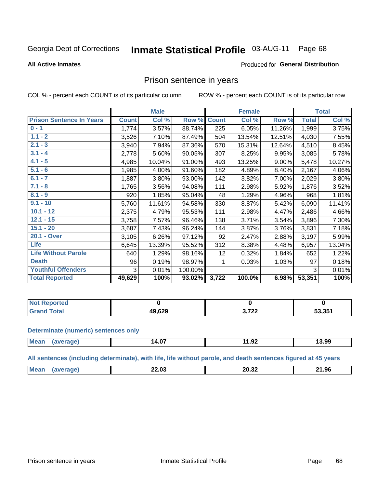#### **Inmate Statistical Profile 03-AUG-11** Page 68

#### **All Active Inmates**

#### Produced for General Distribution

## Prison sentence in years

COL % - percent each COUNT is of its particular column

ROW % - percent each COUNT is of its particular row

|                                 | <b>Male</b>  |        |         |              | <b>Female</b> | <b>Total</b> |              |        |
|---------------------------------|--------------|--------|---------|--------------|---------------|--------------|--------------|--------|
| <b>Prison Sentence In Years</b> | <b>Count</b> | Col %  | Row %   | <b>Count</b> | Col %         | Row %        | <b>Total</b> | Col %  |
| $0 - 1$                         | 1,774        | 3.57%  | 88.74%  | 225          | 6.05%         | 11.26%       | 1,999        | 3.75%  |
| $1.1 - 2$                       | 3,526        | 7.10%  | 87.49%  | 504          | 13.54%        | 12.51%       | 4,030        | 7.55%  |
| $2.1 - 3$                       | 3,940        | 7.94%  | 87.36%  | 570          | 15.31%        | 12.64%       | 4,510        | 8.45%  |
| $3.1 - 4$                       | 2,778        | 5.60%  | 90.05%  | 307          | 8.25%         | 9.95%        | 3,085        | 5.78%  |
| $4.1 - 5$                       | 4,985        | 10.04% | 91.00%  | 493          | 13.25%        | $9.00\%$     | 5,478        | 10.27% |
| $5.1 - 6$                       | 1,985        | 4.00%  | 91.60%  | 182          | 4.89%         | 8.40%        | 2,167        | 4.06%  |
| $6.1 - 7$                       | 1,887        | 3.80%  | 93.00%  | 142          | 3.82%         | 7.00%        | 2,029        | 3.80%  |
| $7.1 - 8$                       | 1,765        | 3.56%  | 94.08%  | 111          | 2.98%         | 5.92%        | 1,876        | 3.52%  |
| $8.1 - 9$                       | 920          | 1.85%  | 95.04%  | 48           | 1.29%         | 4.96%        | 968          | 1.81%  |
| $9.1 - 10$                      | 5,760        | 11.61% | 94.58%  | 330          | 8.87%         | 5.42%        | 6,090        | 11.41% |
| $10.1 - 12$                     | 2,375        | 4.79%  | 95.53%  | 111          | 2.98%         | 4.47%        | 2,486        | 4.66%  |
| $12.1 - 15$                     | 3,758        | 7.57%  | 96.46%  | 138          | 3.71%         | 3.54%        | 3,896        | 7.30%  |
| $15.1 - 20$                     | 3,687        | 7.43%  | 96.24%  | 144          | 3.87%         | 3.76%        | 3,831        | 7.18%  |
| 20.1 - Over                     | 3,105        | 6.26%  | 97.12%  | 92           | 2.47%         | 2.88%        | 3,197        | 5.99%  |
| <b>Life</b>                     | 6,645        | 13.39% | 95.52%  | 312          | 8.38%         | 4.48%        | 6,957        | 13.04% |
| <b>Life Without Parole</b>      | 640          | 1.29%  | 98.16%  | 12           | 0.32%         | 1.84%        | 652          | 1.22%  |
| <b>Death</b>                    | 96           | 0.19%  | 98.97%  |              | 0.03%         | 1.03%        | 97           | 0.18%  |
| <b>Youthful Offenders</b>       | 3            | 0.01%  | 100.00% |              |               |              | 3            | 0.01%  |
| <b>Total Reported</b>           | 49,629       | 100%   | 93.02%  | 3,722        | 100.0%        | 6.98%        | 53,351       | 100%   |

| <b>Not Reported</b>      |        |           |        |
|--------------------------|--------|-----------|--------|
| A <sub>1</sub><br>. Caro | 19,629 | המדי<br>. | 53,351 |

#### **Determinate (numeric) sentences only**

| <b>Mea</b> | $\sim$ $\sim$<br>14.V. | $\sim$<br>א⊽.וי<br>----- | 3.99 |
|------------|------------------------|--------------------------|------|
|            |                        |                          |      |

All sentences (including determinate), with life, life without parole, and death sentences figured at 45 years

| <b>Mea</b><br><br>20.32<br>.96<br>- 74<br>ZZ.UJ<br>___<br>____<br>___ |
|-----------------------------------------------------------------------|
|-----------------------------------------------------------------------|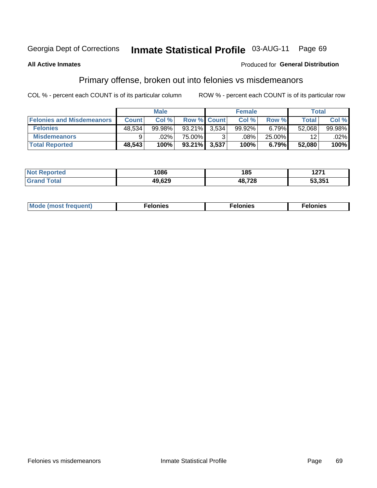#### Inmate Statistical Profile 03-AUG-11 Page 69

#### **All Active Inmates**

#### **Produced for General Distribution**

# Primary offense, broken out into felonies vs misdemeanors

COL % - percent each COUNT is of its particular column

|                                  | <b>Male</b>  |        |           | <b>Female</b>      |        |        | Total   |         |
|----------------------------------|--------------|--------|-----------|--------------------|--------|--------|---------|---------|
| <b>Felonies and Misdemeanors</b> | <b>Count</b> | Col%   |           | <b>Row % Count</b> | Col%   | Row %  | Total,  | Col %   |
| <b>Felonies</b>                  | 48,534       | 99.98% | $93.21\%$ | 3,534              | 99.92% | 6.79%  | 52,068  | 99.98%  |
| <b>Misdemeanors</b>              | 9            | .02%   | 75.00%    | າ                  | .08%   | 25.00% | $12 \,$ | $.02\%$ |
| <b>Total Reported</b>            | 48,543       | 100%   | $93.21\%$ | 3,537              | 100%   | 6.79%  | 52,080  | 100%    |

| ted<br>NO | 1086   | 185    | , , , ,<br>14 I I |
|-----------|--------|--------|-------------------|
| ⊺ota.     | 10 G20 | ,0 700 | 3.351             |

| Mo | ____ | 11 C.S<br>. | onies<br>. |
|----|------|-------------|------------|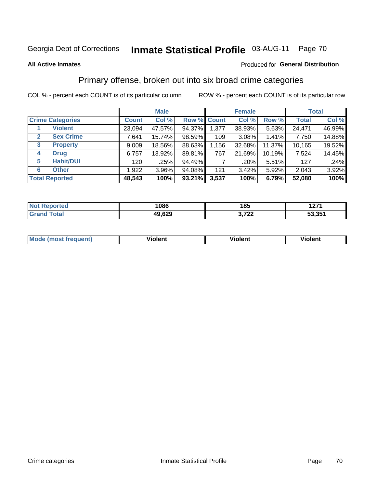#### **Inmate Statistical Profile 03-AUG-11** Page 70

#### **All Active Inmates**

#### Produced for General Distribution

# Primary offense, broken out into six broad crime categories

COL % - percent each COUNT is of its particular column

|                                  | <b>Male</b>  |                                 |        | <b>Female</b>      |         |        | <b>Total</b> |        |
|----------------------------------|--------------|---------------------------------|--------|--------------------|---------|--------|--------------|--------|
| <b>Crime Categories</b>          | <b>Count</b> | Col %                           |        | <b>Row % Count</b> | Col %   | Row %  | <b>Total</b> | Col %  |
| <b>Violent</b>                   | 23,094       | 47.57%                          | 94.37% | 1,377              | 38.93%  | 5.63%  | 24,471       | 46.99% |
| <b>Sex Crime</b><br>$\mathbf{2}$ | 7,641        | 15.74%                          | 98.59% | 109                | 3.08%   | 1.41%  | 7,750        | 14.88% |
| $\mathbf{3}$<br><b>Property</b>  | 9,009        | 18.56%                          | 88.63% | 1,156              | 32.68%  | 11.37% | 10,165       | 19.52% |
| <b>Drug</b><br>4                 | 6,757        | 13.92%                          | 89.81% | 767                | 21.69%  | 10.19% | 7,524        | 14.45% |
| <b>Habit/DUI</b><br>5            | 120          | .25%                            | 94.49% |                    | $.20\%$ | 5.51%  | 127          | .24%   |
| <b>Other</b><br>6                | 1,922        | 3.96%                           | 94.08% | 121                | 3.42%   | 5.92%  | 2,043        | 3.92%  |
| <b>Total Reported</b>            | 48,543       | 3,537<br>93.21%<br>100%<br>100% |        | 6.79%              | 52,080  | 100%   |              |        |

| rtea<br>NO | 1086   | 185                   | ィヘフィ<br>141 I   |
|------------|--------|-----------------------|-----------------|
|            | 49.629 | ההדי<br>J.I <i>ll</i> | 53 351<br>JJ.JJ |

| Mo<br>uent)<br>nos | .<br>/iolent | <br>Violent | - --<br><b>Tiolent</b> |
|--------------------|--------------|-------------|------------------------|
|                    |              |             |                        |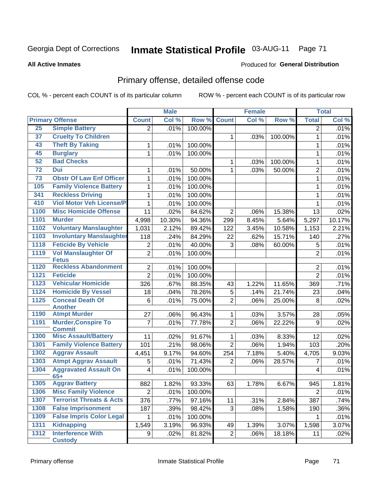# Inmate Statistical Profile 03-AUG-11 Page 71

**Produced for General Distribution** 

#### **All Active Inmates**

# Primary offense, detailed offense code

COL % - percent each COUNT is of its particular column

|      |                                           |                | <b>Male</b> |         |                | <b>Female</b>       |         |                | <b>Total</b> |
|------|-------------------------------------------|----------------|-------------|---------|----------------|---------------------|---------|----------------|--------------|
|      | <b>Primary Offense</b>                    | <b>Count</b>   | Col %       | Row %   | <b>Count</b>   | Col %               | Row %   | <b>Total</b>   | Col %        |
| 25   | <b>Simple Battery</b>                     | 2              | .01%        | 100.00% |                |                     |         | 2              | .01%         |
| 37   | <b>Cruelty To Children</b>                |                |             |         | $\mathbf{1}$   | .03%                | 100.00% | $\mathbf{1}$   | .01%         |
| 43   | <b>Theft By Taking</b>                    | 1              | .01%        | 100.00% |                |                     |         | 1              | .01%         |
| 45   | <b>Burglary</b>                           | $\mathbf 1$    | .01%        | 100.00% |                |                     |         | 1              | .01%         |
| 52   | <b>Bad Checks</b>                         |                |             |         | $\mathbf{1}$   | .03%                | 100.00% | 1              | .01%         |
| 72   | <b>Dui</b>                                | 1              | .01%        | 50.00%  | $\mathbf{1}$   | .03%                | 50.00%  | $\overline{2}$ | .01%         |
| 73   | <b>Obstr Of Law Enf Officer</b>           | $\mathbf{1}$   | .01%        | 100.00% |                |                     |         | $\mathbf{1}$   | .01%         |
| 105  | <b>Family Violence Battery</b>            | 1              | .01%        | 100.00% |                |                     |         | 1              | .01%         |
| 341  | <b>Reckless Driving</b>                   | $\mathbf{1}$   | .01%        | 100.00% |                |                     |         | 1              | .01%         |
| 410  | <b>Viol Motor Veh License/P</b>           | $\mathbf 1$    | .01%        | 100.00% |                |                     |         | $\mathbf{1}$   | .01%         |
| 1100 | <b>Misc Homicide Offense</b>              | 11             | .02%        | 84.62%  | $\overline{2}$ | .06%                | 15.38%  | 13             | .02%         |
| 1101 | <b>Murder</b>                             | 4,998          | 10.30%      | 94.36%  | 299            | 8.45%               | 5.64%   | 5,297          | 10.17%       |
| 1102 | <b>Voluntary Manslaughter</b>             | 1,031          | 2.12%       | 89.42%  | 122            | 3.45%               | 10.58%  | 1,153          | 2.21%        |
| 1103 | <b>Involuntary Manslaughter</b>           | 118            | .24%        | 84.29%  | 22             | .62%                | 15.71%  | 140            | .27%         |
| 1118 | <b>Feticide By Vehicle</b>                | 2              | .01%        | 40.00%  | 3              | .08%                | 60.00%  | 5              | .01%         |
| 1119 | <b>Vol Manslaughter Of</b>                | $\overline{2}$ | .01%        | 100.00% |                |                     |         | $\overline{2}$ | .01%         |
|      | <b>Fetus</b>                              |                |             |         |                |                     |         |                |              |
| 1120 | <b>Reckless Abandonment</b>               | $\overline{2}$ | .01%        | 100.00% |                |                     |         | 2              | .01%         |
| 1121 | <b>Feticide</b>                           | $\overline{2}$ | .01%        | 100.00% |                |                     |         | $\overline{2}$ | .01%         |
| 1123 | <b>Vehicular Homicide</b>                 | 326            | .67%        | 88.35%  | 43             | $\overline{1.22\%}$ | 11.65%  | 369            | .71%         |
| 1124 | <b>Homicide By Vessel</b>                 | 18             | .04%        | 78.26%  | 5              | .14%                | 21.74%  | 23             | .04%         |
| 1125 | <b>Conceal Death Of</b><br><b>Another</b> | 6              | .01%        | 75.00%  | $\overline{2}$ | .06%                | 25.00%  | $\,8\,$        | .02%         |
| 1190 | <b>Atmpt Murder</b>                       | 27             | .06%        | 96.43%  | $\mathbf{1}$   | .03%                | 3.57%   | 28             | .05%         |
| 1191 | <b>Murder, Conspire To</b>                | 7              | .01%        | 77.78%  | $\overline{2}$ | .06%                | 22.22%  | 9              | .02%         |
|      | <b>Commit</b>                             |                |             |         |                |                     |         |                |              |
| 1300 | <b>Misc Assault/Battery</b>               | 11             | .02%        | 91.67%  | $\mathbf{1}$   | .03%                | 8.33%   | 12             | .02%         |
| 1301 | <b>Family Violence Battery</b>            | 101            | .21%        | 98.06%  | $\overline{2}$ | .06%                | 1.94%   | 103            | .20%         |
| 1302 | <b>Aggrav Assault</b>                     | 4,451          | 9.17%       | 94.60%  | 254            | 7.18%               | 5.40%   | 4,705          | 9.03%        |
| 1303 | <b>Atmpt Aggrav Assault</b>               | 5              | .01%        | 71.43%  | $\overline{2}$ | .06%                | 28.57%  | 7              | .01%         |
| 1304 | <b>Aggravated Assault On</b>              | 4              | .01%        | 100.00% |                |                     |         | 4              | .01%         |
| 1305 | $65+$<br><b>Aggrav Battery</b>            | 882            | 1.82%       | 93.33%  | 63             | 1.78%               | 6.67%   | 945            | 1.81%        |
| 1306 | <b>Misc Family Violence</b>               | $\overline{2}$ | .01%        | 100.00% |                |                     |         | $\overline{2}$ | .01%         |
| 1307 | <b>Terrorist Threats &amp; Acts</b>       | 376            | .77%        | 97.16%  | 11             | .31%                | 2.84%   | 387            | .74%         |
| 1308 | <b>False Imprisonment</b>                 | 187            | .39%        | 98.42%  | 3              | .08%                | 1.58%   | 190            | .36%         |
| 1309 | <b>False Impris Color Legal</b>           | 1              | .01%        | 100.00% |                |                     |         | $\mathbf 1$    | .01%         |
| 1311 | <b>Kidnapping</b>                         | 1,549          | 3.19%       | 96.93%  | 49             | 1.39%               | 3.07%   | 1,598          | 3.07%        |
| 1312 | <b>Interference With</b>                  | 9 <sup>1</sup> | .02%        | 81.82%  | $\overline{2}$ | .06%                | 18.18%  | 11             | .02%         |
|      | <b>Custody</b>                            |                |             |         |                |                     |         |                |              |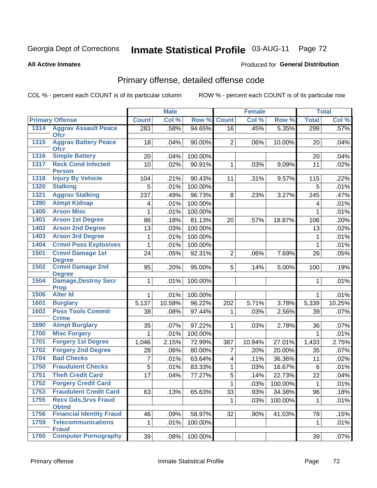# Inmate Statistical Profile 03-AUG-11 Page 72

**All Active Inmates** 

### Produced for General Distribution

# Primary offense, detailed offense code

COL % - percent each COUNT is of its particular column

|      |                                              |              | <b>Male</b> |         |                         | <b>Female</b> |         |                | <b>Total</b> |
|------|----------------------------------------------|--------------|-------------|---------|-------------------------|---------------|---------|----------------|--------------|
|      | <b>Primary Offense</b>                       | <b>Count</b> | Col %       | Row %   | <b>Count</b>            | Col %         | Row %   | <b>Total</b>   | Col %        |
| 1314 | <b>Aggrav Assault Peace</b>                  | 283          | .58%        | 94.65%  | 16                      | .45%          | 5.35%   | 299            | .57%         |
| 1315 | <b>Ofcr</b><br><b>Aggrav Battery Peace</b>   | 18           | .04%        | 90.00%  | $\overline{2}$          | .06%          | 10.00%  | 20             | .04%         |
|      | <b>Ofcr</b>                                  |              |             |         |                         |               |         |                |              |
| 1316 | <b>Simple Battery</b>                        | 20           | .04%        | 100.00% |                         |               |         | 20             | .04%         |
| 1317 | <b>Reck Cond Infected</b>                    | 10           | .02%        | 90.91%  | 1                       | .03%          | 9.09%   | 11             | .02%         |
|      | <b>Person</b>                                |              |             |         |                         |               |         |                |              |
| 1318 | <b>Injury By Vehicle</b>                     | 104          | .21%        | 90.43%  | 11                      | .31%          | 9.57%   | 115            | .22%         |
| 1320 | <b>Stalking</b>                              | 5            | .01%        | 100.00% |                         |               |         | 5              | .01%         |
| 1321 | <b>Aggrav Stalking</b>                       | 237          | .49%        | 96.73%  | 8                       | .23%          | 3.27%   | 245            | .47%         |
| 1390 | <b>Atmpt Kidnap</b>                          | 4            | .01%        | 100.00% |                         |               |         | 4              | .01%         |
| 1400 | <b>Arson Misc</b>                            | 1            | .01%        | 100.00% |                         |               |         | 1              | .01%         |
| 1401 | <b>Arson 1st Degree</b>                      | 86           | .18%        | 81.13%  | 20                      | .57%          | 18.87%  | 106            | .20%         |
| 1402 | <b>Arson 2nd Degree</b>                      | 13           | .03%        | 100.00% |                         |               |         | 13             | .02%         |
| 1403 | <b>Arson 3rd Degree</b>                      | $\mathbf{1}$ | .01%        | 100.00% |                         |               |         | 1              | .01%         |
| 1404 | <b>Crmnl Poss Explosives</b>                 | $\mathbf{1}$ | .01%        | 100.00% |                         |               |         | 1              | .01%         |
| 1501 | <b>Crmnl Damage 1st</b>                      | 24           | .05%        | 92.31%  | $\overline{2}$          | .06%          | 7.69%   | 26             | .05%         |
|      | <b>Degree</b>                                |              |             |         |                         |               |         |                |              |
| 1502 | <b>Crmnl Damage 2nd</b>                      | 95           | .20%        | 95.00%  | 5                       | .14%          | 5.00%   | 100            | .19%         |
| 1504 | <b>Degree</b><br><b>Damage, Destroy Secr</b> | 1            | .01%        | 100.00% |                         |               |         | 1              | .01%         |
|      | <b>Prop</b>                                  |              |             |         |                         |               |         |                |              |
| 1506 | <b>Alter Id</b>                              | $\mathbf{1}$ | .01%        | 100.00% |                         |               |         | 1              | .01%         |
| 1601 | <b>Burglary</b>                              | 5,137        | 10.58%      | 96.22%  | 202                     | 5.71%         | 3.78%   | 5,339          | 10.25%       |
| 1602 | <b>Poss Tools Commit</b>                     | 38           | .08%        | 97.44%  | 1                       | .03%          | 2.56%   | 39             | .07%         |
|      | <b>Crime</b>                                 |              |             |         |                         |               |         |                |              |
| 1690 | <b>Atmpt Burglary</b>                        | 35           | .07%        | 97.22%  | 1                       | .03%          | 2.78%   | 36             | .07%         |
| 1700 | <b>Misc Forgery</b>                          | 1            | .01%        | 100.00% |                         |               |         | 1              | .01%         |
| 1701 | <b>Forgery 1st Degree</b>                    | 1,046        | 2.15%       | 72.99%  | 387                     | 10.94%        | 27.01%  | 1,433          | 2.75%        |
| 1702 | <b>Forgery 2nd Degree</b>                    | 28           | .06%        | 80.00%  | 7                       | .20%          | 20.00%  | 35             | .07%         |
| 1704 | <b>Bad Checks</b>                            | 7            | .01%        | 63.64%  | $\overline{\mathbf{4}}$ | .11%          | 36.36%  | 11             | .02%         |
| 1750 | <b>Fraudulent Checks</b>                     | 5            | .01%        | 83.33%  | 1                       | .03%          | 16.67%  | 6              | .01%         |
| 1751 | <b>Theft Credit Card</b>                     | 17           | .04%        | 77.27%  | $\overline{5}$          | .14%          | 22.73%  | 22             | .04%         |
| 1752 | <b>Forgery Credit Card</b>                   |              |             |         | $\overline{1}$          | .03%          | 100.00% | $\overline{1}$ | .01%         |
| 1753 | <b>Fraudulent Credit Card</b>                | 63           | .13%        | 65.63%  | 33                      | .93%          | 34.38%  | 96             | .18%         |
| 1755 | <b>Recv Gds, Srvs Fraud</b>                  |              |             |         | $\mathbf{1}$            | .03%          | 100.00% | 1              | .01%         |
|      | <b>Obtnd</b>                                 |              |             |         |                         |               |         |                |              |
| 1756 | <b>Financial Identity Fraud</b>              | 46           | .09%        | 58.97%  | 32                      | .90%          | 41.03%  | 78             | .15%         |
| 1759 | <b>Telecommunications</b><br><b>Fraud</b>    | 1            | .01%        | 100.00% |                         |               |         | $\mathbf 1$    | .01%         |
| 1760 | <b>Computer Pornography</b>                  | 39           | .08%        | 100.00% |                         |               |         | 39             | .07%         |
|      |                                              |              |             |         |                         |               |         |                |              |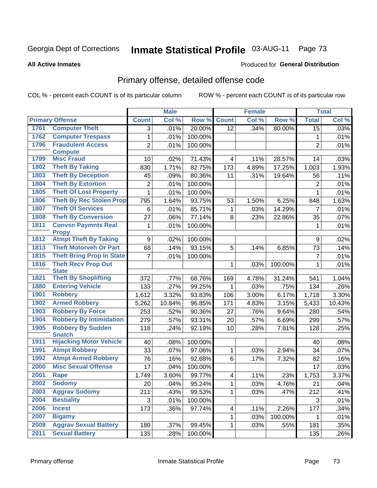# Inmate Statistical Profile 03-AUG-11 Page 73

#### **All Active Inmates**

### Produced for General Distribution

# Primary offense, detailed offense code

COL % - percent each COUNT is of its particular column

|      |                                            |                 | <b>Male</b> |         |                         | <b>Female</b> |         |                 | <b>Total</b> |
|------|--------------------------------------------|-----------------|-------------|---------|-------------------------|---------------|---------|-----------------|--------------|
|      | <b>Primary Offense</b>                     | <b>Count</b>    | Col %       | Row %   | <b>Count</b>            | Col %         | Row %   | <b>Total</b>    | Col %        |
| 1761 | <b>Computer Theft</b>                      | 3               | .01%        | 20.00%  | $\overline{12}$         | .34%          | 80.00%  | $\overline{15}$ | .03%         |
| 1762 | <b>Computer Trespass</b>                   | $\mathbf{1}$    | .01%        | 100.00% |                         |               |         | 1               | .01%         |
| 1796 | <b>Fraudulent Access</b>                   | $\overline{2}$  | .01%        | 100.00% |                         |               |         | $\overline{2}$  | .01%         |
|      | <b>Compute</b>                             |                 |             |         |                         |               |         |                 |              |
| 1799 | <b>Misc Fraud</b>                          | 10              | .02%        | 71.43%  | 4                       | .11%          | 28.57%  | 14              | .03%         |
| 1802 | <b>Theft By Taking</b>                     | 830             | 1.71%       | 82.75%  | 173                     | 4.89%         | 17.25%  | 1,003           | 1.93%        |
| 1803 | <b>Theft By Deception</b>                  | 45              | .09%        | 80.36%  | 11                      | .31%          | 19.64%  | 56              | .11%         |
| 1804 | <b>Theft By Extortion</b>                  | $\overline{2}$  | .01%        | 100.00% |                         |               |         | $\overline{2}$  | .01%         |
| 1805 | <b>Theft Of Lost Property</b>              | $\mathbf{1}$    | .01%        | 100.00% |                         |               |         | $\mathbf{1}$    | .01%         |
| 1806 | <b>Theft By Rec Stolen Prop</b>            | 795             | 1.64%       | 93.75%  | 53                      | 1.50%         | 6.25%   | 848             | 1.63%        |
| 1807 | <b>Theft Of Services</b>                   | 6               | .01%        | 85.71%  | 1                       | .03%          | 14.29%  | $\overline{7}$  | .01%         |
| 1808 | <b>Theft By Conversion</b>                 | 27              | .06%        | 77.14%  | 8                       | .23%          | 22.86%  | 35              | .07%         |
| 1811 | <b>Convsn Paymnts Real</b>                 | $\mathbf 1$     | .01%        | 100.00% |                         |               |         | 1               | .01%         |
|      | <b>Propy</b>                               |                 |             |         |                         |               |         |                 |              |
| 1812 | <b>Atmpt Theft By Taking</b>               | 9               | .02%        | 100.00% |                         |               |         | 9               | .02%         |
| 1813 | <b>Theft Motorveh Or Part</b>              | 68              | .14%        | 93.15%  | 5                       | .14%          | 6.85%   | 73              | .14%         |
| 1815 | <b>Theft Bring Prop In State</b>           | $\overline{7}$  | .01%        | 100.00% |                         |               |         | 7               | .01%         |
| 1816 | <b>Theft Recv Prop Out</b><br><b>State</b> |                 |             |         | 1                       | .03%          | 100.00% | 1               | .01%         |
| 1821 | <b>Theft By Shoplifting</b>                | 372             | .77%        | 68.76%  | 169                     | 4.78%         | 31.24%  | 541             | 1.04%        |
| 1880 | <b>Entering Vehicle</b>                    | 133             | .27%        | 99.25%  | 1                       | .03%          | .75%    | 134             | .26%         |
| 1901 | <b>Robbery</b>                             | 1,612           | 3.32%       | 93.83%  | 106                     | 3.00%         | 6.17%   | 1,718           | 3.30%        |
| 1902 | <b>Armed Robbery</b>                       | 5,262           | 10.84%      | 96.85%  | 171                     | 4.83%         | 3.15%   | 5,433           | 10.43%       |
| 1903 | <b>Robbery By Force</b>                    | 253             | .52%        | 90.36%  | 27                      | .76%          | 9.64%   | 280             | .54%         |
| 1904 | <b>Robbery By Intimidation</b>             | 279             | .57%        | 93.31%  | 20                      | .57%          | 6.69%   | 299             | .57%         |
| 1905 | <b>Robbery By Sudden</b>                   | 118             | .24%        | 92.19%  | 10                      | .28%          | 7.81%   | 128             | .25%         |
|      | <b>Snatch</b>                              |                 |             |         |                         |               |         |                 |              |
| 1911 | <b>Hijacking Motor Vehicle</b>             | 40              | .08%        | 100.00% |                         |               |         | 40              | .08%         |
| 1991 | <b>Atmpt Robbery</b>                       | 33              | .07%        | 97.06%  | 1                       | .03%          | 2.94%   | 34              | .07%         |
| 1992 | <b>Atmpt Armed Robbery</b>                 | 76              | .16%        | 92.68%  | 6                       | .17%          | 7.32%   | 82              | .16%         |
| 2000 | <b>Misc Sexual Offense</b>                 | $\overline{17}$ | .04%        | 100.00% |                         |               |         | 17              | .03%         |
| 2001 | <b>Rape</b>                                | 1,749           | 3.60%       | 99.77%  | $\overline{\mathbf{4}}$ | .11%          | .23%    | 1,753           | 3.37%        |
| 2002 | <b>Sodomy</b>                              | 20              | .04%        | 95.24%  | $\mathbf{1}$            | .03%          | 4.76%   | 21              | .04%         |
| 2003 | <b>Aggrav Sodomy</b>                       | 211             | .43%        | 99.53%  | 1                       | .03%          | .47%    | 212             | .41%         |
| 2004 | <b>Bestiality</b>                          | 3               | .01%        | 100.00% |                         |               |         | 3               | .01%         |
| 2006 | <b>Incest</b>                              | 173             | .36%        | 97.74%  | 4                       | .11%          | 2.26%   | 177             | .34%         |
| 2007 | <b>Bigamy</b>                              |                 |             |         | 1                       | .03%          | 100.00% | 1               | .01%         |
| 2009 | <b>Aggrav Sexual Battery</b>               | 180             | .37%        | 99.45%  | 1                       | .03%          | .55%    | 181             | .35%         |
| 2011 | <b>Sexual Battery</b>                      | 135             | .28%        | 100.00% |                         |               |         | 135             | .26%         |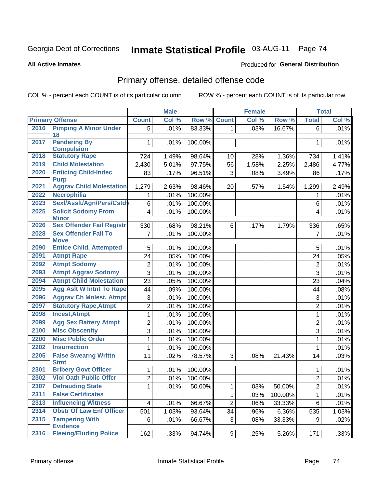# Inmate Statistical Profile 03-AUG-11 Page 74

#### **All Active Inmates**

### Produced for General Distribution

# Primary offense, detailed offense code

COL % - percent each COUNT is of its particular column

|      |                                            | <b>Male</b><br><b>Female</b> |       |         |                | <b>Total</b>               |          |                |       |
|------|--------------------------------------------|------------------------------|-------|---------|----------------|----------------------------|----------|----------------|-------|
|      | <b>Primary Offense</b>                     | <b>Count</b>                 | Col % | Row %   | <b>Count</b>   | $\overline{\text{Col }^0}$ | Row %    | <b>Total</b>   | Col % |
| 2016 | <b>Pimping A Minor Under</b>               | 5 <sup>1</sup>               | .01%  | 83.33%  | 1 <sup>1</sup> | .03%                       | 16.67%   | 6              | .01%  |
|      | 18                                         |                              |       |         |                |                            |          |                |       |
| 2017 | <b>Pandering By</b><br><b>Compulsion</b>   | $\mathbf 1$                  | .01%  | 100.00% |                |                            |          | 1              | .01%  |
| 2018 | <b>Statutory Rape</b>                      | 724                          | 1.49% | 98.64%  | 10             | .28%                       | 1.36%    | 734            | 1.41% |
| 2019 | <b>Child Molestation</b>                   | 2,430                        | 5.01% | 97.75%  | 56             | 1.58%                      | 2.25%    | 2,486          | 4.77% |
| 2020 | <b>Enticing Child-Indec</b>                | 83                           | .17%  | 96.51%  | 3              | .08%                       | 3.49%    | 86             | .17%  |
|      | <b>Purp</b>                                |                              |       |         |                |                            |          |                |       |
| 2021 | <b>Aggrav Child Molestation</b>            | 1,279                        | 2.63% | 98.46%  | 20             | .57%                       | 1.54%    | 1,299          | 2.49% |
| 2022 | <b>Necrophilia</b>                         | 1                            | .01%  | 100.00% |                |                            |          | 1              | .01%  |
| 2023 | Sexl/Assit/Agn/Pers/Cstdy                  | 6                            | .01%  | 100.00% |                |                            |          | 6              | .01%  |
| 2025 | <b>Solicit Sodomy From</b>                 | $\overline{\mathbf{4}}$      | .01%  | 100.00% |                |                            |          | 4              | .01%  |
|      | <b>Minor</b>                               |                              |       |         |                |                            |          |                |       |
| 2026 | <b>Sex Offender Fail Registr</b>           | 330                          | .68%  | 98.21%  | 6              | .17%                       | 1.79%    | 336            | .65%  |
| 2028 | <b>Sex Offender Fail To</b><br><b>Move</b> | $\overline{7}$               | .01%  | 100.00% |                |                            |          | $\overline{7}$ | .01%  |
| 2090 | <b>Entice Child, Attempted</b>             | 5                            | .01%  | 100.00% |                |                            |          | 5              | .01%  |
| 2091 | <b>Atmpt Rape</b>                          | 24                           | .05%  | 100.00% |                |                            |          | 24             | .05%  |
| 2092 | <b>Atmpt Sodomy</b>                        | $\overline{2}$               | .01%  | 100.00% |                |                            |          | 2              | .01%  |
| 2093 | <b>Atmpt Aggrav Sodomy</b>                 | $\overline{3}$               | .01%  | 100.00% |                |                            |          | 3              | .01%  |
| 2094 | <b>Atmpt Child Molestation</b>             | 23                           | .05%  | 100.00% |                |                            |          | 23             | .04%  |
| 2095 | <b>Agg Aslt W Intnt To Rape</b>            | 44                           | .09%  | 100.00% |                |                            |          | 44             | .08%  |
| 2096 | <b>Aggrav Ch Molest, Atmpt</b>             | 3                            | .01%  | 100.00% |                |                            |          | 3              | .01%  |
| 2097 | <b>Statutory Rape, Atmpt</b>               | $\overline{2}$               | .01%  | 100.00% |                |                            |          | $\overline{2}$ | .01%  |
| 2098 | <b>Incest, Atmpt</b>                       | $\mathbf{1}$                 | .01%  | 100.00% |                |                            |          | $\mathbf{1}$   | .01%  |
| 2099 | <b>Agg Sex Battery Atmpt</b>               | $\overline{2}$               | .01%  | 100.00% |                |                            |          | $\overline{2}$ | .01%  |
| 2100 | <b>Misc Obscenity</b>                      | $\overline{3}$               | .01%  | 100.00% |                |                            |          | 3              | .01%  |
| 2200 | <b>Misc Public Order</b>                   | 1                            | .01%  | 100.00% |                |                            |          | 1              | .01%  |
| 2202 | <b>Insurrection</b>                        | 1                            | .01%  | 100.00% |                |                            |          | 1              | .01%  |
| 2205 | <b>False Swearng Writtn</b>                | 11                           | .02%  | 78.57%  | 3              | .08%                       | 21.43%   | 14             | .03%  |
|      | <b>Stmt</b>                                |                              |       |         |                |                            |          |                |       |
| 2301 | <b>Bribery Govt Officer</b>                | 1                            | .01%  | 100.00% |                |                            |          | 1              | .01%  |
| 2302 | <b>Viol Oath Public Offcr</b>              | $\overline{2}$               | .01%  | 100.00% |                |                            |          | $\overline{2}$ | .01%  |
| 2307 | <b>Defrauding State</b>                    | 1.                           | .01%  | 50.00%  | 1.             | .03%                       | 50.00%   | 2              | .01%  |
| 2311 | <b>False Certificates</b>                  |                              |       |         | $\mathbf{1}$   | .03%                       | 100.00%  | 1              | .01%  |
| 2313 | <b>Influencing Witness</b>                 | $\overline{4}$               | .01%  | 66.67%  | $\overline{2}$ | .06%                       | 33.33%   | 6              | .01%  |
| 2314 | <b>Obstr Of Law Enf Officer</b>            | 501                          | 1.03% | 93.64%  | 34             | .96%                       | $6.36\%$ | 535            | 1.03% |
| 2315 | <b>Tampering With</b><br><b>Evidence</b>   | 6                            | .01%  | 66.67%  | $\mathbf{3}$   | .08%                       | 33.33%   | 9              | .02%  |
| 2316 | <b>Fleeing/Eluding Police</b>              | 162                          | .33%  | 94.74%  | 9 <sup>1</sup> | .25%                       | 5.26%    | 171            | .33%  |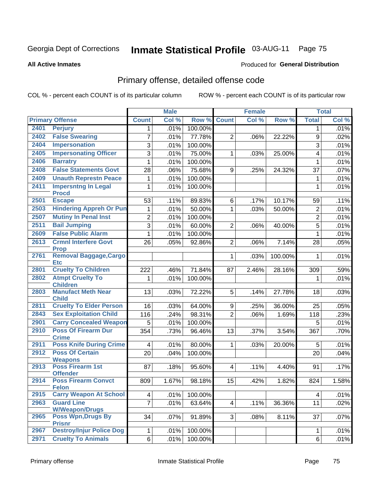# Inmate Statistical Profile 03-AUG-11 Page 75

#### **All Active Inmates**

### Produced for General Distribution

# Primary offense, detailed offense code

COL % - percent each COUNT is of its particular column

| Col %<br>Col %<br>Col %<br>Row %<br><b>Primary Offense</b><br><b>Count</b><br>Row %<br><b>Count</b><br><b>Total</b><br>2401<br><b>Perjury</b><br>100.00%<br>.01%<br>.01%<br>1<br>1<br><b>False Swearing</b><br>2402<br>7<br>77.78%<br>.01%<br>$\overline{2}$<br>22.22%<br>$\boldsymbol{9}$<br>.02%<br>.06%<br>2404<br><b>Impersonation</b><br>3<br>$\mathbf{3}$<br>.01%<br>100.00%<br>.01%<br><b>Impersonating Officer</b><br>2405<br>$\overline{3}$<br>.01%<br>75.00%<br>.01%<br>25.00%<br>4<br>$\mathbf{1}$<br>.03%<br>2406<br><b>Barratry</b><br>$\mathbf{1}$<br>.01%<br>100.00%<br>$\mathbf{1}$<br>.01%<br><b>False Statements Govt</b><br>2408<br>28<br>37<br>.06%<br>75.68%<br>9<br>24.32%<br>.07%<br>.25%<br>2409<br><b>Unauth Represtn Peace</b><br>.01%<br>100.00%<br>1<br>.01%<br>1<br><b>Impersntng In Legal</b><br>2411<br>100.00%<br>.01%<br>1<br>.01%<br>$\mathbf{1}$<br><b>Procd</b><br>2501<br><b>Escape</b><br>53<br>89.83%<br>.11%<br>.11%<br>6<br>.17%<br>10.17%<br>59<br><b>Hindering Appreh Or Pun</b><br>2503<br>.01%<br>50.00%<br>.01%<br>1<br>.03%<br>50.00%<br>$\overline{2}$<br>1<br><b>Mutiny In Penal Inst</b><br>2507<br>$\overline{2}$<br>$\overline{2}$<br>.01%<br>100.00%<br>.01%<br><b>Bail Jumping</b><br>2511<br>$\overline{3}$<br>5<br>.01%<br>60.00%<br>$\boldsymbol{2}$<br>40.00%<br>.01%<br>.06%<br><b>False Public Alarm</b><br>2609<br>$\mathbf 1$<br>.01%<br>100.00%<br>$\mathbf{1}$<br>.01%<br>2613<br><b>Crmnl Interfere Govt</b><br>.05%<br>26<br>.05%<br>92.86%<br>$\overline{2}$<br>.06%<br>7.14%<br>28<br><b>Prop</b><br><b>Removal Baggage, Cargo</b><br>2761<br>$\mathbf{1}$<br>.01%<br>.03%<br>100.00%<br>1<br><b>Etc</b><br><b>Cruelty To Children</b><br>2801<br>71.84%<br>.59%<br>2.46%<br>28.16%<br>222<br>.46%<br>87<br>309<br><b>Atmpt Cruelty To</b><br>2802<br>1<br>.01%<br>100.00%<br>.01%<br>1<br><b>Children</b><br>2803<br><b>Manufact Meth Near</b><br>72.22%<br>13<br>5<br>27.78%<br>.03%<br>.03%<br>.14%<br>18<br><b>Child</b><br><b>Cruelty To Elder Person</b><br>2811<br>64.00%<br>16<br>.03%<br>36.00%<br>.05%<br>9<br>.25%<br>25<br><b>Sex Exploitation Child</b><br>2843<br>$\overline{2}$<br>116<br>98.31%<br>118<br>.24%<br>.23%<br>.06%<br>1.69%<br><b>Carry Concealed Weapon</b><br>2901<br>5<br>.01%<br>100.00%<br>5<br>.01%<br><b>Poss Of Firearm Dur</b><br>2910<br>354<br>.73%<br>96.46%<br>13<br>.37%<br>3.54%<br>367<br>.70%<br><b>Crime</b><br><b>Poss Knife During Crime</b><br>2911<br>80.00%<br>.01%<br>.01%<br>$\mathbf{1}$<br>.03%<br>20.00%<br>5<br>$\overline{\mathbf{4}}$<br><b>Poss Of Certain</b><br>2912<br>20<br>.04%<br>.04%<br>100.00%<br>20<br><b>Weapons</b><br><b>Poss Firearm 1st</b><br>2913<br>87<br>95.60%<br>.17%<br>.18%<br>$\overline{4}$<br>.11%<br>4.40%<br>91<br><b>Offender</b><br><b>Poss Firearm Convct</b><br>2914<br>98.18%<br>1.82%<br>809<br>1.67%<br>15<br>.42%<br>824<br><b>Felon</b><br><b>Carry Weapon At School</b><br>2915<br>100.00%<br>$\overline{\mathbf{4}}$<br>.01%<br>.01%<br>4<br><b>Guard Line</b><br>2963<br>$\overline{7}$<br>11<br>.01%<br>63.64%<br>4 <br>.11%<br>36.36%<br>.02%<br><b>W/Weapon/Drugs</b><br>Poss Wpn, Drugs By<br>2965<br>34<br>.07%<br>91.89%<br>3 <br>8.11%<br>37<br>.07%<br>.08%<br><b>Prisnr</b><br><b>Destroy/Injur Police Dog</b><br>2967<br>.01%<br>100.00%<br>.01%<br>1<br>1 |      |                           |   | <b>Male</b> |         | <b>Female</b> | <b>Total</b> |      |
|----------------------------------------------------------------------------------------------------------------------------------------------------------------------------------------------------------------------------------------------------------------------------------------------------------------------------------------------------------------------------------------------------------------------------------------------------------------------------------------------------------------------------------------------------------------------------------------------------------------------------------------------------------------------------------------------------------------------------------------------------------------------------------------------------------------------------------------------------------------------------------------------------------------------------------------------------------------------------------------------------------------------------------------------------------------------------------------------------------------------------------------------------------------------------------------------------------------------------------------------------------------------------------------------------------------------------------------------------------------------------------------------------------------------------------------------------------------------------------------------------------------------------------------------------------------------------------------------------------------------------------------------------------------------------------------------------------------------------------------------------------------------------------------------------------------------------------------------------------------------------------------------------------------------------------------------------------------------------------------------------------------------------------------------------------------------------------------------------------------------------------------------------------------------------------------------------------------------------------------------------------------------------------------------------------------------------------------------------------------------------------------------------------------------------------------------------------------------------------------------------------------------------------------------------------------------------------------------------------------------------------------------------------------------------------------------------------------------------------------------------------------------------------------------------------------------------------------------------------------------------------------------------------------------------------------------------------------------------------------------------------------------------------------------------------------------------------------------------------------------------------------------------------------------------------------------------------------------------------------------------------------------------------------------------------------------------------------------|------|---------------------------|---|-------------|---------|---------------|--------------|------|
|                                                                                                                                                                                                                                                                                                                                                                                                                                                                                                                                                                                                                                                                                                                                                                                                                                                                                                                                                                                                                                                                                                                                                                                                                                                                                                                                                                                                                                                                                                                                                                                                                                                                                                                                                                                                                                                                                                                                                                                                                                                                                                                                                                                                                                                                                                                                                                                                                                                                                                                                                                                                                                                                                                                                                                                                                                                                                                                                                                                                                                                                                                                                                                                                                                                                                                                                              |      |                           |   |             |         |               |              |      |
|                                                                                                                                                                                                                                                                                                                                                                                                                                                                                                                                                                                                                                                                                                                                                                                                                                                                                                                                                                                                                                                                                                                                                                                                                                                                                                                                                                                                                                                                                                                                                                                                                                                                                                                                                                                                                                                                                                                                                                                                                                                                                                                                                                                                                                                                                                                                                                                                                                                                                                                                                                                                                                                                                                                                                                                                                                                                                                                                                                                                                                                                                                                                                                                                                                                                                                                                              |      |                           |   |             |         |               |              |      |
|                                                                                                                                                                                                                                                                                                                                                                                                                                                                                                                                                                                                                                                                                                                                                                                                                                                                                                                                                                                                                                                                                                                                                                                                                                                                                                                                                                                                                                                                                                                                                                                                                                                                                                                                                                                                                                                                                                                                                                                                                                                                                                                                                                                                                                                                                                                                                                                                                                                                                                                                                                                                                                                                                                                                                                                                                                                                                                                                                                                                                                                                                                                                                                                                                                                                                                                                              |      |                           |   |             |         |               |              |      |
|                                                                                                                                                                                                                                                                                                                                                                                                                                                                                                                                                                                                                                                                                                                                                                                                                                                                                                                                                                                                                                                                                                                                                                                                                                                                                                                                                                                                                                                                                                                                                                                                                                                                                                                                                                                                                                                                                                                                                                                                                                                                                                                                                                                                                                                                                                                                                                                                                                                                                                                                                                                                                                                                                                                                                                                                                                                                                                                                                                                                                                                                                                                                                                                                                                                                                                                                              |      |                           |   |             |         |               |              |      |
|                                                                                                                                                                                                                                                                                                                                                                                                                                                                                                                                                                                                                                                                                                                                                                                                                                                                                                                                                                                                                                                                                                                                                                                                                                                                                                                                                                                                                                                                                                                                                                                                                                                                                                                                                                                                                                                                                                                                                                                                                                                                                                                                                                                                                                                                                                                                                                                                                                                                                                                                                                                                                                                                                                                                                                                                                                                                                                                                                                                                                                                                                                                                                                                                                                                                                                                                              |      |                           |   |             |         |               |              |      |
|                                                                                                                                                                                                                                                                                                                                                                                                                                                                                                                                                                                                                                                                                                                                                                                                                                                                                                                                                                                                                                                                                                                                                                                                                                                                                                                                                                                                                                                                                                                                                                                                                                                                                                                                                                                                                                                                                                                                                                                                                                                                                                                                                                                                                                                                                                                                                                                                                                                                                                                                                                                                                                                                                                                                                                                                                                                                                                                                                                                                                                                                                                                                                                                                                                                                                                                                              |      |                           |   |             |         |               |              |      |
|                                                                                                                                                                                                                                                                                                                                                                                                                                                                                                                                                                                                                                                                                                                                                                                                                                                                                                                                                                                                                                                                                                                                                                                                                                                                                                                                                                                                                                                                                                                                                                                                                                                                                                                                                                                                                                                                                                                                                                                                                                                                                                                                                                                                                                                                                                                                                                                                                                                                                                                                                                                                                                                                                                                                                                                                                                                                                                                                                                                                                                                                                                                                                                                                                                                                                                                                              |      |                           |   |             |         |               |              |      |
|                                                                                                                                                                                                                                                                                                                                                                                                                                                                                                                                                                                                                                                                                                                                                                                                                                                                                                                                                                                                                                                                                                                                                                                                                                                                                                                                                                                                                                                                                                                                                                                                                                                                                                                                                                                                                                                                                                                                                                                                                                                                                                                                                                                                                                                                                                                                                                                                                                                                                                                                                                                                                                                                                                                                                                                                                                                                                                                                                                                                                                                                                                                                                                                                                                                                                                                                              |      |                           |   |             |         |               |              |      |
|                                                                                                                                                                                                                                                                                                                                                                                                                                                                                                                                                                                                                                                                                                                                                                                                                                                                                                                                                                                                                                                                                                                                                                                                                                                                                                                                                                                                                                                                                                                                                                                                                                                                                                                                                                                                                                                                                                                                                                                                                                                                                                                                                                                                                                                                                                                                                                                                                                                                                                                                                                                                                                                                                                                                                                                                                                                                                                                                                                                                                                                                                                                                                                                                                                                                                                                                              |      |                           |   |             |         |               |              |      |
|                                                                                                                                                                                                                                                                                                                                                                                                                                                                                                                                                                                                                                                                                                                                                                                                                                                                                                                                                                                                                                                                                                                                                                                                                                                                                                                                                                                                                                                                                                                                                                                                                                                                                                                                                                                                                                                                                                                                                                                                                                                                                                                                                                                                                                                                                                                                                                                                                                                                                                                                                                                                                                                                                                                                                                                                                                                                                                                                                                                                                                                                                                                                                                                                                                                                                                                                              |      |                           |   |             |         |               |              |      |
|                                                                                                                                                                                                                                                                                                                                                                                                                                                                                                                                                                                                                                                                                                                                                                                                                                                                                                                                                                                                                                                                                                                                                                                                                                                                                                                                                                                                                                                                                                                                                                                                                                                                                                                                                                                                                                                                                                                                                                                                                                                                                                                                                                                                                                                                                                                                                                                                                                                                                                                                                                                                                                                                                                                                                                                                                                                                                                                                                                                                                                                                                                                                                                                                                                                                                                                                              |      |                           |   |             |         |               |              |      |
|                                                                                                                                                                                                                                                                                                                                                                                                                                                                                                                                                                                                                                                                                                                                                                                                                                                                                                                                                                                                                                                                                                                                                                                                                                                                                                                                                                                                                                                                                                                                                                                                                                                                                                                                                                                                                                                                                                                                                                                                                                                                                                                                                                                                                                                                                                                                                                                                                                                                                                                                                                                                                                                                                                                                                                                                                                                                                                                                                                                                                                                                                                                                                                                                                                                                                                                                              |      |                           |   |             |         |               |              |      |
|                                                                                                                                                                                                                                                                                                                                                                                                                                                                                                                                                                                                                                                                                                                                                                                                                                                                                                                                                                                                                                                                                                                                                                                                                                                                                                                                                                                                                                                                                                                                                                                                                                                                                                                                                                                                                                                                                                                                                                                                                                                                                                                                                                                                                                                                                                                                                                                                                                                                                                                                                                                                                                                                                                                                                                                                                                                                                                                                                                                                                                                                                                                                                                                                                                                                                                                                              |      |                           |   |             |         |               |              |      |
|                                                                                                                                                                                                                                                                                                                                                                                                                                                                                                                                                                                                                                                                                                                                                                                                                                                                                                                                                                                                                                                                                                                                                                                                                                                                                                                                                                                                                                                                                                                                                                                                                                                                                                                                                                                                                                                                                                                                                                                                                                                                                                                                                                                                                                                                                                                                                                                                                                                                                                                                                                                                                                                                                                                                                                                                                                                                                                                                                                                                                                                                                                                                                                                                                                                                                                                                              |      |                           |   |             |         |               |              |      |
| 1.58%                                                                                                                                                                                                                                                                                                                                                                                                                                                                                                                                                                                                                                                                                                                                                                                                                                                                                                                                                                                                                                                                                                                                                                                                                                                                                                                                                                                                                                                                                                                                                                                                                                                                                                                                                                                                                                                                                                                                                                                                                                                                                                                                                                                                                                                                                                                                                                                                                                                                                                                                                                                                                                                                                                                                                                                                                                                                                                                                                                                                                                                                                                                                                                                                                                                                                                                                        |      |                           |   |             |         |               |              |      |
|                                                                                                                                                                                                                                                                                                                                                                                                                                                                                                                                                                                                                                                                                                                                                                                                                                                                                                                                                                                                                                                                                                                                                                                                                                                                                                                                                                                                                                                                                                                                                                                                                                                                                                                                                                                                                                                                                                                                                                                                                                                                                                                                                                                                                                                                                                                                                                                                                                                                                                                                                                                                                                                                                                                                                                                                                                                                                                                                                                                                                                                                                                                                                                                                                                                                                                                                              |      |                           |   |             |         |               |              |      |
|                                                                                                                                                                                                                                                                                                                                                                                                                                                                                                                                                                                                                                                                                                                                                                                                                                                                                                                                                                                                                                                                                                                                                                                                                                                                                                                                                                                                                                                                                                                                                                                                                                                                                                                                                                                                                                                                                                                                                                                                                                                                                                                                                                                                                                                                                                                                                                                                                                                                                                                                                                                                                                                                                                                                                                                                                                                                                                                                                                                                                                                                                                                                                                                                                                                                                                                                              |      |                           |   |             |         |               |              |      |
|                                                                                                                                                                                                                                                                                                                                                                                                                                                                                                                                                                                                                                                                                                                                                                                                                                                                                                                                                                                                                                                                                                                                                                                                                                                                                                                                                                                                                                                                                                                                                                                                                                                                                                                                                                                                                                                                                                                                                                                                                                                                                                                                                                                                                                                                                                                                                                                                                                                                                                                                                                                                                                                                                                                                                                                                                                                                                                                                                                                                                                                                                                                                                                                                                                                                                                                                              |      |                           |   |             |         |               |              |      |
|                                                                                                                                                                                                                                                                                                                                                                                                                                                                                                                                                                                                                                                                                                                                                                                                                                                                                                                                                                                                                                                                                                                                                                                                                                                                                                                                                                                                                                                                                                                                                                                                                                                                                                                                                                                                                                                                                                                                                                                                                                                                                                                                                                                                                                                                                                                                                                                                                                                                                                                                                                                                                                                                                                                                                                                                                                                                                                                                                                                                                                                                                                                                                                                                                                                                                                                                              |      |                           |   |             |         |               |              |      |
|                                                                                                                                                                                                                                                                                                                                                                                                                                                                                                                                                                                                                                                                                                                                                                                                                                                                                                                                                                                                                                                                                                                                                                                                                                                                                                                                                                                                                                                                                                                                                                                                                                                                                                                                                                                                                                                                                                                                                                                                                                                                                                                                                                                                                                                                                                                                                                                                                                                                                                                                                                                                                                                                                                                                                                                                                                                                                                                                                                                                                                                                                                                                                                                                                                                                                                                                              |      |                           |   |             |         |               |              |      |
|                                                                                                                                                                                                                                                                                                                                                                                                                                                                                                                                                                                                                                                                                                                                                                                                                                                                                                                                                                                                                                                                                                                                                                                                                                                                                                                                                                                                                                                                                                                                                                                                                                                                                                                                                                                                                                                                                                                                                                                                                                                                                                                                                                                                                                                                                                                                                                                                                                                                                                                                                                                                                                                                                                                                                                                                                                                                                                                                                                                                                                                                                                                                                                                                                                                                                                                                              |      |                           |   |             |         |               |              |      |
|                                                                                                                                                                                                                                                                                                                                                                                                                                                                                                                                                                                                                                                                                                                                                                                                                                                                                                                                                                                                                                                                                                                                                                                                                                                                                                                                                                                                                                                                                                                                                                                                                                                                                                                                                                                                                                                                                                                                                                                                                                                                                                                                                                                                                                                                                                                                                                                                                                                                                                                                                                                                                                                                                                                                                                                                                                                                                                                                                                                                                                                                                                                                                                                                                                                                                                                                              |      |                           |   |             |         |               |              |      |
|                                                                                                                                                                                                                                                                                                                                                                                                                                                                                                                                                                                                                                                                                                                                                                                                                                                                                                                                                                                                                                                                                                                                                                                                                                                                                                                                                                                                                                                                                                                                                                                                                                                                                                                                                                                                                                                                                                                                                                                                                                                                                                                                                                                                                                                                                                                                                                                                                                                                                                                                                                                                                                                                                                                                                                                                                                                                                                                                                                                                                                                                                                                                                                                                                                                                                                                                              |      |                           |   |             |         |               |              |      |
|                                                                                                                                                                                                                                                                                                                                                                                                                                                                                                                                                                                                                                                                                                                                                                                                                                                                                                                                                                                                                                                                                                                                                                                                                                                                                                                                                                                                                                                                                                                                                                                                                                                                                                                                                                                                                                                                                                                                                                                                                                                                                                                                                                                                                                                                                                                                                                                                                                                                                                                                                                                                                                                                                                                                                                                                                                                                                                                                                                                                                                                                                                                                                                                                                                                                                                                                              |      |                           |   |             |         |               |              |      |
|                                                                                                                                                                                                                                                                                                                                                                                                                                                                                                                                                                                                                                                                                                                                                                                                                                                                                                                                                                                                                                                                                                                                                                                                                                                                                                                                                                                                                                                                                                                                                                                                                                                                                                                                                                                                                                                                                                                                                                                                                                                                                                                                                                                                                                                                                                                                                                                                                                                                                                                                                                                                                                                                                                                                                                                                                                                                                                                                                                                                                                                                                                                                                                                                                                                                                                                                              |      |                           |   |             |         |               |              |      |
|                                                                                                                                                                                                                                                                                                                                                                                                                                                                                                                                                                                                                                                                                                                                                                                                                                                                                                                                                                                                                                                                                                                                                                                                                                                                                                                                                                                                                                                                                                                                                                                                                                                                                                                                                                                                                                                                                                                                                                                                                                                                                                                                                                                                                                                                                                                                                                                                                                                                                                                                                                                                                                                                                                                                                                                                                                                                                                                                                                                                                                                                                                                                                                                                                                                                                                                                              |      |                           |   |             |         |               |              |      |
|                                                                                                                                                                                                                                                                                                                                                                                                                                                                                                                                                                                                                                                                                                                                                                                                                                                                                                                                                                                                                                                                                                                                                                                                                                                                                                                                                                                                                                                                                                                                                                                                                                                                                                                                                                                                                                                                                                                                                                                                                                                                                                                                                                                                                                                                                                                                                                                                                                                                                                                                                                                                                                                                                                                                                                                                                                                                                                                                                                                                                                                                                                                                                                                                                                                                                                                                              |      |                           |   |             |         |               |              |      |
|                                                                                                                                                                                                                                                                                                                                                                                                                                                                                                                                                                                                                                                                                                                                                                                                                                                                                                                                                                                                                                                                                                                                                                                                                                                                                                                                                                                                                                                                                                                                                                                                                                                                                                                                                                                                                                                                                                                                                                                                                                                                                                                                                                                                                                                                                                                                                                                                                                                                                                                                                                                                                                                                                                                                                                                                                                                                                                                                                                                                                                                                                                                                                                                                                                                                                                                                              |      |                           |   |             |         |               |              |      |
|                                                                                                                                                                                                                                                                                                                                                                                                                                                                                                                                                                                                                                                                                                                                                                                                                                                                                                                                                                                                                                                                                                                                                                                                                                                                                                                                                                                                                                                                                                                                                                                                                                                                                                                                                                                                                                                                                                                                                                                                                                                                                                                                                                                                                                                                                                                                                                                                                                                                                                                                                                                                                                                                                                                                                                                                                                                                                                                                                                                                                                                                                                                                                                                                                                                                                                                                              |      |                           |   |             |         |               |              |      |
|                                                                                                                                                                                                                                                                                                                                                                                                                                                                                                                                                                                                                                                                                                                                                                                                                                                                                                                                                                                                                                                                                                                                                                                                                                                                                                                                                                                                                                                                                                                                                                                                                                                                                                                                                                                                                                                                                                                                                                                                                                                                                                                                                                                                                                                                                                                                                                                                                                                                                                                                                                                                                                                                                                                                                                                                                                                                                                                                                                                                                                                                                                                                                                                                                                                                                                                                              |      |                           |   |             |         |               |              |      |
|                                                                                                                                                                                                                                                                                                                                                                                                                                                                                                                                                                                                                                                                                                                                                                                                                                                                                                                                                                                                                                                                                                                                                                                                                                                                                                                                                                                                                                                                                                                                                                                                                                                                                                                                                                                                                                                                                                                                                                                                                                                                                                                                                                                                                                                                                                                                                                                                                                                                                                                                                                                                                                                                                                                                                                                                                                                                                                                                                                                                                                                                                                                                                                                                                                                                                                                                              |      |                           |   |             |         |               |              |      |
|                                                                                                                                                                                                                                                                                                                                                                                                                                                                                                                                                                                                                                                                                                                                                                                                                                                                                                                                                                                                                                                                                                                                                                                                                                                                                                                                                                                                                                                                                                                                                                                                                                                                                                                                                                                                                                                                                                                                                                                                                                                                                                                                                                                                                                                                                                                                                                                                                                                                                                                                                                                                                                                                                                                                                                                                                                                                                                                                                                                                                                                                                                                                                                                                                                                                                                                                              |      |                           |   |             |         |               |              |      |
|                                                                                                                                                                                                                                                                                                                                                                                                                                                                                                                                                                                                                                                                                                                                                                                                                                                                                                                                                                                                                                                                                                                                                                                                                                                                                                                                                                                                                                                                                                                                                                                                                                                                                                                                                                                                                                                                                                                                                                                                                                                                                                                                                                                                                                                                                                                                                                                                                                                                                                                                                                                                                                                                                                                                                                                                                                                                                                                                                                                                                                                                                                                                                                                                                                                                                                                                              | 2971 | <b>Cruelty To Animals</b> | 6 | .01%        | 100.00% |               | 6            | .01% |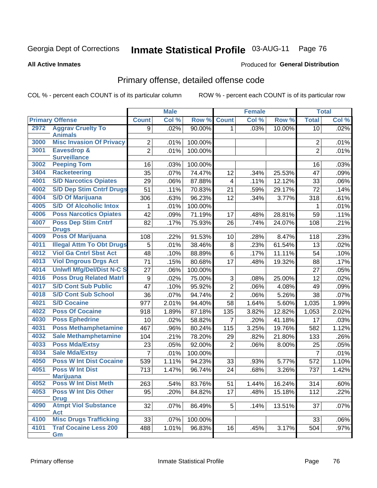#### **Inmate Statistical Profile 03-AUG-11** Page 76

#### **All Active Inmates**

## **Produced for General Distribution**

## Primary offense, detailed offense code

COL % - percent each COUNT is of its particular column

|      |                                               |                  | <b>Male</b> |         | <b>Female</b>  |       |        | <b>Total</b>   |       |
|------|-----------------------------------------------|------------------|-------------|---------|----------------|-------|--------|----------------|-------|
|      | <b>Primary Offense</b>                        | <b>Count</b>     | Col %       | Row %   | <b>Count</b>   | Col % | Row %  | <b>Total</b>   | Col % |
| 2972 | <b>Aggrav Cruelty To</b>                      | 9                | .02%        | 90.00%  | $\mathbf 1$    | .03%  | 10.00% | 10             | .02%  |
|      | <b>Animals</b>                                |                  |             |         |                |       |        |                |       |
| 3000 | <b>Misc Invasion Of Privacy</b>               | $\overline{2}$   | .01%        | 100.00% |                |       |        | 2              | .01%  |
| 3001 | <b>Eavesdrop &amp;</b><br><b>Surveillance</b> | $\overline{2}$   | .01%        | 100.00% |                |       |        | $\overline{2}$ | .01%  |
| 3002 | <b>Peeping Tom</b>                            | 16               | .03%        | 100.00% |                |       |        | 16             | .03%  |
| 3404 | <b>Racketeering</b>                           | 35               | .07%        | 74.47%  | 12             | .34%  | 25.53% | 47             | .09%  |
| 4001 | <b>S/D Narcotics Opiates</b>                  | 29               | .06%        | 87.88%  | 4              | .11%  | 12.12% | 33             | .06%  |
| 4002 | <b>S/D Dep Stim Cntrf Drugs</b>               | $\overline{51}$  | .11%        | 70.83%  | 21             | .59%  | 29.17% | 72             | .14%  |
| 4004 | <b>S/D Of Marijuana</b>                       | 306              | .63%        | 96.23%  | 12             | .34%  | 3.77%  | 318            | .61%  |
| 4005 | <b>S/D Of Alcoholic Intox</b>                 | 1                | .01%        | 100.00% |                |       |        | 1              | .01%  |
| 4006 | <b>Poss Narcotics Opiates</b>                 | 42               | .09%        | 71.19%  | 17             | .48%  | 28.81% | 59             | .11%  |
| 4007 | <b>Poss Dep Stim Cntrf</b>                    | 82               | .17%        | 75.93%  | 26             | .74%  |        | 108            | .21%  |
|      | <b>Drugs</b>                                  |                  |             |         |                |       | 24.07% |                |       |
| 4009 | <b>Poss Of Marijuana</b>                      | 108              | .22%        | 91.53%  | 10             | .28%  | 8.47%  | 118            | .23%  |
| 4011 | <b>Illegal Attm To Obt Drugs</b>              | 5                | .01%        | 38.46%  | 8              | .23%  | 61.54% | 13             | .02%  |
| 4012 | <b>Viol Ga Cntrl Sbst Act</b>                 | 48               | .10%        | 88.89%  | $\,6$          | .17%  | 11.11% | 54             | .10%  |
| 4013 | <b>Viol Dngrous Drgs Act</b>                  | 71               | .15%        | 80.68%  | 17             | .48%  | 19.32% | 88             | .17%  |
| 4014 | <b>Uniwfl Mfg/Del/Dist N-C S</b>              | 27               | .06%        | 100.00% |                |       |        | 27             | .05%  |
| 4016 | <b>Poss Drug Related Matri</b>                | $\boldsymbol{9}$ | .02%        | 75.00%  | 3              | .08%  | 25.00% | 12             | .02%  |
| 4017 | <b>S/D Cont Sub Public</b>                    | 47               | .10%        | 95.92%  | $\overline{2}$ | .06%  | 4.08%  | 49             | .09%  |
| 4018 | <b>S/D Cont Sub School</b>                    | 36               | .07%        | 94.74%  | $\overline{2}$ | .06%  | 5.26%  | 38             | .07%  |
| 4021 | <b>S/D Cocaine</b>                            | 977              | 2.01%       | 94.40%  | 58             | 1.64% | 5.60%  | 1,035          | 1.99% |
| 4022 | <b>Poss Of Cocaine</b>                        | 918              | 1.89%       | 87.18%  | 135            | 3.82% | 12.82% | 1,053          | 2.02% |
| 4030 | <b>Poss Ephedrine</b>                         | 10               | .02%        | 58.82%  | 7              | .20%  | 41.18% | 17             | .03%  |
| 4031 | <b>Poss Methamphetamine</b>                   | 467              | .96%        | 80.24%  | 115            | 3.25% | 19.76% | 582            | 1.12% |
| 4032 | <b>Sale Methamphetamine</b>                   | 104              | .21%        | 78.20%  | 29             | .82%  | 21.80% | 133            | .26%  |
| 4033 | <b>Poss Mda/Extsy</b>                         | 23               | .05%        | 92.00%  | $\overline{2}$ | .06%  | 8.00%  | 25             | .05%  |
| 4034 | <b>Sale Mda/Extsy</b>                         | 7                | .01%        | 100.00% |                |       |        | 7              | .01%  |
| 4050 | <b>Poss W Int Dist Cocaine</b>                | 539              | 1.11%       | 94.23%  | 33             | .93%  | 5.77%  | 572            | 1.10% |
| 4051 | <b>Poss W Int Dist</b>                        | 713              | 1.47%       | 96.74%  | 24             | .68%  | 3.26%  | 737            | 1.42% |
|      | <b>Marijuana</b>                              |                  |             |         |                |       |        |                |       |
| 4052 | <b>Poss W Int Dist Meth</b>                   | 263              | .54%        | 83.76%  | 51             | 1.44% | 16.24% | 314            | .60%  |
| 4053 | <b>Poss W Int Dis Other</b>                   | 95               | .20%        | 84.82%  | 17             | .48%  | 15.18% | 112            | .22%  |
|      | <b>Drug</b>                                   |                  |             |         |                |       |        |                |       |
| 4090 | <b>Atmpt Viol Substance</b><br>Act            | 32               | .07%        | 86.49%  | 5 <sup>1</sup> | .14%  | 13.51% | 37             | .07%  |
| 4100 | <b>Misc Drugs Trafficking</b>                 | 33               | .07%        | 100.00% |                |       |        | 33             | .06%  |
| 4101 | <b>Traf Cocaine Less 200</b>                  | 488              | 1.01%       | 96.83%  | 16             | .45%  | 3.17%  | 504            | .97%  |
|      | Gm                                            |                  |             |         |                |       |        |                |       |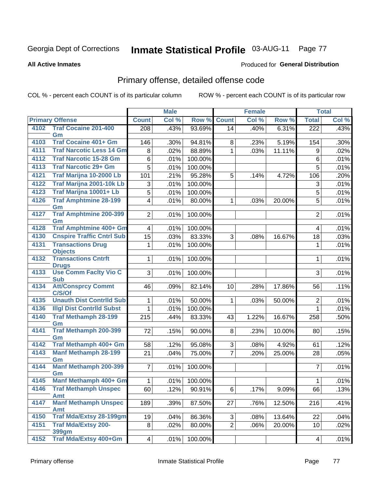# Inmate Statistical Profile 03-AUG-11 Page 77

**All Active Inmates** 

### Produced for General Distribution

# Primary offense, detailed offense code

COL % - percent each COUNT is of its particular column

| <b>Primary Offense</b><br>Col %<br>Row %<br><b>Count</b><br>Col %<br>Row %<br><b>Total</b><br><b>Count</b><br><b>Traf Cocaine 201-400</b><br>4102<br>.43%<br>93.69%<br>.40%<br>6.31%<br>$\overline{222}$<br>208<br>14<br>Gm<br><b>Traf Cocaine 401+ Gm</b><br>4103<br>146<br>.30%<br>94.81%<br>.23%<br>5.19%<br>$.30\%$<br>8<br>154<br><b>Traf Narcotic Less 14 Gm</b><br>4111<br>.02%<br>88.89%<br>11.11%<br>.02%<br>1<br>.03%<br>9<br>8<br>4112<br><b>Traf Narcotic 15-28 Gm</b><br>100.00%<br>6<br>.01%<br>6<br>.01%<br><b>Traf Narcotic 29+ Gm</b><br>4113<br>5<br>5<br>.01%<br>100.00%<br>.01%<br>Traf Marijna 10-2000 Lb<br>4121<br>95.28%<br>101<br>.21%<br>5<br>.20%<br>.14%<br>4.72%<br>106<br>Traf Marijna 2001-10k Lb<br>4122<br>.01%<br>100.00%<br>3<br>3<br>Traf Marijna 10001+ Lb<br>4123<br>$\overline{5}$<br>100.00%<br>5<br>.01%<br><b>Traf Amphtmine 28-199</b><br>4126<br>5<br>$\overline{\mathbf{4}}$<br>.01%<br>80.00%<br>1<br>.03%<br>20.00%<br>Gm<br><b>Traf Amphtmine 200-399</b><br>4127<br>2 <br>100.00%<br>$\overline{2}$<br>.01%<br>Gm<br><b>Traf Amphtmine 400+ Gm</b><br>4128<br>.01%<br>$\overline{4}$<br>.01%<br>100.00%<br>$\overline{4}$<br><b>Cnspire Traffic Cntrl Sub</b><br>4130<br>$\overline{15}$<br>.03%<br>83.33%<br>3<br>18<br>.03%<br>.08%<br>16.67%<br><b>Transactions Drug</b><br>4131<br>.01%<br>100.00%<br>1<br>.01%<br>1<br><b>Objects</b><br><b>Transactions Cntrft</b><br>4132<br>$\mathbf{1}$<br>100.00%<br>.01%<br>1<br><b>Drugs</b><br><b>Use Comm Facity Vio C</b><br>4133<br>3 <sup>1</sup><br>100.00%<br>3<br>.01%<br><b>Sub</b><br><b>Att/Consprcy Commt</b><br>4134<br>.11%<br>46<br>.09%<br>82.14%<br>10<br>.28%<br>17.86%<br>56<br>C/S/Of<br><b>Unauth Dist Contrild Sub</b><br>4135<br>.01%<br>50.00%<br>1<br>.03%<br>50.00%<br>$\overline{2}$<br>$\mathbf{1}$<br>4136<br><b>Illgl Dist Contrild Subst</b><br>$\mathbf 1$<br>.01%<br>100.00%<br>$\mathbf{1}$<br><b>Traf Methamph 28-199</b><br>4140<br>215<br>.44%<br>83.33%<br>1.22%<br>16.67%<br>258<br>43<br>Gm<br><b>Traf Methamph 200-399</b><br>4141<br>90.00%<br>72<br>.15%<br>8<br>.23%<br>10.00%<br>80<br>Gm<br>Traf Methamph 400+ Gm<br>4142<br>95.08%<br>58<br>.12%<br>3<br>4.92%<br>.12%<br>.08%<br>61<br>4143<br><b>Manf Methamph 28-199</b><br>$\overline{7}$<br>21<br>.04%<br>75.00%<br>.20%<br>25.00%<br>28<br>.05% |    | <b>Male</b> |  | <b>Female</b> |  | <b>Total</b> |
|---------------------------------------------------------------------------------------------------------------------------------------------------------------------------------------------------------------------------------------------------------------------------------------------------------------------------------------------------------------------------------------------------------------------------------------------------------------------------------------------------------------------------------------------------------------------------------------------------------------------------------------------------------------------------------------------------------------------------------------------------------------------------------------------------------------------------------------------------------------------------------------------------------------------------------------------------------------------------------------------------------------------------------------------------------------------------------------------------------------------------------------------------------------------------------------------------------------------------------------------------------------------------------------------------------------------------------------------------------------------------------------------------------------------------------------------------------------------------------------------------------------------------------------------------------------------------------------------------------------------------------------------------------------------------------------------------------------------------------------------------------------------------------------------------------------------------------------------------------------------------------------------------------------------------------------------------------------------------------------------------------------------------------------------------------------------------------------------------------------------------------------------------------------------------------------------------------------------------------------------------------------------------------------------------------------------------------------------------|----|-------------|--|---------------|--|--------------|
|                                                                                                                                                                                                                                                                                                                                                                                                                                                                                                                                                                                                                                                                                                                                                                                                                                                                                                                                                                                                                                                                                                                                                                                                                                                                                                                                                                                                                                                                                                                                                                                                                                                                                                                                                                                                                                                                                                                                                                                                                                                                                                                                                                                                                                                                                                                                                   |    |             |  |               |  | Col %        |
|                                                                                                                                                                                                                                                                                                                                                                                                                                                                                                                                                                                                                                                                                                                                                                                                                                                                                                                                                                                                                                                                                                                                                                                                                                                                                                                                                                                                                                                                                                                                                                                                                                                                                                                                                                                                                                                                                                                                                                                                                                                                                                                                                                                                                                                                                                                                                   |    |             |  |               |  | .43%         |
|                                                                                                                                                                                                                                                                                                                                                                                                                                                                                                                                                                                                                                                                                                                                                                                                                                                                                                                                                                                                                                                                                                                                                                                                                                                                                                                                                                                                                                                                                                                                                                                                                                                                                                                                                                                                                                                                                                                                                                                                                                                                                                                                                                                                                                                                                                                                                   |    |             |  |               |  |              |
|                                                                                                                                                                                                                                                                                                                                                                                                                                                                                                                                                                                                                                                                                                                                                                                                                                                                                                                                                                                                                                                                                                                                                                                                                                                                                                                                                                                                                                                                                                                                                                                                                                                                                                                                                                                                                                                                                                                                                                                                                                                                                                                                                                                                                                                                                                                                                   |    |             |  |               |  |              |
|                                                                                                                                                                                                                                                                                                                                                                                                                                                                                                                                                                                                                                                                                                                                                                                                                                                                                                                                                                                                                                                                                                                                                                                                                                                                                                                                                                                                                                                                                                                                                                                                                                                                                                                                                                                                                                                                                                                                                                                                                                                                                                                                                                                                                                                                                                                                                   |    |             |  |               |  |              |
|                                                                                                                                                                                                                                                                                                                                                                                                                                                                                                                                                                                                                                                                                                                                                                                                                                                                                                                                                                                                                                                                                                                                                                                                                                                                                                                                                                                                                                                                                                                                                                                                                                                                                                                                                                                                                                                                                                                                                                                                                                                                                                                                                                                                                                                                                                                                                   |    |             |  |               |  |              |
|                                                                                                                                                                                                                                                                                                                                                                                                                                                                                                                                                                                                                                                                                                                                                                                                                                                                                                                                                                                                                                                                                                                                                                                                                                                                                                                                                                                                                                                                                                                                                                                                                                                                                                                                                                                                                                                                                                                                                                                                                                                                                                                                                                                                                                                                                                                                                   |    |             |  |               |  |              |
|                                                                                                                                                                                                                                                                                                                                                                                                                                                                                                                                                                                                                                                                                                                                                                                                                                                                                                                                                                                                                                                                                                                                                                                                                                                                                                                                                                                                                                                                                                                                                                                                                                                                                                                                                                                                                                                                                                                                                                                                                                                                                                                                                                                                                                                                                                                                                   |    |             |  |               |  |              |
|                                                                                                                                                                                                                                                                                                                                                                                                                                                                                                                                                                                                                                                                                                                                                                                                                                                                                                                                                                                                                                                                                                                                                                                                                                                                                                                                                                                                                                                                                                                                                                                                                                                                                                                                                                                                                                                                                                                                                                                                                                                                                                                                                                                                                                                                                                                                                   |    |             |  |               |  | .01%         |
|                                                                                                                                                                                                                                                                                                                                                                                                                                                                                                                                                                                                                                                                                                                                                                                                                                                                                                                                                                                                                                                                                                                                                                                                                                                                                                                                                                                                                                                                                                                                                                                                                                                                                                                                                                                                                                                                                                                                                                                                                                                                                                                                                                                                                                                                                                                                                   |    |             |  |               |  | .01%         |
|                                                                                                                                                                                                                                                                                                                                                                                                                                                                                                                                                                                                                                                                                                                                                                                                                                                                                                                                                                                                                                                                                                                                                                                                                                                                                                                                                                                                                                                                                                                                                                                                                                                                                                                                                                                                                                                                                                                                                                                                                                                                                                                                                                                                                                                                                                                                                   |    |             |  |               |  | .01%         |
|                                                                                                                                                                                                                                                                                                                                                                                                                                                                                                                                                                                                                                                                                                                                                                                                                                                                                                                                                                                                                                                                                                                                                                                                                                                                                                                                                                                                                                                                                                                                                                                                                                                                                                                                                                                                                                                                                                                                                                                                                                                                                                                                                                                                                                                                                                                                                   |    |             |  |               |  | .01%         |
|                                                                                                                                                                                                                                                                                                                                                                                                                                                                                                                                                                                                                                                                                                                                                                                                                                                                                                                                                                                                                                                                                                                                                                                                                                                                                                                                                                                                                                                                                                                                                                                                                                                                                                                                                                                                                                                                                                                                                                                                                                                                                                                                                                                                                                                                                                                                                   |    |             |  |               |  |              |
|                                                                                                                                                                                                                                                                                                                                                                                                                                                                                                                                                                                                                                                                                                                                                                                                                                                                                                                                                                                                                                                                                                                                                                                                                                                                                                                                                                                                                                                                                                                                                                                                                                                                                                                                                                                                                                                                                                                                                                                                                                                                                                                                                                                                                                                                                                                                                   |    |             |  |               |  |              |
|                                                                                                                                                                                                                                                                                                                                                                                                                                                                                                                                                                                                                                                                                                                                                                                                                                                                                                                                                                                                                                                                                                                                                                                                                                                                                                                                                                                                                                                                                                                                                                                                                                                                                                                                                                                                                                                                                                                                                                                                                                                                                                                                                                                                                                                                                                                                                   |    |             |  |               |  |              |
|                                                                                                                                                                                                                                                                                                                                                                                                                                                                                                                                                                                                                                                                                                                                                                                                                                                                                                                                                                                                                                                                                                                                                                                                                                                                                                                                                                                                                                                                                                                                                                                                                                                                                                                                                                                                                                                                                                                                                                                                                                                                                                                                                                                                                                                                                                                                                   |    |             |  |               |  |              |
|                                                                                                                                                                                                                                                                                                                                                                                                                                                                                                                                                                                                                                                                                                                                                                                                                                                                                                                                                                                                                                                                                                                                                                                                                                                                                                                                                                                                                                                                                                                                                                                                                                                                                                                                                                                                                                                                                                                                                                                                                                                                                                                                                                                                                                                                                                                                                   |    |             |  |               |  | .01%         |
|                                                                                                                                                                                                                                                                                                                                                                                                                                                                                                                                                                                                                                                                                                                                                                                                                                                                                                                                                                                                                                                                                                                                                                                                                                                                                                                                                                                                                                                                                                                                                                                                                                                                                                                                                                                                                                                                                                                                                                                                                                                                                                                                                                                                                                                                                                                                                   |    |             |  |               |  | .01%         |
|                                                                                                                                                                                                                                                                                                                                                                                                                                                                                                                                                                                                                                                                                                                                                                                                                                                                                                                                                                                                                                                                                                                                                                                                                                                                                                                                                                                                                                                                                                                                                                                                                                                                                                                                                                                                                                                                                                                                                                                                                                                                                                                                                                                                                                                                                                                                                   |    |             |  |               |  |              |
|                                                                                                                                                                                                                                                                                                                                                                                                                                                                                                                                                                                                                                                                                                                                                                                                                                                                                                                                                                                                                                                                                                                                                                                                                                                                                                                                                                                                                                                                                                                                                                                                                                                                                                                                                                                                                                                                                                                                                                                                                                                                                                                                                                                                                                                                                                                                                   |    |             |  |               |  |              |
|                                                                                                                                                                                                                                                                                                                                                                                                                                                                                                                                                                                                                                                                                                                                                                                                                                                                                                                                                                                                                                                                                                                                                                                                                                                                                                                                                                                                                                                                                                                                                                                                                                                                                                                                                                                                                                                                                                                                                                                                                                                                                                                                                                                                                                                                                                                                                   |    |             |  |               |  | .01%         |
|                                                                                                                                                                                                                                                                                                                                                                                                                                                                                                                                                                                                                                                                                                                                                                                                                                                                                                                                                                                                                                                                                                                                                                                                                                                                                                                                                                                                                                                                                                                                                                                                                                                                                                                                                                                                                                                                                                                                                                                                                                                                                                                                                                                                                                                                                                                                                   |    |             |  |               |  | .01%         |
|                                                                                                                                                                                                                                                                                                                                                                                                                                                                                                                                                                                                                                                                                                                                                                                                                                                                                                                                                                                                                                                                                                                                                                                                                                                                                                                                                                                                                                                                                                                                                                                                                                                                                                                                                                                                                                                                                                                                                                                                                                                                                                                                                                                                                                                                                                                                                   |    |             |  |               |  | .50%         |
|                                                                                                                                                                                                                                                                                                                                                                                                                                                                                                                                                                                                                                                                                                                                                                                                                                                                                                                                                                                                                                                                                                                                                                                                                                                                                                                                                                                                                                                                                                                                                                                                                                                                                                                                                                                                                                                                                                                                                                                                                                                                                                                                                                                                                                                                                                                                                   |    |             |  |               |  | .15%         |
|                                                                                                                                                                                                                                                                                                                                                                                                                                                                                                                                                                                                                                                                                                                                                                                                                                                                                                                                                                                                                                                                                                                                                                                                                                                                                                                                                                                                                                                                                                                                                                                                                                                                                                                                                                                                                                                                                                                                                                                                                                                                                                                                                                                                                                                                                                                                                   |    |             |  |               |  |              |
|                                                                                                                                                                                                                                                                                                                                                                                                                                                                                                                                                                                                                                                                                                                                                                                                                                                                                                                                                                                                                                                                                                                                                                                                                                                                                                                                                                                                                                                                                                                                                                                                                                                                                                                                                                                                                                                                                                                                                                                                                                                                                                                                                                                                                                                                                                                                                   |    |             |  |               |  |              |
|                                                                                                                                                                                                                                                                                                                                                                                                                                                                                                                                                                                                                                                                                                                                                                                                                                                                                                                                                                                                                                                                                                                                                                                                                                                                                                                                                                                                                                                                                                                                                                                                                                                                                                                                                                                                                                                                                                                                                                                                                                                                                                                                                                                                                                                                                                                                                   | Gm |             |  |               |  |              |
| <b>Manf Methamph 200-399</b><br>4144<br>7 <sup>1</sup><br>100.00%<br>$\overline{7}$<br>.01%                                                                                                                                                                                                                                                                                                                                                                                                                                                                                                                                                                                                                                                                                                                                                                                                                                                                                                                                                                                                                                                                                                                                                                                                                                                                                                                                                                                                                                                                                                                                                                                                                                                                                                                                                                                                                                                                                                                                                                                                                                                                                                                                                                                                                                                       |    |             |  |               |  | .01%         |
| Gm<br>Manf Methamph 400+ Gm<br>4145                                                                                                                                                                                                                                                                                                                                                                                                                                                                                                                                                                                                                                                                                                                                                                                                                                                                                                                                                                                                                                                                                                                                                                                                                                                                                                                                                                                                                                                                                                                                                                                                                                                                                                                                                                                                                                                                                                                                                                                                                                                                                                                                                                                                                                                                                                               |    |             |  |               |  |              |
| 1 <sup>1</sup><br>100.00%<br>.01%<br>$\mathbf{1}$                                                                                                                                                                                                                                                                                                                                                                                                                                                                                                                                                                                                                                                                                                                                                                                                                                                                                                                                                                                                                                                                                                                                                                                                                                                                                                                                                                                                                                                                                                                                                                                                                                                                                                                                                                                                                                                                                                                                                                                                                                                                                                                                                                                                                                                                                                 |    |             |  |               |  | .01%         |
| <b>Traf Methamph Unspec</b><br>4146<br>.12%<br>90.91%<br>6<br>.17%<br>9.09%<br>60<br>66<br><b>Amt</b>                                                                                                                                                                                                                                                                                                                                                                                                                                                                                                                                                                                                                                                                                                                                                                                                                                                                                                                                                                                                                                                                                                                                                                                                                                                                                                                                                                                                                                                                                                                                                                                                                                                                                                                                                                                                                                                                                                                                                                                                                                                                                                                                                                                                                                             |    |             |  |               |  | .13%         |
| <b>Manf Methamph Unspec</b><br>4147<br>189<br>87.50%<br>12.50%<br>216<br>.39%<br>27<br>.76%                                                                                                                                                                                                                                                                                                                                                                                                                                                                                                                                                                                                                                                                                                                                                                                                                                                                                                                                                                                                                                                                                                                                                                                                                                                                                                                                                                                                                                                                                                                                                                                                                                                                                                                                                                                                                                                                                                                                                                                                                                                                                                                                                                                                                                                       |    |             |  |               |  | .41%         |
| <b>Amt</b>                                                                                                                                                                                                                                                                                                                                                                                                                                                                                                                                                                                                                                                                                                                                                                                                                                                                                                                                                                                                                                                                                                                                                                                                                                                                                                                                                                                                                                                                                                                                                                                                                                                                                                                                                                                                                                                                                                                                                                                                                                                                                                                                                                                                                                                                                                                                        |    |             |  |               |  |              |
| <b>Traf Mda/Extsy 28-199gm</b><br>4150<br>19<br>.04%<br>86.36%<br>3<br>13.64%<br>.08%<br>22                                                                                                                                                                                                                                                                                                                                                                                                                                                                                                                                                                                                                                                                                                                                                                                                                                                                                                                                                                                                                                                                                                                                                                                                                                                                                                                                                                                                                                                                                                                                                                                                                                                                                                                                                                                                                                                                                                                                                                                                                                                                                                                                                                                                                                                       |    |             |  |               |  | .04%         |
| <b>Traf Mda/Extsy 200-</b><br>4151<br>$\overline{2}$<br>8 <sup>1</sup><br>.02%<br>80.00%<br>.06%<br>20.00%<br>10<br>399gm                                                                                                                                                                                                                                                                                                                                                                                                                                                                                                                                                                                                                                                                                                                                                                                                                                                                                                                                                                                                                                                                                                                                                                                                                                                                                                                                                                                                                                                                                                                                                                                                                                                                                                                                                                                                                                                                                                                                                                                                                                                                                                                                                                                                                         |    |             |  |               |  | .02%         |
| Traf Mda/Extsy 400+Gm<br>4152<br>100.00%<br>4 <br>.01%<br>4                                                                                                                                                                                                                                                                                                                                                                                                                                                                                                                                                                                                                                                                                                                                                                                                                                                                                                                                                                                                                                                                                                                                                                                                                                                                                                                                                                                                                                                                                                                                                                                                                                                                                                                                                                                                                                                                                                                                                                                                                                                                                                                                                                                                                                                                                       |    |             |  |               |  | .01%         |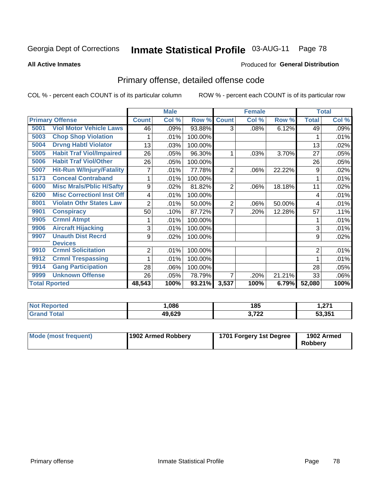#### **Inmate Statistical Profile 03-AUG-11** Page 78

Produced for General Distribution

#### **All Active Inmates**

# Primary offense, detailed offense code

COL % - percent each COUNT is of its particular column

|                      |                                  | <b>Male</b>  |       |         |                | <b>Female</b> | <b>Total</b> |                |       |
|----------------------|----------------------------------|--------------|-------|---------|----------------|---------------|--------------|----------------|-------|
|                      | <b>Primary Offense</b>           | <b>Count</b> | Col % | Row %   | <b>Count</b>   | Col %         | Row %        | <b>Total</b>   | Col % |
| 5001                 | <b>Viol Motor Vehicle Laws</b>   | 46           | .09%  | 93.88%  | 3              | .08%          | 6.12%        | 49             | .09%  |
| 5003                 | <b>Chop Shop Violation</b>       |              | .01%  | 100.00% |                |               |              |                | .01%  |
| 5004                 | <b>Drvng Habtl Violator</b>      | 13           | .03%  | 100.00% |                |               |              | 13             | .02%  |
| 5005                 | <b>Habit Traf Viol/Impaired</b>  | 26           | .05%  | 96.30%  |                | .03%          | 3.70%        | 27             | .05%  |
| 5006                 | <b>Habit Traf Viol/Other</b>     | 26           | .05%  | 100.00% |                |               |              | 26             | .05%  |
| 5007                 | <b>Hit-Run W/Injury/Fatality</b> | 7            | .01%  | 77.78%  | $\overline{2}$ | .06%          | 22.22%       | 9              | .02%  |
| 5173                 | <b>Conceal Contraband</b>        |              | .01%  | 100.00% |                |               |              |                | .01%  |
| 6000                 | <b>Misc Mrals/Pblic H/Safty</b>  | 9            | .02%  | 81.82%  | 2              | .06%          | 18.18%       | 11             | .02%  |
| 6200                 | <b>Misc CorrectionI Inst Off</b> | 4            | .01%  | 100.00% |                |               |              | 4              | .01%  |
| 8001                 | <b>Violatn Othr States Law</b>   | 2            | .01%  | 50.00%  | 2              | .06%          | 50.00%       | 4              | .01%  |
| 9901                 | <b>Conspiracy</b>                | 50           | .10%  | 87.72%  | 7              | .20%          | 12.28%       | 57             | .11%  |
| 9905                 | <b>Crmnl Atmpt</b>               |              | .01%  | 100.00% |                |               |              | 1              | .01%  |
| 9906                 | <b>Aircraft Hijacking</b>        | 3            | .01%  | 100.00% |                |               |              | 3              | .01%  |
| 9907                 | <b>Unauth Dist Recrd</b>         | 9            | .02%  | 100.00% |                |               |              | 9              | .02%  |
|                      | <b>Devices</b>                   |              |       |         |                |               |              |                |       |
| 9910                 | <b>Crmnl Solicitation</b>        | 2            | .01%  | 100.00% |                |               |              | $\overline{2}$ | .01%  |
| 9912                 | <b>Crmnl Trespassing</b>         |              | .01%  | 100.00% |                |               |              | 1              | .01%  |
| 9914                 | <b>Gang Participation</b>        | 28           | .06%  | 100.00% |                |               |              | 28             | .05%  |
| 9999                 | <b>Unknown Offense</b>           | 26           | .05%  | 78.79%  | 7              | .20%          | 21.21%       | 33             | .06%  |
| <b>Total Rported</b> |                                  | 48,543       | 100%  | 93.21%  | 3,537          | 100%          | 6.79%        | 52,080         | 100%  |

| <b>Not</b><br><b>eported</b> | ,086   | 185            | 274<br>. . <i>.</i> |
|------------------------------|--------|----------------|---------------------|
| ™ota∟                        | 49,629 | 2.722<br>JI LL | 53,351              |

| Mode (most frequent) | 1902 Armed Robbery | 1701 Forgery 1st Degree | 1902 Armed<br><b>Robberv</b> |
|----------------------|--------------------|-------------------------|------------------------------|
|----------------------|--------------------|-------------------------|------------------------------|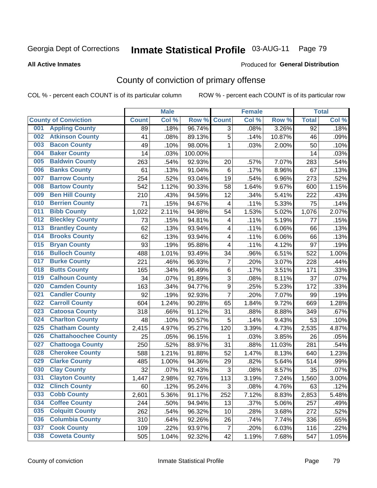# Inmate Statistical Profile 03-AUG-11 Page 79

Produced for General Distribution

### **All Active Inmates**

# County of conviction of primary offense

COL % - percent each COUNT is of its particular column

|     |                             |              | <b>Male</b> |         |                         | <b>Female</b> |        | <b>Total</b>    |       |
|-----|-----------------------------|--------------|-------------|---------|-------------------------|---------------|--------|-----------------|-------|
|     | <b>County of Conviction</b> | <b>Count</b> | Col %       | Row %   | <b>Count</b>            | Col %         | Row %  | <b>Total</b>    | Col % |
| 001 | <b>Appling County</b>       | 89           | .18%        | 96.74%  | $\overline{3}$          | .08%          | 3.26%  | $\overline{92}$ | .18%  |
| 002 | <b>Atkinson County</b>      | 41           | .08%        | 89.13%  | 5                       | .14%          | 10.87% | 46              | .09%  |
| 003 | <b>Bacon County</b>         | 49           | .10%        | 98.00%  | 1                       | .03%          | 2.00%  | 50              | .10%  |
| 004 | <b>Baker County</b>         | 14           | .03%        | 100.00% |                         |               |        | 14              | .03%  |
| 005 | <b>Baldwin County</b>       | 263          | .54%        | 92.93%  | 20                      | .57%          | 7.07%  | 283             | .54%  |
| 006 | <b>Banks County</b>         | 61           | .13%        | 91.04%  | $\,6$                   | .17%          | 8.96%  | 67              | .13%  |
| 007 | <b>Barrow County</b>        | 254          | .52%        | 93.04%  | 19                      | .54%          | 6.96%  | 273             | .52%  |
| 008 | <b>Bartow County</b>        | 542          | 1.12%       | 90.33%  | 58                      | 1.64%         | 9.67%  | 600             | 1.15% |
| 009 | <b>Ben Hill County</b>      | 210          | .43%        | 94.59%  | 12                      | .34%          | 5.41%  | 222             | .43%  |
| 010 | <b>Berrien County</b>       | 71           | .15%        | 94.67%  | $\overline{\mathbf{4}}$ | .11%          | 5.33%  | 75              | .14%  |
| 011 | <b>Bibb County</b>          | 1,022        | 2.11%       | 94.98%  | 54                      | 1.53%         | 5.02%  | 1,076           | 2.07% |
| 012 | <b>Bleckley County</b>      | 73           | .15%        | 94.81%  | 4                       | .11%          | 5.19%  | 77              | .15%  |
| 013 | <b>Brantley County</b>      | 62           | .13%        | 93.94%  | $\overline{\mathbf{4}}$ | .11%          | 6.06%  | 66              | .13%  |
| 014 | <b>Brooks County</b>        | 62           | .13%        | 93.94%  | $\overline{\mathbf{4}}$ | .11%          | 6.06%  | 66              | .13%  |
| 015 | <b>Bryan County</b>         | 93           | .19%        | 95.88%  | 4                       | .11%          | 4.12%  | 97              | .19%  |
| 016 | <b>Bulloch County</b>       | 488          | 1.01%       | 93.49%  | 34                      | .96%          | 6.51%  | 522             | 1.00% |
| 017 | <b>Burke County</b>         | 221          | .46%        | 96.93%  | $\overline{7}$          | .20%          | 3.07%  | 228             | .44%  |
| 018 | <b>Butts County</b>         | 165          | .34%        | 96.49%  | 6                       | .17%          | 3.51%  | 171             | .33%  |
| 019 | <b>Calhoun County</b>       | 34           | .07%        | 91.89%  | 3                       | .08%          | 8.11%  | 37              | .07%  |
| 020 | <b>Camden County</b>        | 163          | .34%        | 94.77%  | 9                       | .25%          | 5.23%  | 172             | .33%  |
| 021 | <b>Candler County</b>       | 92           | .19%        | 92.93%  | $\overline{7}$          | .20%          | 7.07%  | 99              | .19%  |
| 022 | <b>Carroll County</b>       | 604          | 1.24%       | 90.28%  | 65                      | 1.84%         | 9.72%  | 669             | 1.28% |
| 023 | <b>Catoosa County</b>       | 318          | .66%        | 91.12%  | 31                      | .88%          | 8.88%  | 349             | .67%  |
| 024 | <b>Charlton County</b>      | 48           | .10%        | 90.57%  | 5                       | .14%          | 9.43%  | 53              | .10%  |
| 025 | <b>Chatham County</b>       | 2,415        | 4.97%       | 95.27%  | 120                     | 3.39%         | 4.73%  | 2,535           | 4.87% |
| 026 | <b>Chattahoochee County</b> | 25           | .05%        | 96.15%  | 1                       | .03%          | 3.85%  | 26              | .05%  |
| 027 | <b>Chattooga County</b>     | 250          | .52%        | 88.97%  | 31                      | .88%          | 11.03% | 281             | .54%  |
| 028 | <b>Cherokee County</b>      | 588          | 1.21%       | 91.88%  | 52                      | 1.47%         | 8.13%  | 640             | 1.23% |
| 029 | <b>Clarke County</b>        | 485          | 1.00%       | 94.36%  | 29                      | .82%          | 5.64%  | 514             | .99%  |
| 030 | <b>Clay County</b>          | 32           | .07%        | 91.43%  | 3                       | .08%          | 8.57%  | 35              | .07%  |
| 031 | <b>Clayton County</b>       | 1,447        | 2.98%       | 92.76%  | 113                     | 3.19%         | 7.24%  | 1,560           | 3.00% |
| 032 | <b>Clinch County</b>        | 60           | .12%        | 95.24%  | 3                       | .08%          | 4.76%  | 63              | .12%  |
| 033 | <b>Cobb County</b>          | 2,601        | 5.36%       | 91.17%  | 252                     | 7.12%         | 8.83%  | 2,853           | 5.48% |
| 034 | <b>Coffee County</b>        | 244          | .50%        | 94.94%  | 13                      | .37%          | 5.06%  | 257             | .49%  |
| 035 | <b>Colquitt County</b>      | 262          | .54%        | 96.32%  | 10                      | .28%          | 3.68%  | 272             | .52%  |
| 036 | <b>Columbia County</b>      | 310          | .64%        | 92.26%  | 26                      | .74%          | 7.74%  | 336             | .65%  |
| 037 | <b>Cook County</b>          | 109          | .22%        | 93.97%  | $\overline{7}$          | .20%          | 6.03%  | 116             | .22%  |
| 038 | <b>Coweta County</b>        | 505          | 1.04%       | 92.32%  | 42                      | 1.19%         | 7.68%  | 547             | 1.05% |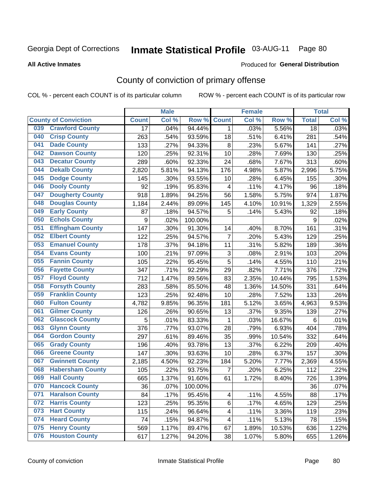# Inmate Statistical Profile 03-AUG-11 Page 80

Produced for General Distribution

#### **All Active Inmates**

# County of conviction of primary offense

COL % - percent each COUNT is of its particular column

|                                |                 | <b>Male</b> |         |                           | <b>Female</b> |        | <b>Total</b>    |       |
|--------------------------------|-----------------|-------------|---------|---------------------------|---------------|--------|-----------------|-------|
| <b>County of Conviction</b>    | <b>Count</b>    | Col %       | Row %   | <b>Count</b>              | Col %         | Row %  | <b>Total</b>    | Col % |
| <b>Crawford County</b><br>039  | $\overline{17}$ | .04%        | 94.44%  | $\mathbf{1}$              | .03%          | 5.56%  | $\overline{18}$ | .03%  |
| <b>Crisp County</b><br>040     | 263             | .54%        | 93.59%  | 18                        | .51%          | 6.41%  | 281             | .54%  |
| <b>Dade County</b><br>041      | 133             | .27%        | 94.33%  | 8                         | .23%          | 5.67%  | 141             | .27%  |
| <b>Dawson County</b><br>042    | 120             | .25%        | 92.31%  | 10                        | .28%          | 7.69%  | 130             | .25%  |
| 043<br><b>Decatur County</b>   | 289             | .60%        | 92.33%  | 24                        | .68%          | 7.67%  | 313             | .60%  |
| <b>Dekalb County</b><br>044    | 2,820           | 5.81%       | 94.13%  | 176                       | 4.98%         | 5.87%  | 2,996           | 5.75% |
| <b>Dodge County</b><br>045     | 145             | .30%        | 93.55%  | 10                        | .28%          | 6.45%  | 155             | .30%  |
| <b>Dooly County</b><br>046     | 92              | .19%        | 95.83%  | $\overline{\mathbf{4}}$   | .11%          | 4.17%  | 96              | .18%  |
| 047<br><b>Dougherty County</b> | 918             | 1.89%       | 94.25%  | 56                        | 1.58%         | 5.75%  | 974             | 1.87% |
| <b>Douglas County</b><br>048   | 1,184           | 2.44%       | 89.09%  | 145                       | 4.10%         | 10.91% | 1,329           | 2.55% |
| <b>Early County</b><br>049     | 87              | .18%        | 94.57%  | 5                         | .14%          | 5.43%  | 92              | .18%  |
| <b>Echols County</b><br>050    | 9               | .02%        | 100.00% |                           |               |        | 9               | .02%  |
| 051<br><b>Effingham County</b> | 147             | .30%        | 91.30%  | 14                        | .40%          | 8.70%  | 161             | .31%  |
| 052<br><b>Elbert County</b>    | 122             | .25%        | 94.57%  | $\overline{7}$            | .20%          | 5.43%  | 129             | .25%  |
| <b>Emanuel County</b><br>053   | 178             | .37%        | 94.18%  | 11                        | .31%          | 5.82%  | 189             | .36%  |
| <b>Evans County</b><br>054     | 100             | .21%        | 97.09%  | $\ensuremath{\mathsf{3}}$ | .08%          | 2.91%  | 103             | .20%  |
| <b>Fannin County</b><br>055    | 105             | .22%        | 95.45%  | 5                         | .14%          | 4.55%  | 110             | .21%  |
| <b>Fayette County</b><br>056   | 347             | .71%        | 92.29%  | 29                        | .82%          | 7.71%  | 376             | .72%  |
| <b>Floyd County</b><br>057     | 712             | 1.47%       | 89.56%  | 83                        | 2.35%         | 10.44% | 795             | 1.53% |
| <b>Forsyth County</b><br>058   | 283             | .58%        | 85.50%  | 48                        | 1.36%         | 14.50% | 331             | .64%  |
| <b>Franklin County</b><br>059  | 123             | .25%        | 92.48%  | 10                        | .28%          | 7.52%  | 133             | .26%  |
| <b>Fulton County</b><br>060    | 4,782           | 9.85%       | 96.35%  | 181                       | 5.12%         | 3.65%  | 4,963           | 9.53% |
| <b>Gilmer County</b><br>061    | 126             | .26%        | 90.65%  | 13                        | .37%          | 9.35%  | 139             | .27%  |
| <b>Glascock County</b><br>062  | 5               | .01%        | 83.33%  | $\mathbf 1$               | .03%          | 16.67% | 6               | .01%  |
| <b>Glynn County</b><br>063     | 376             | .77%        | 93.07%  | 28                        | .79%          | 6.93%  | 404             | .78%  |
| <b>Gordon County</b><br>064    | 297             | .61%        | 89.46%  | 35                        | .99%          | 10.54% | 332             | .64%  |
| <b>Grady County</b><br>065     | 196             | .40%        | 93.78%  | 13                        | .37%          | 6.22%  | 209             | .40%  |
| <b>Greene County</b><br>066    | 147             | .30%        | 93.63%  | 10                        | .28%          | 6.37%  | 157             | .30%  |
| <b>Gwinnett County</b><br>067  | 2,185           | 4.50%       | 92.23%  | 184                       | 5.20%         | 7.77%  | 2,369           | 4.55% |
| <b>Habersham County</b><br>068 | 105             | .22%        | 93.75%  | $\overline{7}$            | .20%          | 6.25%  | 112             | .22%  |
| <b>Hall County</b><br>069      | 665             | 1.37%       | 91.60%  | 61                        | 1.72%         | 8.40%  | 726             | 1.39% |
| 070<br><b>Hancock County</b>   | 36              | .07%        | 100.00% |                           |               |        | 36              | .07%  |
| <b>Haralson County</b><br>071  | 84              | .17%        | 95.45%  | $\overline{\mathbf{4}}$   | .11%          | 4.55%  | 88              | .17%  |
| 072<br><b>Harris County</b>    | 123             | .25%        | 95.35%  | 6                         | .17%          | 4.65%  | 129             | .25%  |
| 073<br><b>Hart County</b>      | 115             | .24%        | 96.64%  | 4                         | .11%          | 3.36%  | 119             | .23%  |
| <b>Heard County</b><br>074     | 74              | .15%        | 94.87%  | 4                         | .11%          | 5.13%  | 78              | .15%  |
| <b>Henry County</b><br>075     | 569             | 1.17%       | 89.47%  | 67                        | 1.89%         | 10.53% | 636             | 1.22% |
| <b>Houston County</b><br>076   | 617             | 1.27%       | 94.20%  | 38                        | 1.07%         | 5.80%  | 655             | 1.26% |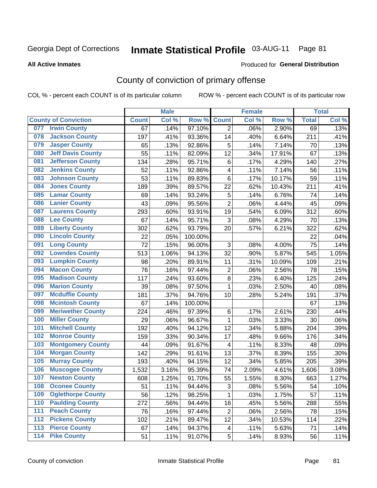# Inmate Statistical Profile 03-AUG-11 Page 81

#### **All Active Inmates**

### **Produced for General Distribution**

# County of conviction of primary offense

COL % - percent each COUNT is of its particular column

|                                           |              | <b>Male</b> |         | <b>Female</b>           |       |        | <b>Total</b> |       |
|-------------------------------------------|--------------|-------------|---------|-------------------------|-------|--------|--------------|-------|
| <b>County of Conviction</b>               | <b>Count</b> | Col %       | Row %   | <b>Count</b>            | Col % | Row %  | <b>Total</b> | Col % |
| <b>Irwin County</b><br>077                | 67           | .14%        | 97.10%  | $\overline{2}$          | .06%  | 2.90%  | 69           | .13%  |
| <b>Jackson County</b><br>078              | 197          | .41%        | 93.36%  | 14                      | .40%  | 6.64%  | 211          | .41%  |
| <b>Jasper County</b><br>079               | 65           | .13%        | 92.86%  | 5                       | .14%  | 7.14%  | 70           | .13%  |
| <b>Jeff Davis County</b><br>080           | 55           | .11%        | 82.09%  | 12                      | .34%  | 17.91% | 67           | .13%  |
| <b>Jefferson County</b><br>081            | 134          | .28%        | 95.71%  | 6                       | .17%  | 4.29%  | 140          | .27%  |
| <b>Jenkins County</b><br>082              | 52           | .11%        | 92.86%  | $\overline{\mathbf{4}}$ | .11%  | 7.14%  | 56           | .11%  |
| <b>Johnson County</b><br>083              | 53           | .11%        | 89.83%  | 6                       | .17%  | 10.17% | 59           | .11%  |
| <b>Jones County</b><br>084                | 189          | .39%        | 89.57%  | 22                      | .62%  | 10.43% | 211          | .41%  |
| <b>Lamar County</b><br>085                | 69           | .14%        | 93.24%  | $\sqrt{5}$              | .14%  | 6.76%  | 74           | .14%  |
| <b>Lanier County</b><br>086               | 43           | .09%        | 95.56%  | $\overline{2}$          | .06%  | 4.44%  | 45           | .09%  |
| <b>Laurens County</b><br>087              | 293          | .60%        | 93.91%  | 19                      | .54%  | 6.09%  | 312          | .60%  |
| <b>Lee County</b><br>088                  | 67           | .14%        | 95.71%  | 3                       | .08%  | 4.29%  | 70           | .13%  |
| <b>Liberty County</b><br>089              | 302          | .62%        | 93.79%  | 20                      | .57%  | 6.21%  | 322          | .62%  |
| <b>Lincoln County</b><br>090              | 22           | .05%        | 100.00% |                         |       |        | 22           | .04%  |
| <b>Long County</b><br>091                 | 72           | .15%        | 96.00%  | 3                       | .08%  | 4.00%  | 75           | .14%  |
| <b>Lowndes County</b><br>092              | 513          | 1.06%       | 94.13%  | 32                      | .90%  | 5.87%  | 545          | 1.05% |
| <b>Lumpkin County</b><br>093              | 98           | .20%        | 89.91%  | 11                      | .31%  | 10.09% | 109          | .21%  |
| <b>Macon County</b><br>094                | 76           | .16%        | 97.44%  | $\overline{c}$          | .06%  | 2.56%  | 78           | .15%  |
| <b>Madison County</b><br>095              | 117          | .24%        | 93.60%  | $\bf 8$                 | .23%  | 6.40%  | 125          | .24%  |
| <b>Marion County</b><br>096               | 39           | .08%        | 97.50%  | $\mathbf{1}$            | .03%  | 2.50%  | 40           | .08%  |
| <b>Mcduffie County</b><br>097             | 181          | .37%        | 94.76%  | 10                      | .28%  | 5.24%  | 191          | .37%  |
| <b>Mcintosh County</b><br>098             | 67           | .14%        | 100.00% |                         |       |        | 67           | .13%  |
| <b>Meriwether County</b><br>099           | 224          | .46%        | 97.39%  | $\,6$                   | .17%  | 2.61%  | 230          | .44%  |
| <b>Miller County</b><br>100               | 29           | .06%        | 96.67%  | $\mathbf{1}$            | .03%  | 3.33%  | 30           | .06%  |
| <b>Mitchell County</b><br>101             | 192          | .40%        | 94.12%  | 12                      | .34%  | 5.88%  | 204          | .39%  |
| <b>Monroe County</b><br>102               | 159          | .33%        | 90.34%  | 17                      | .48%  | 9.66%  | 176          | .34%  |
| <b>Montgomery County</b><br>103           | 44           | .09%        | 91.67%  | 4                       | .11%  | 8.33%  | 48           | .09%  |
| <b>Morgan County</b><br>104               | 142          | .29%        | 91.61%  | 13                      | .37%  | 8.39%  | 155          | .30%  |
| <b>Murray County</b><br>105               | 193          | .40%        | 94.15%  | 12                      | .34%  | 5.85%  | 205          | .39%  |
| <b>Muscogee County</b><br>106             | 1,532        | 3.16%       | 95.39%  | 74                      | 2.09% | 4.61%  | 1,606        | 3.08% |
| <b>Newton County</b><br>107               | 608          | 1.25%       | 91.70%  | 55                      | 1.55% | 8.30%  | 663          | 1.27% |
| 108<br><b>Oconee County</b>               | 51           | .11%        | 94.44%  | $\mathfrak{S}$          | .08%  | 5.56%  | 54           | .10%  |
| 109<br><b>Oglethorpe County</b>           | 56           | .12%        | 98.25%  | 1                       | .03%  | 1.75%  | 57           | .11%  |
| <b>Paulding County</b><br>110             | 272          | .56%        | 94.44%  | 16                      | .45%  | 5.56%  | 288          | .55%  |
| <b>Peach County</b><br>111                | 76           | .16%        | 97.44%  | $\overline{2}$          | .06%  | 2.56%  | 78           | .15%  |
| <b>Pickens County</b><br>$\overline{112}$ | 102          | .21%        | 89.47%  | 12                      | .34%  | 10.53% | 114          | .22%  |
| <b>Pierce County</b><br>$\overline{113}$  | 67           | .14%        | 94.37%  | $\overline{\mathbf{4}}$ | .11%  | 5.63%  | 71           | .14%  |
| <b>Pike County</b><br>$\overline{114}$    | 51           | .11%        | 91.07%  | 5                       | .14%  | 8.93%  | 56           | .11%  |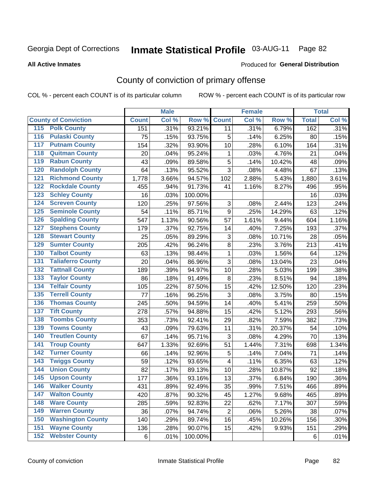# Inmate Statistical Profile 03-AUG-11 Page 82

#### **All Active Inmates**

### Produced for General Distribution

# County of conviction of primary offense

COL % - percent each COUNT is of its particular column

|                                           |              | <b>Male</b> |         |                  | <b>Female</b> |        |              | <b>Total</b> |
|-------------------------------------------|--------------|-------------|---------|------------------|---------------|--------|--------------|--------------|
| <b>County of Conviction</b>               | <b>Count</b> | Col %       | Row %   | <b>Count</b>     | Col %         | Row %  | <b>Total</b> | Col %        |
| <b>Polk County</b><br>115                 | 151          | .31%        | 93.21%  | 11               | .31%          | 6.79%  | 162          | .31%         |
| <b>Pulaski County</b><br>$\overline{116}$ | 75           | .15%        | 93.75%  | 5                | .14%          | 6.25%  | 80           | .15%         |
| <b>Putnam County</b><br>117               | 154          | .32%        | 93.90%  | 10               | .28%          | 6.10%  | 164          | .31%         |
| <b>Quitman County</b><br>118              | 20           | .04%        | 95.24%  | 1                | .03%          | 4.76%  | 21           | .04%         |
| <b>Rabun County</b><br>119                | 43           | .09%        | 89.58%  | 5                | .14%          | 10.42% | 48           | .09%         |
| <b>Randolph County</b><br>120             | 64           | .13%        | 95.52%  | 3                | .08%          | 4.48%  | 67           | .13%         |
| <b>Richmond County</b><br>121             | 1,778        | 3.66%       | 94.57%  | 102              | 2.88%         | 5.43%  | 1,880        | 3.61%        |
| <b>Rockdale County</b><br>122             | 455          | .94%        | 91.73%  | 41               | 1.16%         | 8.27%  | 496          | .95%         |
| <b>Schley County</b><br>123               | 16           | .03%        | 100.00% |                  |               |        | 16           | .03%         |
| <b>Screven County</b><br>124              | 120          | .25%        | 97.56%  | 3                | .08%          | 2.44%  | 123          | .24%         |
| <b>Seminole County</b><br>125             | 54           | .11%        | 85.71%  | $\boldsymbol{9}$ | .25%          | 14.29% | 63           | .12%         |
| <b>Spalding County</b><br>126             | 547          | 1.13%       | 90.56%  | 57               | 1.61%         | 9.44%  | 604          | 1.16%        |
| <b>Stephens County</b><br>127             | 179          | .37%        | 92.75%  | 14               | .40%          | 7.25%  | 193          | .37%         |
| <b>Stewart County</b><br>128              | 25           | .05%        | 89.29%  | 3                | .08%          | 10.71% | 28           | .05%         |
| <b>Sumter County</b><br>129               | 205          | .42%        | 96.24%  | 8                | .23%          | 3.76%  | 213          | .41%         |
| <b>Talbot County</b><br>130               | 63           | .13%        | 98.44%  | 1                | .03%          | 1.56%  | 64           | .12%         |
| <b>Taliaferro County</b><br>131           | 20           | .04%        | 86.96%  | 3                | .08%          | 13.04% | 23           | .04%         |
| <b>Tattnall County</b><br>132             | 189          | .39%        | 94.97%  | 10               | .28%          | 5.03%  | 199          | .38%         |
| <b>Taylor County</b><br>133               | 86           | .18%        | 91.49%  | 8                | .23%          | 8.51%  | 94           | .18%         |
| <b>Telfair County</b><br>134              | 105          | .22%        | 87.50%  | 15               | .42%          | 12.50% | 120          | .23%         |
| <b>Terrell County</b><br>135              | 77           | .16%        | 96.25%  | 3                | .08%          | 3.75%  | 80           | .15%         |
| <b>Thomas County</b><br>136               | 245          | .50%        | 94.59%  | 14               | .40%          | 5.41%  | 259          | .50%         |
| <b>Tift County</b><br>137                 | 278          | .57%        | 94.88%  | 15               | .42%          | 5.12%  | 293          | .56%         |
| <b>Toombs County</b><br>138               | 353          | .73%        | 92.41%  | 29               | .82%          | 7.59%  | 382          | .73%         |
| <b>Towns County</b><br>139                | 43           | .09%        | 79.63%  | 11               | .31%          | 20.37% | 54           | .10%         |
| <b>Treutlen County</b><br>140             | 67           | .14%        | 95.71%  | 3                | .08%          | 4.29%  | 70           | .13%         |
| <b>Troup County</b><br>141                | 647          | 1.33%       | 92.69%  | 51               | 1.44%         | 7.31%  | 698          | 1.34%        |
| <b>Turner County</b><br>142               | 66           | .14%        | 92.96%  | 5                | .14%          | 7.04%  | 71           | .14%         |
| <b>Twiggs County</b><br>143               | 59           | .12%        | 93.65%  | 4                | .11%          | 6.35%  | 63           | .12%         |
| 144<br><b>Union County</b>                | 82           | .17%        | 89.13%  | 10               | .28%          | 10.87% | 92           | .18%         |
| <b>Upson County</b><br>145                | 177          | .36%        | 93.16%  | 13               | .37%          | 6.84%  | 190          | .36%         |
| 146<br><b>Walker County</b>               | 431          | .89%        | 92.49%  | 35               | .99%          | 7.51%  | 466          | .89%         |
| <b>Walton County</b><br>147               | 420          | .87%        | 90.32%  | 45               | 1.27%         | 9.68%  | 465          | .89%         |
| <b>Ware County</b><br>148                 | 285          | .59%        | 92.83%  | 22               | .62%          | 7.17%  | 307          | .59%         |
| <b>Warren County</b><br>149               | 36           | .07%        | 94.74%  | $\overline{2}$   | .06%          | 5.26%  | 38           | .07%         |
| <b>Washington County</b><br>150           | 140          | .29%        | 89.74%  | 16               | .45%          | 10.26% | 156          | $.30\%$      |
| <b>Wayne County</b><br>151                | 136          | .28%        | 90.07%  | 15               | .42%          | 9.93%  | 151          | .29%         |
| <b>Webster County</b><br>152              | 6            | .01%        | 100.00% |                  |               |        | 6            | .01%         |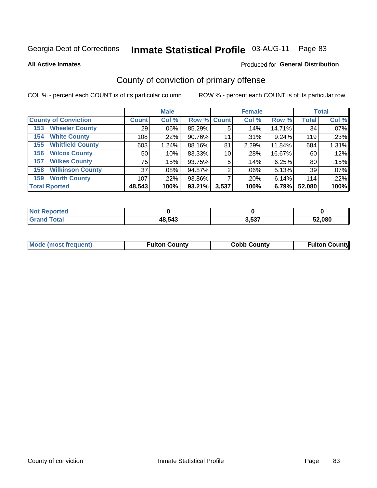# Inmate Statistical Profile 03-AUG-11 Page 83

**All Active Inmates** 

### Produced for General Distribution

# County of conviction of primary offense

COL % - percent each COUNT is of its particular column

|                                |                 | <b>Male</b> |                    |       | <b>Female</b> |          |              | <b>Total</b> |
|--------------------------------|-----------------|-------------|--------------------|-------|---------------|----------|--------------|--------------|
| <b>County of Conviction</b>    | <b>Count</b>    | Col %       | <b>Row % Count</b> |       | Col %         | Row %    | <b>Total</b> | Col %        |
| <b>Wheeler County</b><br>153   | 29              | $.06\%$     | 85.29%             | 5     | .14%          | 14.71%   | 34           | .07%         |
| <b>White County</b><br>154     | 108             | .22%        | 90.76%             | 11    | .31%          | 9.24%    | 119          | .23%         |
| <b>Whitfield County</b><br>155 | 603             | 1.24%       | 88.16%             | 81    | 2.29%         | 11.84%   | 684          | 1.31%        |
| <b>Wilcox County</b><br>156    | 50 <sup>1</sup> | .10%        | 83.33%             | 10    | .28%          | 16.67%   | 60           | $.12\%$      |
| <b>Wilkes County</b><br>157    | 75              | .15%        | 93.75%             | 5     | .14%          | 6.25%    | 80           | .15%         |
| <b>Wilkinson County</b><br>158 | 37              | $.08\%$     | 94.87%             | 2     | .06%          | $5.13\%$ | 39           | $.07\%$      |
| <b>Worth County</b><br>159     | 107             | .22%        | 93.86%             |       | .20%          | 6.14%    | 114          | .22%         |
| <b>Total Rported</b>           | 48,543          | 100%        | 93.21%             | 3,537 | 100%          | 6.79%    | 52,080       | 100%         |

| oorted<br><b>Not</b> |        |       |        |
|----------------------|--------|-------|--------|
|                      | 48,543 | 3,537 | 52.080 |

| <b>Mode (most frequent)</b> | <b>Fulton County</b> | <b>Cobb County</b> | <b>Fulton County</b> |
|-----------------------------|----------------------|--------------------|----------------------|
|                             |                      |                    |                      |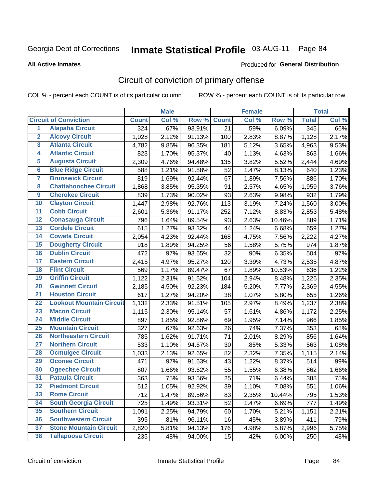# Inmate Statistical Profile 03-AUG-11 Page 84

#### **All Active Inmates**

# Produced for General Distribution

# Circuit of conviction of primary offense

COL % - percent each COUNT is of its particular column

|                         |                                 |              | <b>Male</b> |        |              | <b>Female</b> |        |              | <b>Total</b> |
|-------------------------|---------------------------------|--------------|-------------|--------|--------------|---------------|--------|--------------|--------------|
|                         | <b>Circuit of Conviction</b>    | <b>Count</b> | Col %       | Row %  | <b>Count</b> | Col %         | Row %  | <b>Total</b> | Col %        |
| $\overline{1}$          | <b>Alapaha Circuit</b>          | 324          | .67%        | 93.91% | 21           | .59%          | 6.09%  | 345          | .66%         |
| $\overline{2}$          | <b>Alcovy Circuit</b>           | 1,028        | 2.12%       | 91.13% | 100          | 2.83%         | 8.87%  | 1,128        | 2.17%        |
| 3                       | <b>Atlanta Circuit</b>          | 4,782        | 9.85%       | 96.35% | 181          | 5.12%         | 3.65%  | 4,963        | 9.53%        |
| 4                       | <b>Atlantic Circuit</b>         | 823          | 1.70%       | 95.37% | 40           | 1.13%         | 4.63%  | 863          | 1.66%        |
| 5                       | <b>Augusta Circuit</b>          | 2,309        | 4.76%       | 94.48% | 135          | 3.82%         | 5.52%  | 2,444        | 4.69%        |
| $6\overline{6}$         | <b>Blue Ridge Circuit</b>       | 588          | 1.21%       | 91.88% | 52           | 1.47%         | 8.13%  | 640          | 1.23%        |
| $\overline{\mathbf{7}}$ | <b>Brunswick Circuit</b>        | 819          | 1.69%       | 92.44% | 67           | 1.89%         | 7.56%  | 886          | 1.70%        |
| 8                       | <b>Chattahoochee Circuit</b>    | 1,868        | 3.85%       | 95.35% | 91           | 2.57%         | 4.65%  | 1,959        | 3.76%        |
| $\overline{9}$          | <b>Cherokee Circuit</b>         | 839          | 1.73%       | 90.02% | 93           | 2.63%         | 9.98%  | 932          | 1.79%        |
| 10                      | <b>Clayton Circuit</b>          | 1,447        | 2.98%       | 92.76% | 113          | 3.19%         | 7.24%  | 1,560        | 3.00%        |
| 11                      | <b>Cobb Circuit</b>             | 2,601        | 5.36%       | 91.17% | 252          | 7.12%         | 8.83%  | 2,853        | 5.48%        |
| 12                      | <b>Conasauga Circuit</b>        | 796          | 1.64%       | 89.54% | 93           | 2.63%         | 10.46% | 889          | 1.71%        |
| 13                      | <b>Cordele Circuit</b>          | 615          | 1.27%       | 93.32% | 44           | 1.24%         | 6.68%  | 659          | 1.27%        |
| $\overline{14}$         | <b>Coweta Circuit</b>           | 2,054        | 4.23%       | 92.44% | 168          | 4.75%         | 7.56%  | 2,222        | 4.27%        |
| 15                      | <b>Dougherty Circuit</b>        | 918          | 1.89%       | 94.25% | 56           | 1.58%         | 5.75%  | 974          | 1.87%        |
| 16                      | <b>Dublin Circuit</b>           | 472          | .97%        | 93.65% | 32           | .90%          | 6.35%  | 504          | .97%         |
| 17                      | <b>Eastern Circuit</b>          | 2,415        | 4.97%       | 95.27% | 120          | 3.39%         | 4.73%  | 2,535        | 4.87%        |
| 18                      | <b>Flint Circuit</b>            | 569          | 1.17%       | 89.47% | 67           | 1.89%         | 10.53% | 636          | 1.22%        |
| 19                      | <b>Griffin Circuit</b>          | 1,122        | 2.31%       | 91.52% | 104          | 2.94%         | 8.48%  | 1,226        | 2.35%        |
| 20                      | <b>Gwinnett Circuit</b>         | 2,185        | 4.50%       | 92.23% | 184          | 5.20%         | 7.77%  | 2,369        | 4.55%        |
| $\overline{21}$         | <b>Houston Circuit</b>          | 617          | 1.27%       | 94.20% | 38           | 1.07%         | 5.80%  | 655          | 1.26%        |
| $\overline{22}$         | <b>Lookout Mountain Circuit</b> | 1,132        | 2.33%       | 91.51% | 105          | 2.97%         | 8.49%  | 1,237        | 2.38%        |
| 23                      | <b>Macon Circuit</b>            | 1,115        | 2.30%       | 95.14% | 57           | 1.61%         | 4.86%  | 1,172        | 2.25%        |
| 24                      | <b>Middle Circuit</b>           | 897          | 1.85%       | 92.86% | 69           | 1.95%         | 7.14%  | 966          | 1.85%        |
| 25                      | <b>Mountain Circuit</b>         | 327          | .67%        | 92.63% | 26           | .74%          | 7.37%  | 353          | .68%         |
| 26                      | <b>Northeastern Circuit</b>     | 785          | 1.62%       | 91.71% | 71           | 2.01%         | 8.29%  | 856          | 1.64%        |
| $\overline{27}$         | <b>Northern Circuit</b>         | 533          | 1.10%       | 94.67% | 30           | .85%          | 5.33%  | 563          | 1.08%        |
| 28                      | <b>Ocmulgee Circuit</b>         | 1,033        | 2.13%       | 92.65% | 82           | 2.32%         | 7.35%  | 1,115        | 2.14%        |
| 29                      | <b>Oconee Circuit</b>           | 471          | .97%        | 91.63% | 43           | 1.22%         | 8.37%  | 514          | .99%         |
| 30                      | <b>Ogeechee Circuit</b>         | 807          | 1.66%       | 93.62% | 55           | 1.55%         | 6.38%  | 862          | 1.66%        |
| $\overline{31}$         | <b>Pataula Circuit</b>          | 363          | .75%        | 93.56% | 25           | .71%          | 6.44%  | 388          | .75%         |
| 32                      | <b>Piedmont Circuit</b>         | 512          | 1.05%       | 92.92% | 39           | 1.10%         | 7.08%  | 551          | 1.06%        |
| 33                      | <b>Rome Circuit</b>             | 712          | 1.47%       | 89.56% | 83           | 2.35%         | 10.44% | 795          | 1.53%        |
| 34                      | <b>South Georgia Circuit</b>    | 725          | 1.49%       | 93.31% | 52           | 1.47%         | 6.69%  | 777          | 1.49%        |
| 35                      | <b>Southern Circuit</b>         | 1,091        | 2.25%       | 94.79% | 60           | 1.70%         | 5.21%  | 1,151        | 2.21%        |
| 36                      | <b>Southwestern Circuit</b>     | 395          | .81%        | 96.11% | 16           | .45%          | 3.89%  | 411          | .79%         |
| 37                      | <b>Stone Mountain Circuit</b>   | 2,820        | 5.81%       | 94.13% | 176          | 4.98%         | 5.87%  | 2,996        | 5.75%        |
| 38                      | <b>Tallapoosa Circuit</b>       | 235          | .48%        | 94.00% | 15           | .42%          | 6.00%  | 250          | .48%         |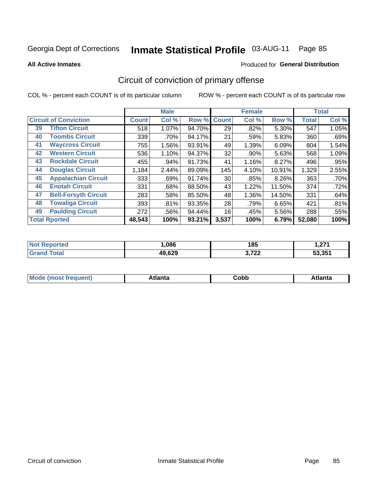#### **Inmate Statistical Profile 03-AUG-11** Page 85

Produced for General Distribution

#### **All Active Inmates**

# Circuit of conviction of primary offense

COL % - percent each COUNT is of its particular column

|                                   |              | <b>Male</b> |        |              | <b>Female</b> |          |              | <b>Total</b> |
|-----------------------------------|--------------|-------------|--------|--------------|---------------|----------|--------------|--------------|
| <b>Circuit of Conviction</b>      | <b>Count</b> | Col %       | Row %  | <b>Count</b> | Col %         | Row %    | <b>Total</b> | Col %        |
| <b>Tifton Circuit</b><br>39       | 518          | 1.07%       | 94.70% | 29           | .82%          | 5.30%    | 547          | 1.05%        |
| <b>Toombs Circuit</b><br>40       | 339          | .70%        | 94.17% | 21           | .59%          | 5.83%    | 360          | .69%         |
| <b>Waycross Circuit</b><br>41     | 755          | 1.56%       | 93.91% | 49           | 1.39%         | 6.09%    | 804          | 1.54%        |
| <b>Western Circuit</b><br>42      | 536          | 1.10%       | 94.37% | 32           | .90%          | 5.63%    | 568          | 1.09%        |
| <b>Rockdale Circuit</b><br>43     | 455          | $.94\%$     | 91.73% | 41           | 1.16%         | 8.27%    | 496          | .95%         |
| <b>Douglas Circuit</b><br>44      | 1,184        | 2.44%       | 89.09% | 145          | 4.10%         | 10.91%   | 1,329        | 2.55%        |
| <b>Appalachian Circuit</b><br>45  | 333          | .69%        | 91.74% | 30           | .85%          | $8.26\%$ | 363          | .70%         |
| <b>Enotah Circuit</b><br>46       | 331          | .68%        | 88.50% | 43           | 1.22%         | 11.50%   | 374          | .72%         |
| 47<br><b>Bell-Forsyth Circuit</b> | 283          | .58%        | 85.50% | 48           | 1.36%         | 14.50%   | 331          | .64%         |
| <b>Towaliga Circuit</b><br>48     | 393          | .81%        | 93.35% | 28           | .79%          | 6.65%    | 421          | .81%         |
| <b>Paulding Circuit</b><br>49     | 272          | .56%        | 94.44% | 16           | .45%          | 5.56%    | 288          | .55%         |
| <b>Total Rported</b>              | 48,543       | 100%        | 93.21% | 3,537        | 100%          | 6.79%    | 52,080       | 100%         |

| 1 – 1 | .086   | 40 E<br>၊၀၁  | <b>074</b><br>. ، ۲ |
|-------|--------|--------------|---------------------|
|       | 49,629 | 0.700<br>--- | EO OFA<br>.35       |

| M<br>- - -<br>.<br>.<br>∪opp<br>нс |
|------------------------------------|
|------------------------------------|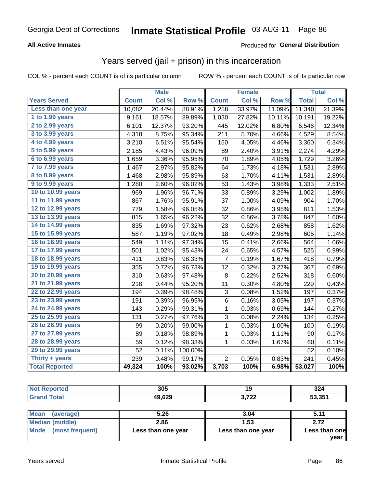## **All Active Inmates**

## **Produced for General Distribution**

## Years served (jail + prison) in this incarceration

COL % - percent each COUNT is of its particular column

|                        |              | <b>Male</b> |         |                | <b>Female</b> |        |              | <b>Total</b> |
|------------------------|--------------|-------------|---------|----------------|---------------|--------|--------------|--------------|
| <b>Years Served</b>    | <b>Count</b> | Col %       | Row %   | <b>Count</b>   | Col %         | Row %  | <b>Total</b> | Col %        |
| Less than one year     | 10,082       | 20.44%      | 88.91%  | 1,258          | 33.97%        | 11.09% | 11,340       | 21.39%       |
| 1 to 1.99 years        | 9,161        | 18.57%      | 89.89%  | 1,030          | 27.82%        | 10.11% | 10,191       | 19.22%       |
| 2 to 2.99 years        | 6,101        | 12.37%      | 93.20%  | 445            | 12.02%        | 6.80%  | 6,546        | 12.34%       |
| 3 to 3.99 years        | 4,318        | 8.75%       | 95.34%  | 211            | 5.70%         | 4.66%  | 4,529        | 8.54%        |
| 4 to 4.99 years        | 3,210        | 6.51%       | 95.54%  | 150            | 4.05%         | 4.46%  | 3,360        | 6.34%        |
| 5 to 5.99 years        | 2,185        | 4.43%       | 96.09%  | 89             | 2.40%         | 3.91%  | 2,274        | 4.29%        |
| 6 to 6.99 years        | 1,659        | 3.36%       | 95.95%  | 70             | 1.89%         | 4.05%  | 1,729        | 3.26%        |
| 7 to 7.99 years        | 1,467        | 2.97%       | 95.82%  | 64             | 1.73%         | 4.18%  | 1,531        | 2.89%        |
| <b>8 to 8.99 years</b> | 1,468        | 2.98%       | 95.89%  | 63             | 1.70%         | 4.11%  | 1,531        | 2.89%        |
| 9 to 9.99 years        | 1,280        | 2.60%       | 96.02%  | 53             | 1.43%         | 3.98%  | 1,333        | 2.51%        |
| 10 to 10.99 years      | 969          | 1.96%       | 96.71%  | 33             | 0.89%         | 3.29%  | 1,002        | 1.89%        |
| 11 to 11.99 years      | 867          | 1.76%       | 95.91%  | 37             | 1.00%         | 4.09%  | 904          | 1.70%        |
| 12 to 12.99 years      | 779          | 1.58%       | 96.05%  | 32             | 0.86%         | 3.95%  | 811          | 1.53%        |
| 13 to 13.99 years      | 815          | 1.65%       | 96.22%  | 32             | 0.86%         | 3.78%  | 847          | 1.60%        |
| 14 to 14.99 years      | 835          | 1.69%       | 97.32%  | 23             | 0.62%         | 2.68%  | 858          | 1.62%        |
| 15 to 15.99 years      | 587          | 1.19%       | 97.02%  | 18             | 0.49%         | 2.98%  | 605          | 1.14%        |
| 16 to 16.99 years      | 549          | 1.11%       | 97.34%  | 15             | 0.41%         | 2.66%  | 564          | 1.06%        |
| 17 to 17.99 years      | 501          | 1.02%       | 95.43%  | 24             | 0.65%         | 4.57%  | 525          | 0.99%        |
| 18 to 18.99 years      | 411          | 0.83%       | 98.33%  | $\overline{7}$ | 0.19%         | 1.67%  | 418          | 0.79%        |
| 19 to 19.99 years      | 355          | 0.72%       | 96.73%  | 12             | 0.32%         | 3.27%  | 367          | 0.69%        |
| 20 to 20.99 years      | 310          | 0.63%       | 97.48%  | 8              | 0.22%         | 2.52%  | 318          | 0.60%        |
| 21 to 21.99 years      | 218          | 0.44%       | 95.20%  | 11             | 0.30%         | 4.80%  | 229          | 0.43%        |
| 22 to 22.99 years      | 194          | 0.39%       | 98.48%  | 3              | 0.08%         | 1.52%  | 197          | 0.37%        |
| 23 to 23.99 years      | 191          | 0.39%       | 96.95%  | 6              | 0.16%         | 3.05%  | 197          | 0.37%        |
| 24 to 24.99 years      | 143          | 0.29%       | 99.31%  | 1              | 0.03%         | 0.69%  | 144          | 0.27%        |
| 25 to 25.99 years      | 131          | 0.27%       | 97.76%  | 3              | 0.08%         | 2.24%  | 134          | 0.25%        |
| 26 to 26.99 years      | 99           | 0.20%       | 99.00%  | 1              | 0.03%         | 1.00%  | 100          | 0.19%        |
| 27 to 27.99 years      | 89           | 0.18%       | 98.89%  | $\mathbf{1}$   | 0.03%         | 1.11%  | 90           | 0.17%        |
| 28 to 28.99 years      | 59           | 0.12%       | 98.33%  | $\mathbf 1$    | 0.03%         | 1.67%  | 60           | 0.11%        |
| 29 to 29.99 years      | 52           | 0.11%       | 100.00% |                |               |        | 52           | 0.10%        |
| Thirty + years         | 239          | 0.48%       | 99.17%  | $\overline{2}$ | 0.05%         | 0.83%  | 241          | 0.45%        |
| <b>Total Reported</b>  | 49,324       | 100%        | 93.02%  | 3,703          | 100%          | 6.98%  | 53,027       | 100%         |

| <b>Not Reported</b>           | 305    | 19         | 324         |
|-------------------------------|--------|------------|-------------|
| <b>Grand Total</b>            | 49,629 | 3,722      | 53,351      |
|                               |        |            |             |
| M <sub>on</sub><br>$l$ awanah | E OC   | <b>201</b> | <b>E 44</b> |

| Mean (average)       | 5.Z6               | 3.U4               | 5.11          |
|----------------------|--------------------|--------------------|---------------|
| Median (middle)      | 2.86               | 1.53               | 2.72          |
| Mode (most frequent) | Less than one year | Less than one year | Less than one |
|                      |                    |                    | vear          |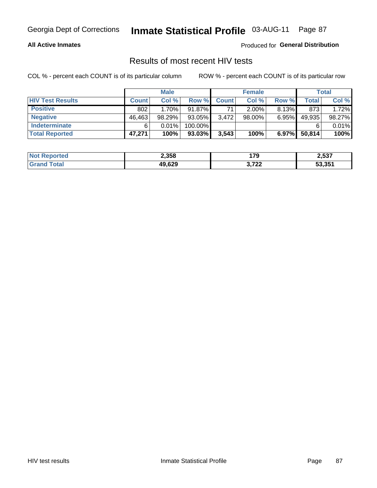## **All Active Inmates**

Produced for General Distribution

# Results of most recent HIV tests

COL % - percent each COUNT is of its particular column

|                         |              | <b>Male</b> |           |              | <b>Female</b> |       |        | Total  |
|-------------------------|--------------|-------------|-----------|--------------|---------------|-------|--------|--------|
| <b>HIV Test Results</b> | <b>Count</b> | Col %       | Row %I    | <b>Count</b> | Col %         | Row % | Total  | Col %  |
| <b>Positive</b>         | 802          | 1.70%       | 91.87%    | 71           | $2.00\%$      | 8.13% | 873    | 1.72%  |
| <b>Negative</b>         | 46,463       | 98.29%      | 93.05%    | 3,472        | $98.00\%$     | 6.95% | 49,935 | 98.27% |
| Indeterminate           | 6            | 0.01%       | 100.00%   |              |               |       |        | 0.01%  |
| <b>Total Reported</b>   | 47,271       | 100%        | $93.03\%$ | 3,543        | 100%          | 6.97% | 50,814 | 100%   |

| <b>Not Reported</b> | 2,358  | 170            | 2,537  |
|---------------------|--------|----------------|--------|
| Total               | 49,629 | רמד מ<br>0.122 | 53,351 |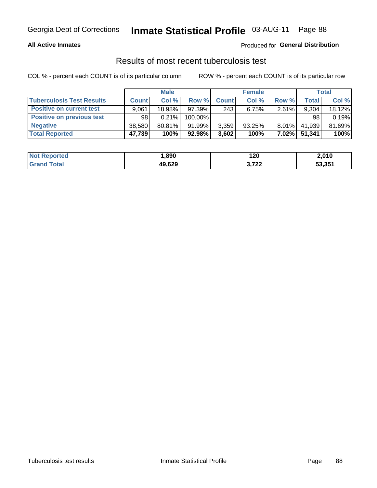## **All Active Inmates**

## Produced for General Distribution

## Results of most recent tuberculosis test

COL % - percent each COUNT is of its particular column

|                                  | <b>Male</b>  |           |           | <b>Female</b> |        |          | Total        |        |
|----------------------------------|--------------|-----------|-----------|---------------|--------|----------|--------------|--------|
| <b>Tuberculosis Test Results</b> | <b>Count</b> | Col%      | Row %I    | <b>Count</b>  | Col%   | Row %    | <b>Total</b> | Col %  |
| <b>Positive on current test</b>  | 9.061        | 18.98%    | 97.39%    | 243           | 6.75%  | $2.61\%$ | 9,304        | 18.12% |
| <b>Positive on previous test</b> | 98           | 0.21%     | 100.00%   |               |        |          | 98           | 0.19%  |
| <b>Negative</b>                  | 38.580       | $80.81\%$ | 91.99%    | 3,359         | 93.25% | $8.01\%$ | 41,939       | 81.69% |
| <b>Total Reported</b>            | 47,739       | 100%      | $92.98\%$ | 3,602         | 100%   | 7.02%    | 51,341       | 100%   |

| <b>Not Reported</b> | .890   | 120                            | 2,010  |
|---------------------|--------|--------------------------------|--------|
| <b>Total</b>        | 49,629 | ימד ה<br>$\mathcal{L}$ . I lie | 53,351 |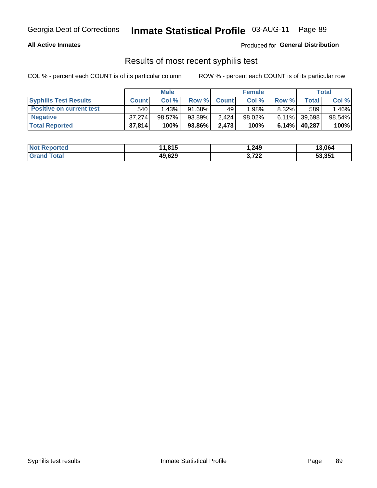## **All Active Inmates**

Produced for General Distribution

## Results of most recent syphilis test

COL % - percent each COUNT is of its particular column

|                                 | <b>Male</b>  |           |           | <b>Female</b> |           |          | Total   |        |
|---------------------------------|--------------|-----------|-----------|---------------|-----------|----------|---------|--------|
| <b>Syphilis Test Results</b>    | <b>Count</b> | Col%      | Row %     | <b>Count</b>  | Col %     | Row %    | Total I | Col %  |
| <b>Positive on current test</b> | 540          | 1.43%     | $91.68\%$ | 49            | 1.98%     | $8.32\%$ | 589     | 1.46%  |
| <b>Negative</b>                 | 37.274       | $98.57\%$ | 93.89%    | 2.424         | $98.02\%$ | $6.11\%$ | 39,698  | 98.54% |
| <b>Total Reported</b>           | 37,814       | 100%      | 93.86%    | 2,473         | 100%      | 6.14%    | 40,287  | 100%   |

| <b>Not Reported</b> | 11,815 | 1,249 | 13,064 |
|---------------------|--------|-------|--------|
| <b>Grand Total</b>  | 49,629 | 3,722 | 53,351 |